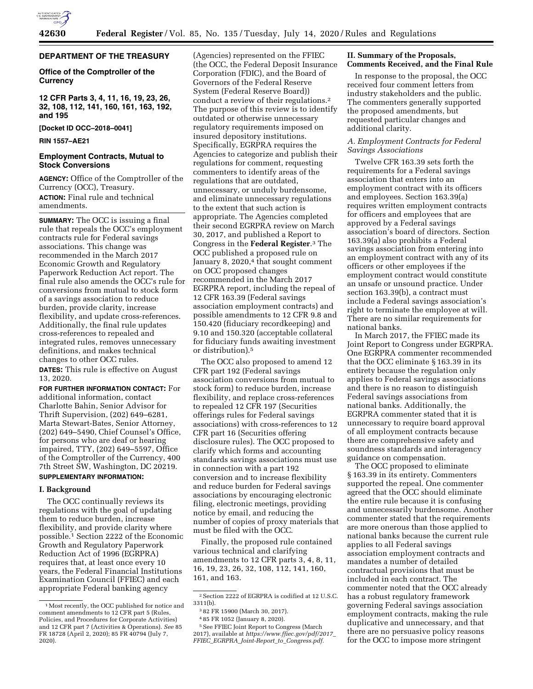

# **DEPARTMENT OF THE TREASURY**

# **Office of the Comptroller of the Currency**

**12 CFR Parts 3, 4, 11, 16, 19, 23, 26, 32, 108, 112, 141, 160, 161, 163, 192, and 195** 

**[Docket ID OCC–2018–0041]** 

# **RIN 1557–AE21**

# **Employment Contracts, Mutual to Stock Conversions**

**AGENCY:** Office of the Comptroller of the Currency (OCC), Treasury. **ACTION:** Final rule and technical amendments.

**SUMMARY:** The OCC is issuing a final rule that repeals the OCC's employment contracts rule for Federal savings associations. This change was recommended in the March 2017 Economic Growth and Regulatory Paperwork Reduction Act report. The final rule also amends the OCC's rule for conversions from mutual to stock form of a savings association to reduce burden, provide clarity, increase flexibility, and update cross-references. Additionally, the final rule updates cross-references to repealed and integrated rules, removes unnecessary definitions, and makes technical changes to other OCC rules.

**DATES:** This rule is effective on August 13, 2020.

**FOR FURTHER INFORMATION CONTACT:** For additional information, contact Charlotte Bahin, Senior Advisor for Thrift Supervision, (202) 649–6281, Marta Stewart-Bates, Senior Attorney, (202) 649–5490, Chief Counsel's Office, for persons who are deaf or hearing impaired, TTY, (202) 649–5597, Office of the Comptroller of the Currency, 400 7th Street SW, Washington, DC 20219. **SUPPLEMENTARY INFORMATION:** 

**I. Background**  The OCC continually reviews its regulations with the goal of updating them to reduce burden, increase flexibility, and provide clarity where possible.1 Section 2222 of the Economic Growth and Regulatory Paperwork Reduction Act of 1996 (EGRPRA) requires that, at least once every 10 years, the Federal Financial Institutions

Examination Council (FFIEC) and each appropriate Federal banking agency

(Agencies) represented on the FFIEC (the OCC, the Federal Deposit Insurance Corporation (FDIC), and the Board of Governors of the Federal Reserve System (Federal Reserve Board)) conduct a review of their regulations.2 The purpose of this review is to identify outdated or otherwise unnecessary regulatory requirements imposed on insured depository institutions. Specifically, EGRPRA requires the Agencies to categorize and publish their regulations for comment, requesting commenters to identify areas of the regulations that are outdated, unnecessary, or unduly burdensome, and eliminate unnecessary regulations to the extent that such action is appropriate. The Agencies completed their second EGRPRA review on March 30, 2017, and published a Report to Congress in the **Federal Register**.3 The OCC published a proposed rule on January 8,  $2020<sup>4</sup>$  that sought comment on OCC proposed changes recommended in the March 2017 EGRPRA report, including the repeal of 12 CFR 163.39 (Federal savings association employment contracts) and possible amendments to 12 CFR 9.8 and 150.420 (fiduciary recordkeeping) and 9.10 and 150.320 (acceptable collateral for fiduciary funds awaiting investment or distribution).5

The OCC also proposed to amend 12 CFR part 192 (Federal savings association conversions from mutual to stock form) to reduce burden, increase flexibility, and replace cross-references to repealed 12 CFR 197 (Securities offerings rules for Federal savings associations) with cross-references to 12 CFR part 16 (Securities offering disclosure rules). The OCC proposed to clarify which forms and accounting standards savings associations must use in connection with a part 192 conversion and to increase flexibility and reduce burden for Federal savings associations by encouraging electronic filing, electronic meetings, providing notice by email, and reducing the number of copies of proxy materials that must be filed with the OCC.

Finally, the proposed rule contained various technical and clarifying amendments to 12 CFR parts 3, 4, 8, 11, 16, 19, 23, 26, 32, 108, 112, 141, 160, 161, and 163.

# **II. Summary of the Proposals, Comments Received, and the Final Rule**

In response to the proposal, the OCC received four comment letters from industry stakeholders and the public. The commenters generally supported the proposed amendments, but requested particular changes and additional clarity.

# *A. Employment Contracts for Federal Savings Associations*

Twelve CFR 163.39 sets forth the requirements for a Federal savings association that enters into an employment contract with its officers and employees. Section 163.39(a) requires written employment contracts for officers and employees that are approved by a Federal savings association's board of directors. Section 163.39(a) also prohibits a Federal savings association from entering into an employment contract with any of its officers or other employees if the employment contract would constitute an unsafe or unsound practice. Under section 163.39(b), a contract must include a Federal savings association's right to terminate the employee at will. There are no similar requirements for national banks.

In March 2017, the FFIEC made its Joint Report to Congress under EGRPRA. One EGRPRA commenter recommended that the OCC eliminate § 163.39 in its entirety because the regulation only applies to Federal savings associations and there is no reason to distinguish Federal savings associations from national banks. Additionally, the EGRPRA commenter stated that it is unnecessary to require board approval of all employment contracts because there are comprehensive safety and soundness standards and interagency guidance on compensation.

The OCC proposed to eliminate § 163.39 in its entirety. Commenters supported the repeal. One commenter agreed that the OCC should eliminate the entire rule because it is confusing and unnecessarily burdensome. Another commenter stated that the requirements are more onerous than those applied to national banks because the current rule applies to all Federal savings association employment contracts and mandates a number of detailed contractual provisions that must be included in each contract. The commenter noted that the OCC already has a robust regulatory framework governing Federal savings association employment contracts, making the rule duplicative and unnecessary, and that there are no persuasive policy reasons for the OCC to impose more stringent

<sup>1</sup>Most recently, the OCC published for notice and comment amendments to 12 CFR part 5 (Rules, Policies, and Procedures for Corporate Activities) and 12 CFR part 7 (Activities & Operations). *See* 85 FR 18728 (April 2, 2020); 85 FR 40794 (July 7, 2020).

<sup>2</sup>Section 2222 of EGRPRA is codified at 12 U.S.C. 3311(b).

<sup>3</sup> 82 FR 15900 (March 30, 2017).

<sup>4</sup> 85 FR 1052 (January 8, 2020). <sup>5</sup> See FFIEC Joint Report to Congress (March 2017), available at *[https://www.ffiec.gov/pdf/2017](https://www.ffiec.gov/pdf/2017_FFIEC_EGRPRA_Joint-Report_to_Congress.pdf)*\_ *FFIEC*\_*EGRPRA*\_*Joint-Report*\_*to*\_*[Congress.pdf.](https://www.ffiec.gov/pdf/2017_FFIEC_EGRPRA_Joint-Report_to_Congress.pdf)*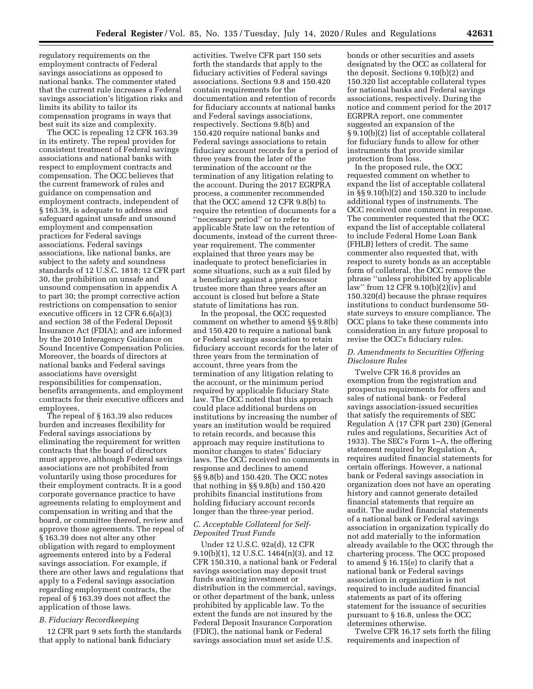regulatory requirements on the employment contracts of Federal savings associations as opposed to national banks. The commenter stated that the current rule increases a Federal savings association's litigation risks and limits its ability to tailor its compensation programs in ways that best suit its size and complexity.

The OCC is repealing 12 CFR 163.39 in its entirety. The repeal provides for consistent treatment of Federal savings associations and national banks with respect to employment contracts and compensation. The OCC believes that the current framework of rules and guidance on compensation and employment contracts, independent of § 163.39, is adequate to address and safeguard against unsafe and unsound employment and compensation practices for Federal savings associations. Federal savings associations, like national banks, are subject to the safety and soundness standards of 12 U.S.C. 1818; 12 CFR part 30, the prohibition on unsafe and unsound compensation in appendix A to part 30; the prompt corrective action restrictions on compensation to senior executive officers in 12 CFR 6.6(a)(3) and section 38 of the Federal Deposit Insurance Act (FDIA); and are informed by the 2010 Interagency Guidance on Sound Incentive Compensation Policies. Moreover, the boards of directors at national banks and Federal savings associations have oversight responsibilities for compensation, benefits arrangements, and employment contracts for their executive officers and employees.

The repeal of § 163.39 also reduces burden and increases flexibility for Federal savings associations by eliminating the requirement for written contracts that the board of directors must approve, although Federal savings associations are not prohibited from voluntarily using those procedures for their employment contracts. It is a good corporate governance practice to have agreements relating to employment and compensation in writing and that the board, or committee thereof, review and approve those agreements. The repeal of § 163.39 does not alter any other obligation with regard to employment agreements entered into by a Federal savings association. For example, if there are other laws and regulations that apply to a Federal savings association regarding employment contracts, the repeal of § 163.39 does not affect the application of those laws.

# *B. Fiduciary Recordkeeping*

12 CFR part 9 sets forth the standards that apply to national bank fiduciary

activities. Twelve CFR part 150 sets forth the standards that apply to the fiduciary activities of Federal savings associations. Sections 9.8 and 150.420 contain requirements for the documentation and retention of records for fiduciary accounts at national banks and Federal savings associations, respectively. Sections 9.8(b) and 150.420 require national banks and Federal savings associations to retain fiduciary account records for a period of three years from the later of the termination of the account or the termination of any litigation relating to the account. During the 2017 EGRPRA process, a commenter recommended that the OCC amend 12 CFR 9.8(b) to require the retention of documents for a ''necessary period'' or to refer to applicable State law on the retention of documents, instead of the current threeyear requirement. The commenter explained that three years may be inadequate to protect beneficiaries in some situations, such as a suit filed by a beneficiary against a predecessor trustee more than three years after an account is closed but before a State statute of limitations has run.

In the proposal, the OCC requested comment on whether to amend §§ 9.8(b) and 150.420 to require a national bank or Federal savings association to retain fiduciary account records for the later of three years from the termination of account, three years from the termination of any litigation relating to the account, or the minimum period required by applicable fiduciary State law. The OCC noted that this approach could place additional burdens on institutions by increasing the number of years an institution would be required to retain records, and because this approach may require institutions to monitor changes to states' fiduciary laws. The OCC received no comments in response and declines to amend §§ 9.8(b) and 150.420. The OCC notes that nothing in §§ 9.8(b) and 150.420 prohibits financial institutions from holding fiduciary account records longer than the three-year period.

# *C. Acceptable Collateral for Self-Deposited Trust Funds*

Under 12 U.S.C. 92a(d), 12 CFR 9.10(b)(1), 12 U.S.C. 1464(n)(3), and 12 CFR 150.310, a national bank or Federal savings association may deposit trust funds awaiting investment or distribution in the commercial, savings, or other department of the bank, unless prohibited by applicable law. To the extent the funds are not insured by the Federal Deposit Insurance Corporation (FDIC), the national bank or Federal savings association must set aside U.S.

bonds or other securities and assets designated by the OCC as collateral for the deposit. Sections 9.10(b)(2) and 150.320 list acceptable collateral types for national banks and Federal savings associations, respectively. During the notice and comment period for the 2017 EGRPRA report, one commenter suggested an expansion of the § 9.10(b)(2) list of acceptable collateral for fiduciary funds to allow for other instruments that provide similar protection from loss.

In the proposed rule, the OCC requested comment on whether to expand the list of acceptable collateral in §§ 9.10(b)(2) and 150.320 to include additional types of instruments. The OCC received one comment in response. The commenter requested that the OCC expand the list of acceptable collateral to include Federal Home Loan Bank (FHLB) letters of credit. The same commenter also requested that, with respect to surety bonds as an acceptable form of collateral, the OCC remove the phrase ''unless prohibited by applicable law'' from 12 CFR 9.10(b)(2)(iv) and 150.320(d) because the phrase requires institutions to conduct burdensome 50 state surveys to ensure compliance. The OCC plans to take these comments into consideration in any future proposal to revise the OCC's fiduciary rules.

# *D. Amendments to Securities Offering Disclosure Rules*

Twelve CFR 16.8 provides an exemption from the registration and prospectus requirements for offers and sales of national bank- or Federal savings association-issued securities that satisfy the requirements of SEC Regulation A (17 CFR part 230) (General rules and regulations, Securities Act of 1933). The SEC's Form 1–A, the offering statement required by Regulation A, requires audited financial statements for certain offerings. However, a national bank or Federal savings association in organization does not have an operating history and cannot generate detailed financial statements that require an audit. The audited financial statements of a national bank or Federal savings association in organization typically do not add materially to the information already available to the OCC through the chartering process. The OCC proposed to amend § 16.15(e) to clarify that a national bank or Federal savings association in organization is not required to include audited financial statements as part of its offering statement for the issuance of securities pursuant to § 16.8, unless the OCC determines otherwise.

Twelve CFR 16.17 sets forth the filing requirements and inspection of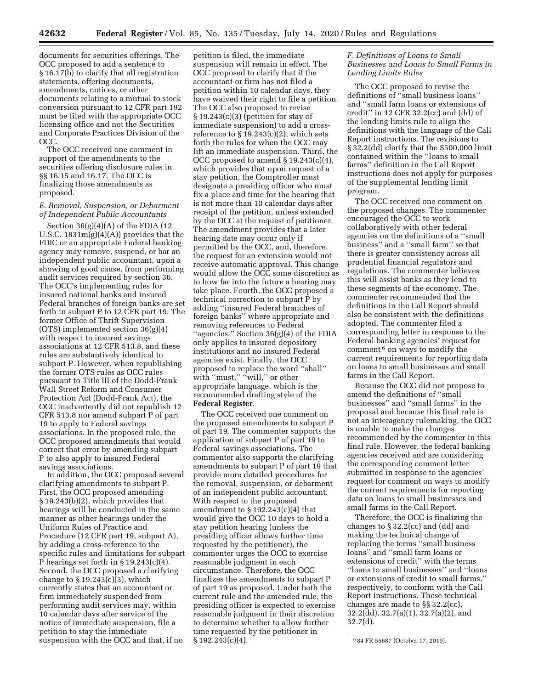documents for securities offerings. The OCC proposed to add a sentence to § 16.17(b) to clarify that all registration statements, offering documents, amendments, notices, or other documents relating to a mutual to stock conversion pursuant to 12 CFR part 192 must be filed with the appropriate OCC licensing office and not the Securities and Corporate Practices Division of the OCC.

The OCC received one comment in support of the amendments to the securities offering disclosure rules in §§ 16.15 and 16.17. The OCC is finalizing those amendments as proposed.

# *E. Removal, Suspension, or Debarment of Independent Public Accountants*

Section 36(g)(4)(A) of the FDIA (12 U.S.C. 1831m(g)(4)(A)) provides that the FDIC or an appropriate Federal banking agency may remove, suspend, or bar an independent public accountant, upon a showing of good cause, from performing audit services required by section 36. The OCC's implementing rules for insured national banks and insured Federal branches of foreign banks are set forth in subpart P to 12 CFR part 19. The former Office of Thrift Supervision (OTS) implemented section 36(g)(4) with respect to insured savings associations at 12 CFR 513.8, and these rules are substantively identical to subpart P. However, when republishing the former OTS rules as OCC rules pursuant to Title III of the Dodd-Frank Wall Street Reform and Consumer Protection Act (Dodd-Frank Act), the OCC inadvertently did not republish 12 CFR 513.8 nor amend subpart P of part 19 to apply to Federal savings associations. In the proposed rule, the OCC proposed amendments that would correct that error by amending subpart P to also apply to insured Federal savings associations.

In addition, the OCC proposed several clarifying amendments to subpart P. First, the OCC proposed amending § 19.243(b)(2), which provides that hearings will be conducted in the same manner as other hearings under the Uniform Rules of Practice and Procedure (12 CFR part 19, subpart A), by adding a cross-reference to the specific rules and limitations for subpart P hearings set forth in § 19.243(c)(4). Second, the OCC proposed a clarifying change to  $\S 19.243(c)(3)$ , which currently states that an accountant or firm immediately suspended from performing audit services may, within 10 calendar days after service of the notice of immediate suspension, file a petition to stay the immediate suspension with the OCC and that, if no

petition is filed, the immediate suspension will remain in effect. The OCC proposed to clarify that if the accountant or firm has not filed a petition within 10 calendar days, they have waived their right to file a petition. The OCC also proposed to revise § 19.243(c)(3) (petition for stay of immediate suspension) to add a crossreference to § 19.243(c)(2), which sets forth the rules for when the OCC may lift an immediate suspension. Third, the OCC proposed to amend § 19.243(c)(4), which provides that upon request of a stay petition, the Comptroller must designate a presiding officer who must fix a place and time for the hearing that is not more than 10 calendar days after receipt of the petition, unless extended by the OCC at the request of petitioner. The amendment provides that a later hearing date may occur only if permitted by the OCC, and, therefore, the request for an extension would not receive automatic approval. This change would allow the OCC some discretion as to how far into the future a hearing may take place. Fourth, the OCC proposed a technical correction to subpart P by adding ''insured Federal branches of foreign banks'' where appropriate and removing references to Federal ''agencies.'' Section 36(g)(4) of the FDIA only applies to insured depository institutions and no insured Federal agencies exist. Finally, the OCC proposed to replace the word ''shall'' with "must," "will," or other appropriate language, which is the recommended drafting style of the **Federal Register**.

The OCC received one comment on the proposed amendments to subpart P of part 19. The commenter supports the application of subpart P of part 19 to Federal savings associations. The commenter also supports the clarifying amendments to subpart P of part 19 that provide more detailed procedures for the removal, suspension, or debarment of an independent public accountant. With respect to the proposed amendment to § 192.243(c)(4) that would give the OCC 10 days to hold a stay petition hearing (unless the presiding officer allows further time requested by the petitioner), the commenter urges the OCC to exercise reasonable judgment in each circumstance. Therefore, the OCC finalizes the amendments to subpart P of part 19 as proposed. Under both the current rule and the amended rule, the presiding officer is expected to exercise reasonable judgment in their discretion to determine whether to allow further time requested by the petitioner in § 192.243(c)(4).

# *F. Definitions of Loans to Small Businesses and Loans to Small Farms in Lending Limits Rules*

The OCC proposed to revise the definitions of ''small business loans'' and ''small farm loans or extensions of credit'' in 12 CFR 32.2(cc) and (dd) of the lending limits rule to align the definitions with the language of the Call Report instructions. The revisions to § 32.2(dd) clarify that the \$500,000 limit contained within the ''loans to small farms'' definition in the Call Report instructions does not apply for purposes of the supplemental lending limit program.

The OCC received one comment on the proposed changes. The commenter encouraged the OCC to work collaboratively with other federal agencies on the definitions of a ''small business'' and a ''small farm'' so that there is greater consistency across all prudential financial regulators and regulations. The commenter believes this will assist banks as they lend to these segments of the economy. The commenter recommended that the definitions in the Call Report should also be consistent with the definitions adopted. The commenter filed a corresponding letter in response to the Federal banking agencies' request for comment 6 on ways to modify the current requirements for reporting data on loans to small businesses and small farms in the Call Report.

Because the OCC did not propose to amend the definitions of ''small businesses'' and ''small farms'' in the proposal and because this final rule is not an interagency rulemaking, the OCC is unable to make the changes recommended by the commenter in this final rule. However, the federal banking agencies received and are considering the corresponding comment letter submitted in response to the agencies' request for comment on ways to modify the current requirements for reporting data on loans to small businesses and small farms in the Call Report.

Therefore, the OCC is finalizing the changes to § 32.2(cc) and (dd) and making the technical change of replacing the terms ''small business loans'' and ''small farm loans or extensions of credit'' with the terms ''loans to small businesses'' and ''loans or extensions of credit to small farms,'' respectively, to conform with the Call Report instructions. These technical changes are made to §§ 32.2(cc), 32.2(dd), 32.7(a)(1), 32.7(a)(2), and 32.7(d).

<sup>6</sup> 84 FR 55687 (October 17, 2019).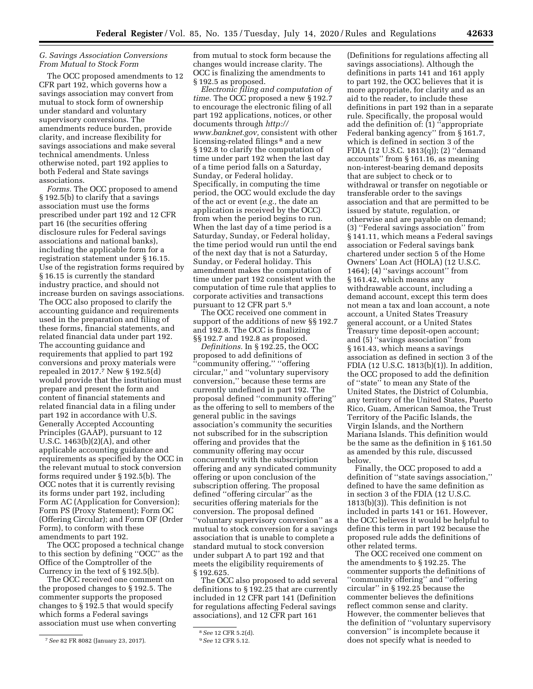# *G. Savings Association Conversions From Mutual to Stock Form*

The OCC proposed amendments to 12 CFR part 192, which governs how a savings association may convert from mutual to stock form of ownership under standard and voluntary supervisory conversions. The amendments reduce burden, provide clarity, and increase flexibility for savings associations and make several technical amendments. Unless otherwise noted, part 192 applies to both Federal and State savings associations.

*Forms.* The OCC proposed to amend § 192.5(b) to clarify that a savings association must use the forms prescribed under part 192 and 12 CFR part 16 (the securities offering disclosure rules for Federal savings associations and national banks), including the applicable form for a registration statement under § 16.15. Use of the registration forms required by § 16.15 is currently the standard industry practice, and should not increase burden on savings associations. The OCC also proposed to clarify the accounting guidance and requirements used in the preparation and filing of these forms, financial statements, and related financial data under part 192. The accounting guidance and requirements that applied to part 192 conversions and proxy materials were repealed in 2017.7 New § 192.5(d) would provide that the institution must prepare and present the form and content of financial statements and related financial data in a filing under part 192 in accordance with U.S. Generally Accepted Accounting Principles (GAAP), pursuant to 12 U.S.C. 1463(b)(2)(A), and other applicable accounting guidance and requirements as specified by the OCC in the relevant mutual to stock conversion forms required under § 192.5(b). The OCC notes that it is currently revising its forms under part 192, including Form AC (Application for Conversion); Form PS (Proxy Statement); Form OC (Offering Circular); and Form OF (Order Form), to conform with these amendments to part 192.

The OCC proposed a technical change to this section by defining ''OCC'' as the Office of the Comptroller of the Currency in the text of § 192.5(b).

The OCC received one comment on the proposed changes to § 192.5. The commenter supports the proposed changes to § 192.5 that would specify which forms a Federal savings association must use when converting from mutual to stock form because the changes would increase clarity. The OCC is finalizing the amendments to § 192.5 as proposed.

*Electronic filing and computation of time.* The OCC proposed a new § 192.7 to encourage the electronic filing of all part 192 applications, notices, or other documents through *[http://](http://www.banknet.gov) [www.banknet.gov,](http://www.banknet.gov)* consistent with other licensing-related filings<sup>8</sup> and a new § 192.8 to clarify the computation of time under part 192 when the last day of a time period falls on a Saturday, Sunday, or Federal holiday. Specifically, in computing the time period, the OCC would exclude the day of the act or event (*e.g.,* the date an application is received by the OCC) from when the period begins to run. When the last day of a time period is a Saturday, Sunday, or Federal holiday, the time period would run until the end of the next day that is not a Saturday, Sunday, or Federal holiday. This amendment makes the computation of time under part 192 consistent with the computation of time rule that applies to corporate activities and transactions pursuant to 12 CFR part 5.9

The OCC received one comment in support of the additions of new §§ 192.7 and 192.8. The OCC is finalizing §§ 192.7 and 192.8 as proposed.

*Definitions.* In § 192.25, the OCC proposed to add definitions of ''community offering,'' ''offering circular,'' and ''voluntary supervisory conversion,'' because these terms are currently undefined in part 192. The proposal defined ''community offering'' as the offering to sell to members of the general public in the savings association's community the securities not subscribed for in the subscription offering and provides that the community offering may occur concurrently with the subscription offering and any syndicated community offering or upon conclusion of the subscription offering. The proposal defined ''offering circular'' as the securities offering materials for the conversion. The proposal defined ''voluntary supervisory conversion'' as a mutual to stock conversion for a savings association that is unable to complete a standard mutual to stock conversion under subpart A to part 192 and that meets the eligibility requirements of § 192.625.

The OCC also proposed to add several definitions to § 192.25 that are currently included in 12 CFR part 141 (Definition for regulations affecting Federal savings associations), and 12 CFR part 161

(Definitions for regulations affecting all savings associations). Although the definitions in parts 141 and 161 apply to part 192, the OCC believes that it is more appropriate, for clarity and as an aid to the reader, to include these definitions in part 192 than in a separate rule. Specifically, the proposal would add the definition of: (1) ''appropriate Federal banking agency" from § 161.7, which is defined in section 3 of the FDIA (12 U.S.C. 1813(q)); (2) ''demand accounts'' from § 161.16, as meaning non-interest-bearing demand deposits that are subject to check or to withdrawal or transfer on negotiable or transferable order to the savings association and that are permitted to be issued by statute, regulation, or otherwise and are payable on demand; (3) ''Federal savings association'' from § 141.11, which means a Federal savings association or Federal savings bank chartered under section 5 of the Home Owners' Loan Act (HOLA) (12 U.S.C. 1464); (4) "savings account" from § 161.42, which means any withdrawable account, including a demand account, except this term does not mean a tax and loan account, a note account, a United States Treasury general account, or a United States Treasury time deposit-open account; and (5) ''savings association'' from § 161.43, which means a savings association as defined in section 3 of the FDIA (12 U.S.C. 1813(b)(1)). In addition, the OCC proposed to add the definition of ''state'' to mean any State of the United States, the District of Columbia, any territory of the United States, Puerto Rico, Guam, American Samoa, the Trust Territory of the Pacific Islands, the Virgin Islands, and the Northern Mariana Islands. This definition would be the same as the definition in § 161.50 as amended by this rule, discussed below.

Finally, the OCC proposed to add a definition of ''state savings association,'' defined to have the same definition as in section 3 of the FDIA (12 U.S.C. 1813(b)(3)). This definition is not included in parts 141 or 161. However, the OCC believes it would be helpful to define this term in part 192 because the proposed rule adds the definitions of other related terms.

The OCC received one comment on the amendments to § 192.25. The commenter supports the definitions of ''community offering'' and ''offering circular'' in § 192.25 because the commenter believes the definitions reflect common sense and clarity. However, the commenter believes that the definition of ''voluntary supervisory conversion'' is incomplete because it does not specify what is needed to

<sup>7</sup>*See* 82 FR 8082 (January 23, 2017).

<sup>8</sup>*See* 12 CFR 5.2(d).

<sup>9</sup>*See* 12 CFR 5.12.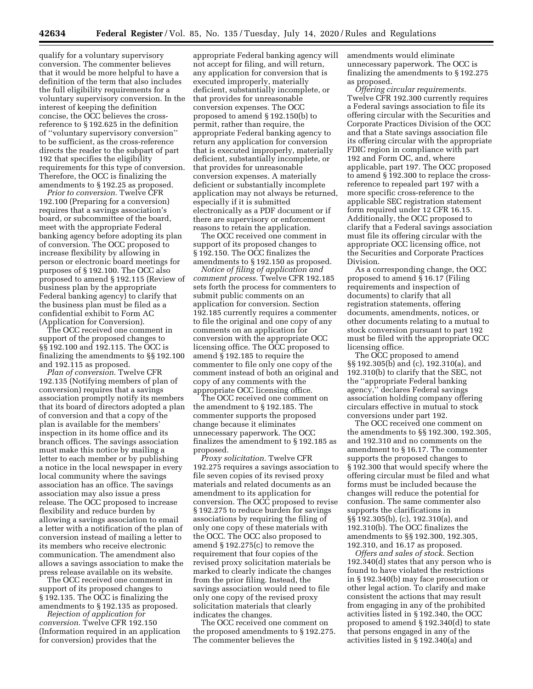qualify for a voluntary supervisory conversion. The commenter believes that it would be more helpful to have a definition of the term that also includes the full eligibility requirements for a voluntary supervisory conversion. In the interest of keeping the definition concise, the OCC believes the crossreference to § 192.625 in the definition of ''voluntary supervisory conversion'' to be sufficient, as the cross-reference directs the reader to the subpart of part 192 that specifies the eligibility requirements for this type of conversion. Therefore, the OCC is finalizing the amendments to § 192.25 as proposed.

*Prior to conversion.* Twelve CFR 192.100 (Preparing for a conversion) requires that a savings association's board, or subcommittee of the board, meet with the appropriate Federal banking agency before adopting its plan of conversion. The OCC proposed to increase flexibility by allowing in person or electronic board meetings for purposes of § 192.100. The OCC also proposed to amend § 192.115 (Review of business plan by the appropriate Federal banking agency) to clarify that the business plan must be filed as a confidential exhibit to Form AC (Application for Conversion).

The OCC received one comment in support of the proposed changes to §§ 192.100 and 192.115. The OCC is finalizing the amendments to §§ 192.100 and 192.115 as proposed.

*Plan of conversion.* Twelve CFR 192.135 (Notifying members of plan of conversion) requires that a savings association promptly notify its members that its board of directors adopted a plan of conversion and that a copy of the plan is available for the members' inspection in its home office and its branch offices. The savings association must make this notice by mailing a letter to each member or by publishing a notice in the local newspaper in every local community where the savings association has an office. The savings association may also issue a press release. The OCC proposed to increase flexibility and reduce burden by allowing a savings association to email a letter with a notification of the plan of conversion instead of mailing a letter to its members who receive electronic communication. The amendment also allows a savings association to make the press release available on its website.

The OCC received one comment in support of its proposed changes to § 192.135. The OCC is finalizing the amendments to § 192.135 as proposed.

*Rejection of application for conversion.* Twelve CFR 192.150 (Information required in an application for conversion) provides that the

appropriate Federal banking agency will not accept for filing, and will return, any application for conversion that is executed improperly, materially deficient, substantially incomplete, or that provides for unreasonable conversion expenses. The OCC proposed to amend § 192.150(b) to permit, rather than require, the appropriate Federal banking agency to return any application for conversion that is executed improperly, materially deficient, substantially incomplete, or that provides for unreasonable conversion expenses. A materially deficient or substantially incomplete application may not always be returned, especially if it is submitted electronically as a PDF document or if there are supervisory or enforcement reasons to retain the application.

The OCC received one comment in support of its proposed changes to § 192.150. The OCC finalizes the amendments to § 192.150 as proposed.

*Notice of filing of application and comment process.* Twelve CFR 192.185 sets forth the process for commenters to submit public comments on an application for conversion. Section 192.185 currently requires a commenter to file the original and one copy of any comments on an application for conversion with the appropriate OCC licensing office. The OCC proposed to amend § 192.185 to require the commenter to file only one copy of the comment instead of both an original and copy of any comments with the appropriate OCC licensing office.

The OCC received one comment on the amendment to § 192.185. The commenter supports the proposed change because it eliminates unnecessary paperwork. The OCC finalizes the amendment to § 192.185 as proposed.

*Proxy solicitation.* Twelve CFR 192.275 requires a savings association to file seven copies of its revised proxy materials and related documents as an amendment to its application for conversion. The OCC proposed to revise § 192.275 to reduce burden for savings associations by requiring the filing of only one copy of these materials with the OCC. The OCC also proposed to amend § 192.275(c) to remove the requirement that four copies of the revised proxy solicitation materials be marked to clearly indicate the changes from the prior filing. Instead, the savings association would need to file only one copy of the revised proxy solicitation materials that clearly indicates the changes.

The OCC received one comment on the proposed amendments to § 192.275. The commenter believes the

amendments would eliminate unnecessary paperwork. The OCC is finalizing the amendments to § 192.275 as proposed.

*Offering circular requirements.*  Twelve CFR 192.300 currently requires a Federal savings association to file its offering circular with the Securities and Corporate Practices Division of the OCC and that a State savings association file its offering circular with the appropriate FDIC region in compliance with part 192 and Form OC, and, where applicable, part 197. The OCC proposed to amend § 192.300 to replace the crossreference to repealed part 197 with a more specific cross-reference to the applicable SEC registration statement form required under 12 CFR 16.15. Additionally, the OCC proposed to clarify that a Federal savings association must file its offering circular with the appropriate OCC licensing office, not the Securities and Corporate Practices Division.

As a corresponding change, the OCC proposed to amend § 16.17 (Filing requirements and inspection of documents) to clarify that all registration statements, offering documents, amendments, notices, or other documents relating to a mutual to stock conversion pursuant to part 192 must be filed with the appropriate OCC licensing office.

The OCC proposed to amend §§ 192.305(b) and (c), 192.310(a), and 192.310(b) to clarify that the SEC, not the ''appropriate Federal banking agency,'' declares Federal savings association holding company offering circulars effective in mutual to stock conversions under part 192.

The OCC received one comment on the amendments to §§ 192.300, 192.305, and 192.310 and no comments on the amendment to § 16.17. The commenter supports the proposed changes to § 192.300 that would specify where the offering circular must be filed and what forms must be included because the changes will reduce the potential for confusion. The same commenter also supports the clarifications in §§ 192.305(b), (c), 192.310(a), and 192.310(b). The OCC finalizes the amendments to §§ 192.300, 192.305, 192.310, and 16.17 as proposed.

*Offers and sales of stock.* Section 192.340(d) states that any person who is found to have violated the restrictions in § 192.340(b) may face prosecution or other legal action. To clarify and make consistent the actions that may result from engaging in any of the prohibited activities listed in § 192.340, the OCC proposed to amend § 192.340(d) to state that persons engaged in any of the activities listed in § 192.340(a) and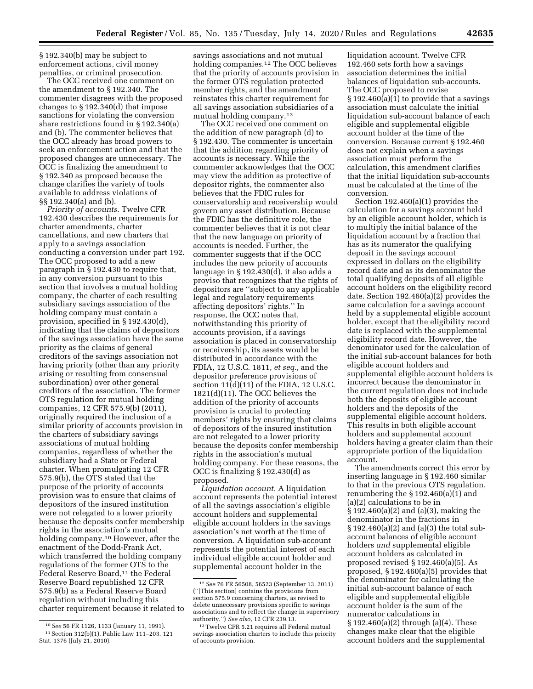§ 192.340(b) may be subject to enforcement actions, civil money penalties, or criminal prosecution.

The OCC received one comment on the amendment to § 192.340. The commenter disagrees with the proposed changes to § 192.340(d) that impose sanctions for violating the conversion share restrictions found in § 192.340(a) and (b). The commenter believes that the OCC already has broad powers to seek an enforcement action and that the proposed changes are unnecessary. The OCC is finalizing the amendment to § 192.340 as proposed because the change clarifies the variety of tools available to address violations of §§ 192.340(a) and (b).

*Priority of accounts.* Twelve CFR 192.430 describes the requirements for charter amendments, charter cancellations, and new charters that apply to a savings association conducting a conversion under part 192. The OCC proposed to add a new paragraph in § 192.430 to require that, in any conversion pursuant to this section that involves a mutual holding company, the charter of each resulting subsidiary savings association of the holding company must contain a provision, specified in § 192.430(d), indicating that the claims of depositors of the savings association have the same priority as the claims of general creditors of the savings association not having priority (other than any priority arising or resulting from consensual subordination) over other general creditors of the association. The former OTS regulation for mutual holding companies, 12 CFR 575.9(b) (2011), originally required the inclusion of a similar priority of accounts provision in the charters of subsidiary savings associations of mutual holding companies, regardless of whether the subsidiary had a State or Federal charter. When promulgating 12 CFR 575.9(b), the OTS stated that the purpose of the priority of accounts provision was to ensure that claims of depositors of the insured institution were not relegated to a lower priority because the deposits confer membership rights in the association's mutual holding company.10 However, after the enactment of the Dodd-Frank Act, which transferred the holding company regulations of the former OTS to the Federal Reserve Board,<sup>11</sup> the Federal Reserve Board republished 12 CFR 575.9(b) as a Federal Reserve Board regulation without including this charter requirement because it related to savings associations and not mutual holding companies.12 The OCC believes that the priority of accounts provision in the former OTS regulation protected member rights, and the amendment reinstates this charter requirement for all savings association subsidiaries of a mutual holding company.13

The OCC received one comment on the addition of new paragraph (d) to § 192.430. The commenter is uncertain that the addition regarding priority of accounts is necessary. While the commenter acknowledges that the OCC may view the addition as protective of depositor rights, the commenter also believes that the FDIC rules for conservatorship and receivership would govern any asset distribution. Because the FDIC has the definitive role, the commenter believes that it is not clear that the new language on priority of accounts is needed. Further, the commenter suggests that if the OCC includes the new priority of accounts language in § 192.430(d), it also adds a proviso that recognizes that the rights of depositors are ''subject to any applicable legal and regulatory requirements affecting depositors' rights.'' In response, the OCC notes that, notwithstanding this priority of accounts provision, if a savings association is placed in conservatorship or receivership, its assets would be distributed in accordance with the FDIA, 12 U.S.C. 1811, *et seq.,* and the depositor preference provisions of section 11(d)(11) of the FDIA, 12 U.S.C. 1821(d)(11). The OCC believes the addition of the priority of accounts provision is crucial to protecting members' rights by ensuring that claims of depositors of the insured institution are not relegated to a lower priority because the deposits confer membership rights in the association's mutual holding company. For these reasons, the OCC is finalizing § 192.430(d) as proposed.

*Liquidation account.* A liquidation account represents the potential interest of all the savings association's eligible account holders and supplemental eligible account holders in the savings association's net worth at the time of conversion. A liquidation sub-account represents the potential interest of each individual eligible account holder and supplemental account holder in the

liquidation account. Twelve CFR 192.460 sets forth how a savings association determines the initial balances of liquidation sub-accounts. The OCC proposed to revise § 192.460(a)(1) to provide that a savings association must calculate the initial liquidation sub-account balance of each eligible and supplemental eligible account holder at the time of the conversion. Because current § 192.460 does not explain when a savings association must perform the calculation, this amendment clarifies that the initial liquidation sub-accounts must be calculated at the time of the conversion.

Section 192.460(a)(1) provides the calculation for a savings account held by an eligible account holder, which is to multiply the initial balance of the liquidation account by a fraction that has as its numerator the qualifying deposit in the savings account expressed in dollars on the eligibility record date and as its denominator the total qualifying deposits of all eligible account holders on the eligibility record date. Section 192.460(a)(2) provides the same calculation for a savings account held by a supplemental eligible account holder, except that the eligibility record date is replaced with the supplemental eligibility record date. However, the denominator used for the calculation of the initial sub-account balances for both eligible account holders and supplemental eligible account holders is incorrect because the denominator in the current regulation does not include both the deposits of eligible account holders and the deposits of the supplemental eligible account holders. This results in both eligible account holders and supplemental account holders having a greater claim than their appropriate portion of the liquidation account.

The amendments correct this error by inserting language in § 192.460 similar to that in the previous OTS regulation, renumbering the § 192.460(a)(1) and (a)(2) calculations to be in § 192.460(a)(2) and (a)(3), making the denominator in the fractions in § 192.460(a)(2) and (a)(3) the total subaccount balances of eligible account holders *and* supplemental eligible account holders as calculated in proposed revised § 192.460(a)(5). As proposed, § 192.460(a)(5) provides that the denominator for calculating the initial sub-account balance of each eligible and supplemental eligible account holder is the sum of the numerator calculations in § 192.460(a)(2) through (a)(4). These changes make clear that the eligible account holders and the supplemental

<sup>10</sup>*See* 56 FR 1126, 1133 (January 11, 1991). 11Section 312(b)(1), Public Law 111–203. 121 Stat. 1376 (July 21, 2010).

<sup>12</sup>*See* 76 FR 56508, 56523 (September 13, 2011) (''[This section] contains the provisions from section 575.9 concerning charters, as revised to delete unnecessary provisions specific to savings associations and to reflect the change in supervisory authority.'') *See also,* 12 CFR 239.13.

<sup>13</sup>Twelve CFR 5.21 requires all Federal mutual savings association charters to include this priority of accounts provision.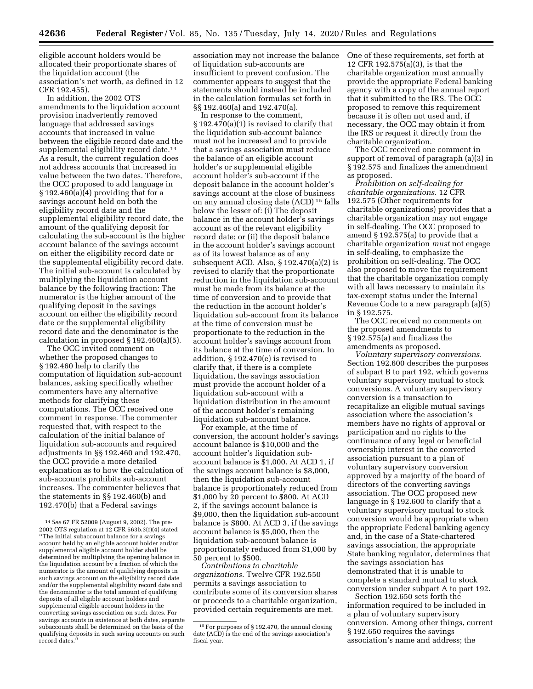eligible account holders would be allocated their proportionate shares of the liquidation account (the association's net worth, as defined in 12 CFR 192.455).

In addition, the 2002 OTS amendments to the liquidation account provision inadvertently removed language that addressed savings accounts that increased in value between the eligible record date and the supplemental eligibility record date.<sup>14</sup> As a result, the current regulation does not address accounts that increased in value between the two dates. Therefore, the OCC proposed to add language in  $\S 192.460(a)(4)$  providing that for a savings account held on both the eligibility record date and the supplemental eligibility record date, the amount of the qualifying deposit for calculating the sub-account is the higher account balance of the savings account on either the eligibility record date or the supplemental eligibility record date. The initial sub-account is calculated by multiplying the liquidation account balance by the following fraction: The numerator is the higher amount of the qualifying deposit in the savings account on either the eligibility record date or the supplemental eligibility record date and the denominator is the calculation in proposed § 192.460(a)(5).

The OCC invited comment on whether the proposed changes to § 192.460 help to clarify the computation of liquidation sub-account balances, asking specifically whether commenters have any alternative methods for clarifying these computations. The OCC received one comment in response. The commenter requested that, with respect to the calculation of the initial balance of liquidation sub-accounts and required adjustments in §§ 192.460 and 192.470, the OCC provide a more detailed explanation as to how the calculation of sub-accounts prohibits sub-account increases. The commenter believes that the statements in §§ 192.460(b) and 192.470(b) that a Federal savings

association may not increase the balance of liquidation sub-accounts are insufficient to prevent confusion. The commenter appears to suggest that the statements should instead be included in the calculation formulas set forth in §§ 192.460(a) and 192.470(a).

In response to the comment, § 192.470(a)(1) is revised to clarify that the liquidation sub-account balance must not be increased and to provide that a savings association must reduce the balance of an eligible account holder's or supplemental eligible account holder's sub-account if the deposit balance in the account holder's savings account at the close of business on any annual closing date (ACD) 15 falls below the lesser of: (i) The deposit balance in the account holder's savings account as of the relevant eligibility record date; or (ii) the deposit balance in the account holder's savings account as of its lowest balance as of any subsequent ACD. Also, § 192.470(a)(2) is revised to clarify that the proportionate reduction in the liquidation sub-account must be made from its balance at the time of conversion and to provide that the reduction in the account holder's liquidation sub-account from its balance at the time of conversion must be proportionate to the reduction in the account holder's savings account from its balance at the time of conversion. In addition, § 192.470(e) is revised to clarify that, if there is a complete liquidation, the savings association must provide the account holder of a liquidation sub-account with a liquidation distribution in the amount of the account holder's remaining liquidation sub-account balance.

For example, at the time of conversion, the account holder's savings account balance is \$10,000 and the account holder's liquidation subaccount balance is \$1,000. At ACD 1, if the savings account balance is \$8,000, then the liquidation sub-account balance is proportionately reduced from \$1,000 by 20 percent to \$800. At ACD 2, if the savings account balance is \$9,000, then the liquidation sub-account balance is \$800. At ACD 3, if the savings account balance is \$5,000, then the liquidation sub-account balance is proportionately reduced from \$1,000 by 50 percent to \$500.

*Contributions to charitable organizations.* Twelve CFR 192.550 permits a savings association to contribute some of its conversion shares or proceeds to a charitable organization, provided certain requirements are met.

One of these requirements, set forth at 12 CFR 192.575(a)(3), is that the charitable organization must annually provide the appropriate Federal banking agency with a copy of the annual report that it submitted to the IRS. The OCC proposed to remove this requirement because it is often not used and, if necessary, the OCC may obtain it from the IRS or request it directly from the charitable organization.

The OCC received one comment in support of removal of paragraph (a)(3) in § 192.575 and finalizes the amendment as proposed.

*Prohibition on self-dealing for charitable organizations.* 12 CFR 192.575 (Other requirements for charitable organizations) provides that a charitable organization may not engage in self-dealing. The OCC proposed to amend § 192.575(a) to provide that a charitable organization *must* not engage in self-dealing, to emphasize the prohibition on self-dealing. The OCC also proposed to move the requirement that the charitable organization comply with all laws necessary to maintain its tax-exempt status under the Internal Revenue Code to a new paragraph (a)(5) in § 192.575.

The OCC received no comments on the proposed amendments to § 192.575(a) and finalizes the amendments as proposed.

*Voluntary supervisory conversions.*  Section 192.600 describes the purposes of subpart B to part 192, which governs voluntary supervisory mutual to stock conversions. A voluntary supervisory conversion is a transaction to recapitalize an eligible mutual savings association where the association's members have no rights of approval or participation and no rights to the continuance of any legal or beneficial ownership interest in the converted association pursuant to a plan of voluntary supervisory conversion approved by a majority of the board of directors of the converting savings association. The OCC proposed new language in § 192.600 to clarify that a voluntary supervisory mutual to stock conversion would be appropriate when the appropriate Federal banking agency and, in the case of a State-chartered savings association, the appropriate State banking regulator, determines that the savings association has demonstrated that it is unable to complete a standard mutual to stock conversion under subpart A to part 192.

Section 192.650 sets forth the information required to be included in a plan of voluntary supervisory conversion. Among other things, current § 192.650 requires the savings association's name and address; the

<sup>14</sup>*See* 67 FR 52009 (August 9, 2002). The pre-2002 OTS regulation at 12 CFR 563b.3(f)(4) stated ''The initial subaccount balance for a savings account held by an eligible account holder and/or supplemental eligible account holder shall be determined by multiplying the opening balance in the liquidation account by a fraction of which the numerator is the amount of qualifying deposits in such savings account on the eligibility record date and/or the supplemental eligibility record date and the denominator is the total amount of qualifying deposits of all eligible account holders and supplemental eligible account holders in the converting savings association on such dates. For savings accounts in existence at both dates, separate subaccounts shall be determined on the basis of the qualifying deposits in such saving accounts on such record dates

<sup>15</sup>For purposes of § 192.470, the annual closing date (ACD) is the end of the savings association's fiscal year.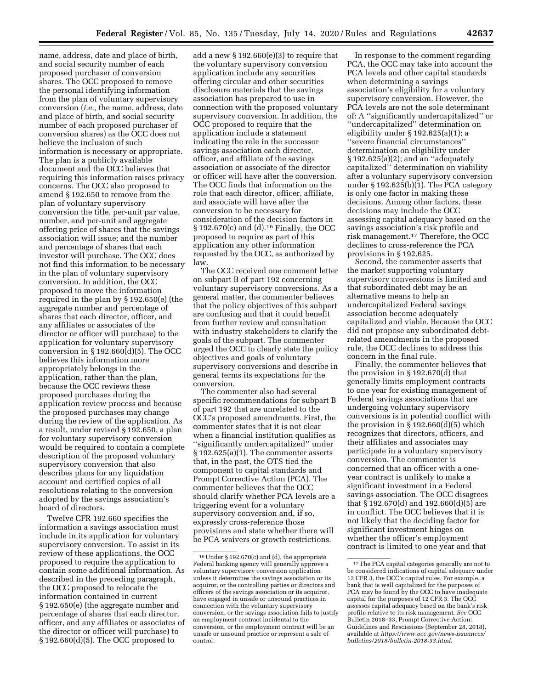name, address, date and place of birth, and social security number of each proposed purchaser of conversion shares. The OCC proposed to remove the personal identifying information from the plan of voluntary supervisory conversion (*i.e.,* the name, address, date and place of birth, and social security number of each proposed purchaser of conversion shares) as the OCC does not believe the inclusion of such information is necessary or appropriate. The plan is a publicly available document and the OCC believes that requiring this information raises privacy concerns. The OCC also proposed to amend § 192.650 to remove from the plan of voluntary supervisory conversion the title, per-unit par value, number, and per-unit and aggregate offering price of shares that the savings association will issue; and the number and percentage of shares that each investor will purchase. The OCC does not find this information to be necessary in the plan of voluntary supervisory conversion. In addition, the OCC proposed to move the information required in the plan by § 192.650(e) (the aggregate number and percentage of shares that each director, officer, and any affiliates or associates of the director or officer will purchase) to the application for voluntary supervisory conversion in § 192.660(d)(5). The OCC believes this information more appropriately belongs in the application, rather than the plan, because the OCC reviews these proposed purchases during the application review process and because the proposed purchases may change during the review of the application. As a result, under revised § 192.650, a plan for voluntary supervisory conversion would be required to contain a complete description of the proposed voluntary supervisory conversion that also describes plans for any liquidation account and certified copies of all resolutions relating to the conversion adopted by the savings association's board of directors.

Twelve CFR 192.660 specifies the information a savings association must include in its application for voluntary supervisory conversion. To assist in its review of these applications, the OCC proposed to require the application to contain some additional information. As described in the preceding paragraph, the OCC proposed to relocate the information contained in current § 192.650(e) (the aggregate number and percentage of shares that each director, officer, and any affiliates or associates of the director or officer will purchase) to § 192.660(d)(5). The OCC proposed to

add a new § 192.660(e)(3) to require that the voluntary supervisory conversion application include any securities offering circular and other securities disclosure materials that the savings association has prepared to use in connection with the proposed voluntary supervisory conversion. In addition, the OCC proposed to require that the application include a statement indicating the role in the successor savings association each director, officer, and affiliate of the savings association or associate of the director or officer will have after the conversion. The OCC finds that information on the role that each director, officer, affiliate, and associate will have after the conversion to be necessary for consideration of the decision factors in § 192.670(c) and (d).16 Finally, the OCC proposed to require as part of this application any other information requested by the OCC, as authorized by law.

The OCC received one comment letter on subpart B of part 192 concerning voluntary supervisory conversions. As a general matter, the commenter believes that the policy objectives of this subpart are confusing and that it could benefit from further review and consultation with industry stakeholders to clarify the goals of the subpart. The commenter urged the OCC to clearly state the policy objectives and goals of voluntary supervisory conversions and describe in general terms its expectations for the conversion.

The commenter also had several specific recommendations for subpart B of part 192 that are unrelated to the OCC's proposed amendments. First, the commenter states that it is not clear when a financial institution qualifies as ''significantly undercapitalized'' under § 192.625(a)(1). The commenter asserts that, in the past, the OTS tied the component to capital standards and Prompt Corrective Action (PCA). The commenter believes that the OCC should clarify whether PCA levels are a triggering event for a voluntary supervisory conversion and, if so, expressly cross-reference those provisions and state whether there will be PCA waivers or growth restrictions.

In response to the comment regarding PCA, the OCC may take into account the PCA levels and other capital standards when determining a savings association's eligibility for a voluntary supervisory conversion. However, the PCA levels are not the sole determinant of: A ''significantly undercapitalized'' or ''undercapitalized'' determination on eligibility under § 192.625(a)(1); a ''severe financial circumstances'' determination on eligibility under § 192.625(a)(2); and an ''adequately capitalized'' determination on viability after a voluntary supervisory conversion under § 192.625(b)(1). The PCA category is only one factor in making these decisions. Among other factors, these decisions may include the OCC assessing capital adequacy based on the savings association's risk profile and risk management.17 Therefore, the OCC declines to cross-reference the PCA provisions in § 192.625.

Second, the commenter asserts that the market supporting voluntary supervisory conversions is limited and that subordinated debt may be an alternative means to help an undercapitalized Federal savings association become adequately capitalized and viable. Because the OCC did not propose any subordinated debtrelated amendments in the proposed rule, the OCC declines to address this concern in the final rule.

Finally, the commenter believes that the provision in § 192.670(d) that generally limits employment contracts to one year for existing management of Federal savings associations that are undergoing voluntary supervisory conversions is in potential conflict with the provision in § 192.660(d)(5) which recognizes that directors, officers, and their affiliates and associates may participate in a voluntary supervisory conversion. The commenter is concerned that an officer with a oneyear contract is unlikely to make a significant investment in a Federal savings association. The OCC disagrees that § 192.670(d) and 192.660(d)(5) are in conflict. The OCC believes that it is not likely that the deciding factor for significant investment hinges on whether the officer's employment contract is limited to one year and that

<sup>16</sup>Under § 192.670(c) and (d), the appropriate Federal banking agency will generally approve a voluntary supervisory conversion application unless it determines the savings association or its acquiror, or the controlling parties or directors and officers of the savings association or its acquiror, have engaged in unsafe or unsound practices in connection with the voluntary supervisory conversion, or the savings association fails to justify an employment contract incidental to the conversion, or the employment contract will be an unsafe or unsound practice or represent a sale of control.

 $^{\rm 17}\!\!$  The PCA capital categories generally are not to be considered indications of capital adequacy under 12 CFR 3, the OCC's capital rules. For example, a bank that is well capitalized for the purposes of PCA may be found by the OCC to have inadequate capital for the purposes of 12 CFR 3. The OCC assesses capital adequacy based on the bank's risk profile relative to its risk management. *See* OCC Bulletin 2018–33, Prompt Corrective Action: Guidelines and Rescissions (September 28, 2018), available at *[https://www.occ.gov/news-issuances/](https://www.occ.gov/news-issuances/bulletins/2018/bulletin-2018-33.html)  [bulletins/2018/bulletin-2018-33.html.](https://www.occ.gov/news-issuances/bulletins/2018/bulletin-2018-33.html)*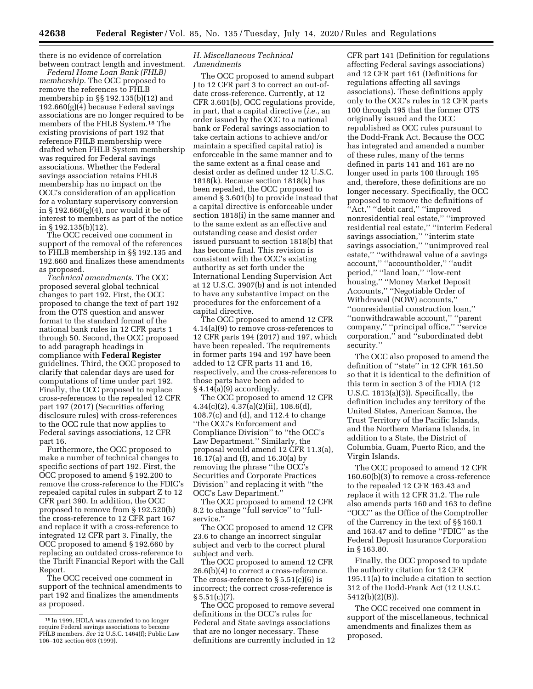there is no evidence of correlation between contract length and investment.

*Federal Home Loan Bank (FHLB) membership.* The OCC proposed to remove the references to FHLB membership in §§ 192.135(b)(12) and 192.660(g)(4) because Federal savings associations are no longer required to be members of the FHLB System.18 The existing provisions of part 192 that reference FHLB membership were drafted when FHLB System membership was required for Federal savings associations. Whether the Federal savings association retains FHLB membership has no impact on the OCC's consideration of an application for a voluntary supervisory conversion in § 192.660(g)(4), nor would it be of interest to members as part of the notice in § 192.135(b)(12).

The OCC received one comment in support of the removal of the references to FHLB membership in §§ 192.135 and 192.660 and finalizes these amendments as proposed.

*Technical amendments.* The OCC proposed several global technical changes to part 192. First, the OCC proposed to change the text of part 192 from the OTS question and answer format to the standard format of the national bank rules in 12 CFR parts 1 through 50. Second, the OCC proposed to add paragraph headings in compliance with **Federal Register**  guidelines. Third, the OCC proposed to clarify that calendar days are used for computations of time under part 192. Finally, the OCC proposed to replace cross-references to the repealed 12 CFR part 197 (2017) (Securities offering disclosure rules) with cross-references to the OCC rule that now applies to Federal savings associations, 12 CFR part 16.

Furthermore, the OCC proposed to make a number of technical changes to specific sections of part 192. First, the OCC proposed to amend § 192.200 to remove the cross-reference to the FDIC's repealed capital rules in subpart Z to 12 CFR part 390. In addition, the OCC proposed to remove from § 192.520(b) the cross-reference to 12 CFR part 167 and replace it with a cross-reference to integrated 12 CFR part 3. Finally, the OCC proposed to amend § 192.660 by replacing an outdated cross-reference to the Thrift Financial Report with the Call Report.

The OCC received one comment in support of the technical amendments to part 192 and finalizes the amendments as proposed.

# *H. Miscellaneous Technical Amendments*

The OCC proposed to amend subpart J to 12 CFR part 3 to correct an out-ofdate cross-reference. Currently, at 12 CFR 3.601(b), OCC regulations provide, in part, that a capital directive (*i.e.,* an order issued by the OCC to a national bank or Federal savings association to take certain actions to achieve and/or maintain a specified capital ratio) is enforceable in the same manner and to the same extent as a final cease and desist order as defined under 12 U.S.C. 1818(k). Because section 1818(k) has been repealed, the OCC proposed to amend § 3.601(b) to provide instead that a capital directive is enforceable under section 1818(i) in the same manner and to the same extent as an effective and outstanding cease and desist order issued pursuant to section 1818(b) that has become final. This revision is consistent with the OCC's existing authority as set forth under the International Lending Supervision Act at 12 U.S.C. 3907(b) and is not intended to have any substantive impact on the procedures for the enforcement of a capital directive.

The OCC proposed to amend 12 CFR 4.14(a)(9) to remove cross-references to 12 CFR parts 194 (2017) and 197, which have been repealed. The requirements in former parts 194 and 197 have been added to 12 CFR parts 11 and 16, respectively, and the cross-references to those parts have been added to  $§$  4.14(a)(9) accordingly.

The OCC proposed to amend 12 CFR  $4.34(c)(2), 4.37(a)(2)(ii), 108.6(d),$ 108.7(c) and (d), and 112.4 to change ''the OCC's Enforcement and Compliance Division'' to ''the OCC's Law Department.'' Similarly, the proposal would amend 12 CFR 11.3(a), 16.17(a) and (f), and 16.30(a) by removing the phrase ''the OCC's Securities and Corporate Practices Division'' and replacing it with ''the OCC's Law Department.''

The OCC proposed to amend 12 CFR 8.2 to change ''full service'' to ''fullservice.''

The OCC proposed to amend 12 CFR 23.6 to change an incorrect singular subject and verb to the correct plural subject and verb.

The OCC proposed to amend 12 CFR 26.6(b)(4) to correct a cross-reference. The cross-reference to  $\S 5.51(c)(6)$  is incorrect; the correct cross-reference is  $§ 5.51(c)(7)$ .

The OCC proposed to remove several definitions in the OCC's rules for Federal and State savings associations that are no longer necessary. These definitions are currently included in 12

CFR part 141 (Definition for regulations affecting Federal savings associations) and 12 CFR part 161 (Definitions for regulations affecting all savings associations). These definitions apply only to the OCC's rules in 12 CFR parts 100 through 195 that the former OTS originally issued and the OCC republished as OCC rules pursuant to the Dodd-Frank Act. Because the OCC has integrated and amended a number of these rules, many of the terms defined in parts 141 and 161 are no longer used in parts 100 through 195 and, therefore, these definitions are no longer necessary. Specifically, the OCC proposed to remove the definitions of "Act," "debit card," "improved nonresidential real estate,'' ''improved residential real estate,'' ''interim Federal savings association," "interim state savings association," "unimproved real estate,'' ''withdrawal value of a savings account,'' ''accountholder,'' ''audit period,'' ''land loan,'' ''low-rent housing,'' ''Money Market Deposit Accounts,'' ''Negotiable Order of Withdrawal (NOW) accounts,'' ''nonresidential construction loan,'' ''nonwithdrawable account,'' ''parent company,'' ''principal office,'' ''service corporation,'' and ''subordinated debt security.''

The OCC also proposed to amend the definition of ''state'' in 12 CFR 161.50 so that it is identical to the definition of this term in section 3 of the FDIA (12 U.S.C. 1813(a)(3)). Specifically, the definition includes any territory of the United States, American Samoa, the Trust Territory of the Pacific Islands, and the Northern Mariana Islands, in addition to a State, the District of Columbia, Guam, Puerto Rico, and the Virgin Islands.

The OCC proposed to amend 12 CFR 160.60(b)(3) to remove a cross-reference to the repealed 12 CFR 163.43 and replace it with 12 CFR 31.2. The rule also amends parts 160 and 163 to define ''OCC'' as the Office of the Comptroller of the Currency in the text of §§ 160.1 and 163.47 and to define ''FDIC'' as the Federal Deposit Insurance Corporation in § 163.80.

Finally, the OCC proposed to update the authority citation for 12 CFR 195.11(a) to include a citation to section 312 of the Dodd-Frank Act (12 U.S.C. 5412(b)(2)(B)).

The OCC received one comment in support of the miscellaneous, technical amendments and finalizes them as proposed.

<sup>18</sup> In 1999, HOLA was amended to no longer require Federal savings associations to become FHLB members. *See* 12 U.S.C. 1464(f); Public Law 106–102 section 603 (1999).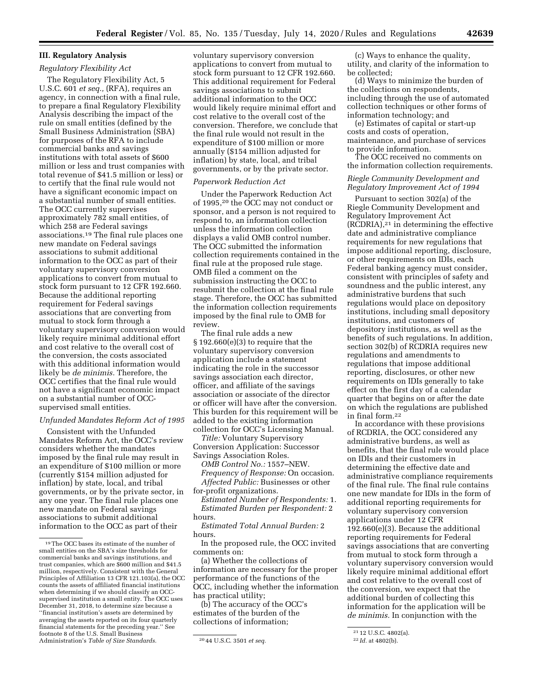# **III. Regulatory Analysis**  *Regulatory Flexibility Act*

The Regulatory Flexibility Act, 5 U.S.C. 601 *et seq.,* (RFA), requires an agency, in connection with a final rule, to prepare a final Regulatory Flexibility Analysis describing the impact of the rule on small entities (defined by the Small Business Administration (SBA) for purposes of the RFA to include commercial banks and savings institutions with total assets of \$600 million or less and trust companies with total revenue of \$41.5 million or less) or to certify that the final rule would not have a significant economic impact on a substantial number of small entities. The OCC currently supervises approximately 782 small entities, of which 258 are Federal savings associations.19 The final rule places one new mandate on Federal savings associations to submit additional information to the OCC as part of their voluntary supervisory conversion applications to convert from mutual to stock form pursuant to 12 CFR 192.660. Because the additional reporting requirement for Federal savings associations that are converting from mutual to stock form through a voluntary supervisory conversion would likely require minimal additional effort and cost relative to the overall cost of the conversion, the costs associated with this additional information would likely be *de minimis.* Therefore, the OCC certifies that the final rule would not have a significant economic impact on a substantial number of OCCsupervised small entities.

#### *Unfunded Mandates Reform Act of 1995*

Consistent with the Unfunded Mandates Reform Act, the OCC's review considers whether the mandates imposed by the final rule may result in an expenditure of \$100 million or more (currently \$154 million adjusted for inflation) by state, local, and tribal governments, or by the private sector, in any one year. The final rule places one new mandate on Federal savings associations to submit additional information to the OCC as part of their

voluntary supervisory conversion applications to convert from mutual to stock form pursuant to 12 CFR 192.660. This additional requirement for Federal savings associations to submit additional information to the OCC would likely require minimal effort and cost relative to the overall cost of the conversion. Therefore, we conclude that the final rule would not result in the expenditure of \$100 million or more annually (\$154 million adjusted for inflation) by state, local, and tribal governments, or by the private sector.

# *Paperwork Reduction Act*

Under the Paperwork Reduction Act of 1995,20 the OCC may not conduct or sponsor, and a person is not required to respond to, an information collection unless the information collection displays a valid OMB control number. The OCC submitted the information collection requirements contained in the final rule at the proposed rule stage. OMB filed a comment on the submission instructing the OCC to resubmit the collection at the final rule stage. Therefore, the OCC has submitted the information collection requirements imposed by the final rule to OMB for review.

The final rule adds a new  $§ 192.660(e)(3)$  to require that the voluntary supervisory conversion application include a statement indicating the role in the successor savings association each director, officer, and affiliate of the savings association or associate of the director or officer will have after the conversion. This burden for this requirement will be added to the existing information collection for OCC's Licensing Manual.

*Title:* Voluntary Supervisory Conversion Application: Successor Savings Association Roles.

*OMB Control No.:* 1557–NEW.

*Frequency of Response:* On occasion. *Affected Public:* Businesses or other for-profit organizations.

*Estimated Number of Respondents:* 1. *Estimated Burden per Respondent:* 2 hours.

*Estimated Total Annual Burden:* 2 hours.

In the proposed rule, the OCC invited comments on:

(a) Whether the collections of information are necessary for the proper performance of the functions of the OCC, including whether the information has practical utility;

(b) The accuracy of the OCC's estimates of the burden of the collections of information;

(c) Ways to enhance the quality, utility, and clarity of the information to be collected;

(d) Ways to minimize the burden of the collections on respondents, including through the use of automated collection techniques or other forms of information technology; and

(e) Estimates of capital or start-up costs and costs of operation, maintenance, and purchase of services to provide information.

The OCC received no comments on the information collection requirements.

# *Riegle Community Development and Regulatory Improvement Act of 1994*

Pursuant to section 302(a) of the Riegle Community Development and Regulatory Improvement Act (RCDRIA),21 in determining the effective date and administrative compliance requirements for new regulations that impose additional reporting, disclosure, or other requirements on IDIs, each Federal banking agency must consider, consistent with principles of safety and soundness and the public interest, any administrative burdens that such regulations would place on depository institutions, including small depository institutions, and customers of depository institutions, as well as the benefits of such regulations. In addition, section 302(b) of RCDRIA requires new regulations and amendments to regulations that impose additional reporting, disclosures, or other new requirements on IDIs generally to take effect on the first day of a calendar quarter that begins on or after the date on which the regulations are published in final form.22

In accordance with these provisions of RCDRIA, the OCC considered any administrative burdens, as well as benefits, that the final rule would place on IDIs and their customers in determining the effective date and administrative compliance requirements of the final rule. The final rule contains one new mandate for IDIs in the form of additional reporting requirements for voluntary supervisory conversion applications under 12 CFR 192.660(e)(3). Because the additional reporting requirements for Federal savings associations that are converting from mutual to stock form through a voluntary supervisory conversion would likely require minimal additional effort and cost relative to the overall cost of the conversion, we expect that the additional burden of collecting this information for the application will be *de minimis.* In conjunction with the

<sup>19</sup>The OCC bases its estimate of the number of small entities on the SBA's size thresholds for commercial banks and savings institutions, and trust companies, which are \$600 million and \$41.5 million, respectively. Consistent with the General Principles of Affiliation 13 CFR 121.103(a), the OCC counts the assets of affiliated financial institutions when determining if we should classify an OCCsupervised institution a small entity. The OCC uses December 31, 2018, to determine size because a ''financial institution's assets are determined by averaging the assets reported on its four quarterly financial statements for the preceding year.'' See footnote 8 of the U.S. Small Business Administration's *Table of Size Standards.* 20 44 U.S.C. 3501 *et seq.* 

<sup>21</sup> 12 U.S.C. 4802(a). 22 *Id.* at 4802(b).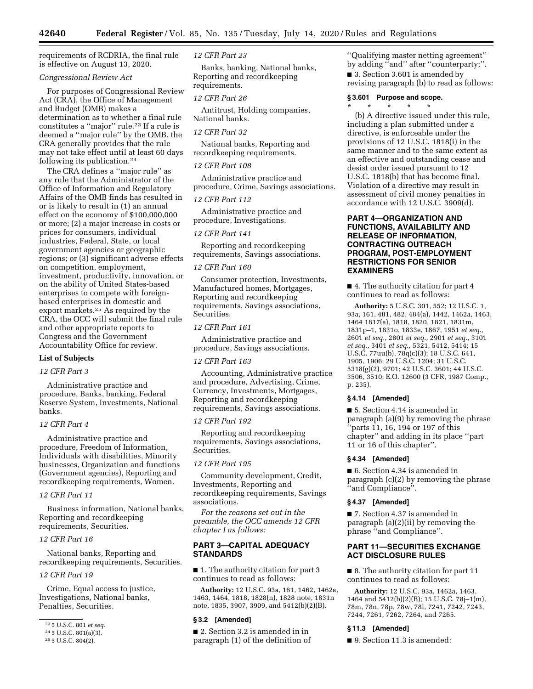requirements of RCDRIA, the final rule is effective on August 13, 2020.

## *Congressional Review Act*

For purposes of Congressional Review Act (CRA), the Office of Management and Budget (OMB) makes a determination as to whether a final rule constitutes a ''major'' rule.23 If a rule is deemed a ''major rule'' by the OMB, the CRA generally provides that the rule may not take effect until at least 60 days following its publication.24

The CRA defines a ''major rule'' as any rule that the Administrator of the Office of Information and Regulatory Affairs of the OMB finds has resulted in or is likely to result in (1) an annual effect on the economy of \$100,000,000 or more; (2) a major increase in costs or prices for consumers, individual industries, Federal, State, or local government agencies or geographic regions; or (3) significant adverse effects on competition, employment, investment, productivity, innovation, or on the ability of United States-based enterprises to compete with foreignbased enterprises in domestic and export markets.25 As required by the CRA, the OCC will submit the final rule and other appropriate reports to Congress and the Government Accountability Office for review.

# **List of Subjects**

# *12 CFR Part 3*

Administrative practice and procedure, Banks, banking, Federal Reserve System, Investments, National banks.

# *12 CFR Part 4*

Administrative practice and procedure, Freedom of Information, Individuals with disabilities, Minority businesses, Organization and functions (Government agencies), Reporting and recordkeeping requirements, Women.

#### *12 CFR Part 11*

Business information, National banks, Reporting and recordkeeping requirements, Securities.

# *12 CFR Part 16*

National banks, Reporting and recordkeeping requirements, Securities.

# *12 CFR Part 19*

Crime, Equal access to justice, Investigations, National banks, Penalties, Securities.

*12 CFR Part 23* 

Banks, banking, National banks, Reporting and recordkeeping requirements.

## *12 CFR Part 26*

Antitrust, Holding companies, National banks.

#### *12 CFR Part 32*

National banks, Reporting and recordkeeping requirements.

#### *12 CFR Part 108*

Administrative practice and procedure, Crime, Savings associations.

## *12 CFR Part 112*

Administrative practice and procedure, Investigations.

## *12 CFR Part 141*

Reporting and recordkeeping requirements, Savings associations.

#### *12 CFR Part 160*

Consumer protection, Investments, Manufactured homes, Mortgages, Reporting and recordkeeping requirements, Savings associations, Securities.

#### *12 CFR Part 161*

Administrative practice and procedure, Savings associations.

#### *12 CFR Part 163*

Accounting, Administrative practice and procedure, Advertising, Crime, Currency, Investments, Mortgages, Reporting and recordkeeping requirements, Savings associations.

### *12 CFR Part 192*

Reporting and recordkeeping requirements, Savings associations, Securities.

# *12 CFR Part 195*

Community development, Credit, Investments, Reporting and recordkeeping requirements, Savings associations.

*For the reasons set out in the preamble, the OCC amends 12 CFR chapter I as follows:* 

# **PART 3—CAPITAL ADEQUACY STANDARDS**

■ 1. The authority citation for part 3 continues to read as follows:

**Authority:** 12 U.S.C. 93a, 161, 1462, 1462a, 1463, 1464, 1818, 1828(n), 1828 note, 1831n note, 1835, 3907, 3909, and 5412(b)(2)(B).

#### **§ 3.2 [Amended]**

■ 2. Section 3.2 is amended in in paragraph (1) of the definition of

''Qualifying master netting agreement'' by adding ''and'' after ''counterparty;''. ■ 3. Section 3.601 is amended by revising paragraph (b) to read as follows:

#### **§ 3.601 Purpose and scope.**

\* \* \* \* \* (b) A directive issued under this rule, including a plan submitted under a directive, is enforceable under the provisions of 12 U.S.C. 1818(i) in the same manner and to the same extent as an effective and outstanding cease and desist order issued pursuant to 12 U.S.C. 1818(b) that has become final. Violation of a directive may result in assessment of civil money penalties in accordance with 12 U.S.C. 3909(d).

# **PART 4—ORGANIZATION AND FUNCTIONS, AVAILABILITY AND RELEASE OF INFORMATION, CONTRACTING OUTREACH PROGRAM, POST-EMPLOYMENT RESTRICTIONS FOR SENIOR EXAMINERS**

■ 4. The authority citation for part 4 continues to read as follows:

**Authority:** 5 U.S.C. 301, 552; 12 U.S.C. 1, 93a, 161, 481, 482, 484(a), 1442, 1462a, 1463, 1464 1817(a), 1818, 1820, 1821, 1831m, 1831p–1, 1831o, 1833e, 1867, 1951 *et seq.,*  2601 *et seq.,* 2801 *et seq.,* 2901 *et seq.,* 3101 *et seq.,* 3401 *et seq.,* 5321, 5412, 5414; 15 U.S.C. 77uu(b), 78q(c)(3); 18 U.S.C. 641, 1905, 1906; 29 U.S.C. 1204; 31 U.S.C. 5318(g)(2), 9701; 42 U.S.C. 3601; 44 U.S.C. 3506, 3510; E.O. 12600 (3 CFR, 1987 Comp., p. 235).

# **§ 4.14 [Amended]**

■ 5. Section 4.14 is amended in paragraph (a)(9) by removing the phrase ''parts 11, 16, 194 or 197 of this chapter'' and adding in its place ''part 11 or 16 of this chapter''.

# **§ 4.34 [Amended]**

■ 6. Section 4.34 is amended in paragraph (c)(2) by removing the phrase ''and Compliance''.

#### **§ 4.37 [Amended]**

■ 7. Section 4.37 is amended in paragraph (a)(2)(ii) by removing the phrase ''and Compliance''.

# **PART 11—SECURITIES EXCHANGE ACT DISCLOSURE RULES**

■ 8. The authority citation for part 11 continues to read as follows:

**Authority:** 12 U.S.C. 93a, 1462a, 1463, 1464 and 5412(b)(2)(B); 15 U.S.C. 78j–1(m), 78m, 78n, 78p, 78w, 78l, 7241, 7242, 7243, 7244, 7261, 7262, 7264, and 7265.

#### **§ 11.3 [Amended]**

■ 9. Section 11.3 is amended:

<sup>23</sup> 5 U.S.C. 801 *et seq.* 

<sup>24</sup> 5 U.S.C. 801(a)(3).

<sup>25</sup> 5 U.S.C. 804(2).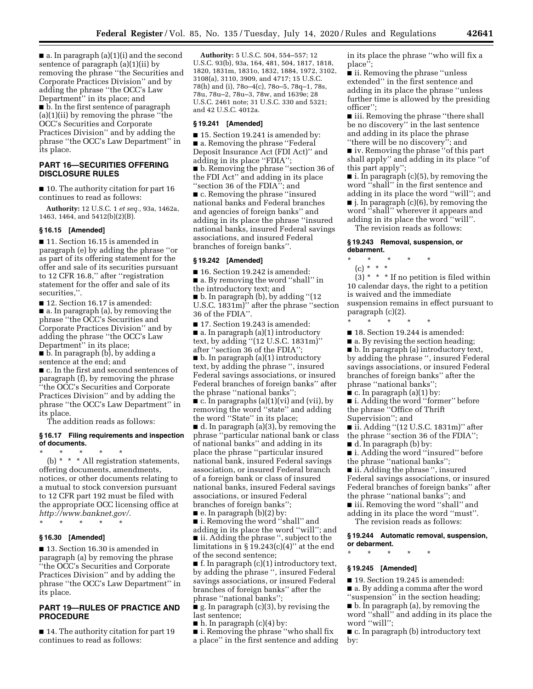$\blacksquare$  a. In paragraph (a)(1)(i) and the second sentence of paragraph (a)(1)(ii) by removing the phrase ''the Securities and Corporate Practices Division'' and by adding the phrase ''the OCC's Law Department'' in its place; and ■ b. In the first sentence of paragraph (a)(1)(ii) by removing the phrase ''the OCC's Securities and Corporate Practices Division'' and by adding the phrase ''the OCC's Law Department'' in its place.

# **PART 16—SECURITIES OFFERING DISCLOSURE RULES**

■ 10. The authority citation for part 16 continues to read as follows:

**Authority:** 12 U.S.C. 1 *et seq.,* 93a, 1462a, 1463, 1464, and 5412(b)(2)(B).

#### **§ 16.15 [Amended]**

■ 11. Section 16.15 is amended in paragraph (e) by adding the phrase ''or as part of its offering statement for the offer and sale of its securities pursuant to 12 CFR 16.8,'' after ''registration statement for the offer and sale of its securities,''.

■ 12. Section 16.17 is amended:

■ a. In paragraph (a), by removing the phrase ''the OCC's Securities and Corporate Practices Division'' and by adding the phrase ''the OCC's Law Department'' in its place;

■ b. In paragraph (b), by adding a sentence at the end; and

■ c. In the first and second sentences of paragraph (f), by removing the phrase ''the OCC's Securities and Corporate Practices Division'' and by adding the phrase ''the OCC's Law Department'' in its place.

The addition reads as follows:

## **§ 16.17 Filing requirements and inspection of documents.**

\* \* \* \* \* (b)  $*$   $*$   $*$  All registration statements, offering documents, amendments, notices, or other documents relating to a mutual to stock conversion pursuant to 12 CFR part 192 must be filed with the appropriate OCC licensing office at *[http://www.banknet.gov/.](http://www.banknet.gov/)* 

\* \* \* \* \*

#### **§ 16.30 [Amended]**

■ 13. Section 16.30 is amended in paragraph (a) by removing the phrase ''the OCC's Securities and Corporate Practices Division'' and by adding the phrase ''the OCC's Law Department'' in its place.

# **PART 19—RULES OF PRACTICE AND PROCEDURE**

■ 14. The authority citation for part 19 continues to read as follows:

**Authority:** 5 U.S.C. 504, 554–557; 12 U.S.C. 93(b), 93a, 164, 481, 504, 1817, 1818, 1820, 1831m, 1831o, 1832, 1884, 1972, 3102, 3108(a), 3110, 3909, and 4717; 15 U.S.C. 78(h) and (i), 78o–4(c), 78o–5, 78q–1, 78s, 78u, 78u–2, 78u–3, 78w, and 1639e; 28 U.S.C. 2461 note; 31 U.S.C. 330 and 5321; and 42 U.S.C. 4012a.

# **§ 19.241 [Amended]**

■ 15. Section 19.241 is amended by: ■ a. Removing the phrase "Federal Deposit Insurance Act (FDI Act)'' and adding in its place ''FDIA'';

■ b. Removing the phrase ''section 36 of the FDI Act'' and adding in its place ''section 36 of the FDIA''; and

■ c. Removing the phrase "insured national banks and Federal branches and agencies of foreign banks'' and adding in its place the phrase ''insured national banks, insured Federal savings associations, and insured Federal branches of foreign banks''.

#### **§ 19.242 [Amended]**

■ 16. Section 19.242 is amended: ■ a. By removing the word "shall" in

the introductory text; and

■ b. In paragraph (b), by adding ''(12 U.S.C. 1831m)'' after the phrase ''section 36 of the FDIA''.

■ 17. Section 19.243 is amended: ■ a. In paragraph (a)(1) introductory text, by adding ''(12 U.S.C. 1831m)'' after ''section 36 of the FDIA''; ■ b. In paragraph (a)(1) introductory

text, by adding the phrase '', insured Federal savings associations, or insured Federal branches of foreign banks'' after the phrase ''national banks'';

 $\blacksquare$  c. In paragraphs (a)(1)(vi) and (vii), by removing the word ''state'' and adding the word ''State'' in its place;

■ d. In paragraph (a)(3), by removing the phrase ''particular national bank or class of national banks'' and adding in its place the phrase ''particular insured national bank, insured Federal savings association, or insured Federal branch of a foreign bank or class of insured national banks, insured Federal savings associations, or insured Federal branches of foreign banks'';

 $\blacksquare$  e. In paragraph (b)(2) by:

■ i. Removing the word ''shall'' and adding in its place the word ''will''; and ■ ii. Adding the phrase ", subject to the limitations in  $\S 19.243(c)(4)$ " at the end of the second sentence;

■ f. In paragraph (c)(1) introductory text, by adding the phrase ", insured Federal savings associations, or insured Federal branches of foreign banks'' after the phrase ''national banks'';

■ g. In paragraph (c)(3), by revising the last sentence;

 $\blacksquare$  h. In paragraph (c)(4) by:

■ i. Removing the phrase "who shall fix a place'' in the first sentence and adding in its place the phrase ''who will fix a place'';

■ ii. Removing the phrase "unless" extended'' in the first sentence and adding in its place the phrase ''unless further time is allowed by the presiding officer'';

■ iii. Removing the phrase "there shall be no discovery'' in the last sentence and adding in its place the phrase ''there will be no discovery''; and

■ iv. Removing the phrase ''of this part shall apply'' and adding in its place ''of this part apply'';

 $\blacksquare$  i. In paragraph (c)(5), by removing the word ''shall'' in the first sentence and adding in its place the word ''will''; and ■ j. In paragraph (c)(6), by removing the word ''shall'' wherever it appears and adding in its place the word ''will''.

The revision reads as follows:

#### **§ 19.243 Removal, suspension, or debarment.**

- \* \* \* \* \*
- (c) \* \* \*

 $(3)$  \* \* \* If no petition is filed within 10 calendar days, the right to a petition is waived and the immediate suspension remains in effect pursuant to paragraph (c)(2).

\* \* \* \* \*

- 18. Section 19.244 is amended:
- a. By revising the section heading;

■ b. In paragraph (a) introductory text, by adding the phrase '', insured Federal savings associations, or insured Federal branches of foreign banks'' after the phrase ''national banks'';

 $\blacksquare$  c. In paragraph (a)(1) by:

■ i. Adding the word "former" before

the phrase ''Office of Thrift Supervision''; and

■ ii. Adding "(12 U.S.C. 1831m)" after the phrase ''section 36 of the FDIA'';

■ d. In paragraph (b) by:

■ i. Adding the word "insured" before the phrase ''national banks'';

■ ii. Adding the phrase ", insured Federal savings associations, or insured Federal branches of foreign banks'' after the phrase ''national banks''; and ■ iii. Removing the word "shall" and

adding in its place the word ''must''.

The revision reads as follows:

**§ 19.244 Automatic removal, suspension, or debarment.** 

# **§ 19.245 [Amended]**

\* \* \* \* \*

- 19. Section 19.245 is amended:
- a. By adding a comma after the word
- ''suspension'' in the section heading;

■ b. In paragraph (a), by removing the word ''shall'' and adding in its place the word ''will'';

■ c. In paragraph (b) introductory text by: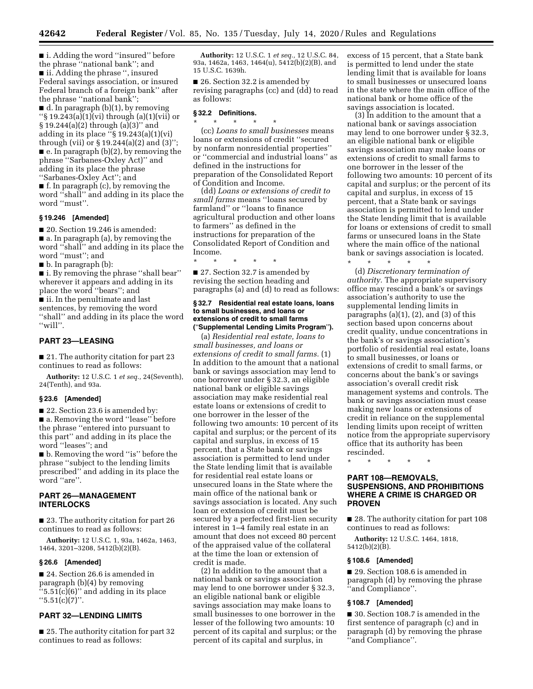■ i. Adding the word "insured" before the phrase ''national bank''; and ■ ii. Adding the phrase ", insured Federal savings association, or insured Federal branch of a foreign bank'' after the phrase ''national bank''; ■ d. In paragraph (b)(1), by removing

''§ 19.243(a)(1)(vi) through (a)(1)(vii) or § 19.244(a)(2) through (a)(3)'' and adding in its place " $\S 19.243(a)(1)(vi)$ through (vii) or § 19.244(a)(2) and (3)''; ■ e. In paragraph (b)(2), by removing the phrase ''Sarbanes-Oxley Act)'' and adding in its place the phrase ''Sarbanes-Oxley Act''; and

■ f. In paragraph (c), by removing the word ''shall'' and adding in its place the word ''must''.

#### **§ 19.246 [Amended]**

■ 20. Section 19.246 is amended: ■ a. In paragraph (a), by removing the word ''shall'' and adding in its place the word ''must''; and

■ b. In paragraph (b):

■ i. By removing the phrase "shall bear" wherever it appears and adding in its place the word ''bears''; and ■ ii. In the penultimate and last sentences, by removing the word ''shall'' and adding in its place the word ''will''.

# **PART 23—LEASING**

■ 21. The authority citation for part 23 continues to read as follows:

**Authority:** 12 U.S.C. 1 *et seq.,* 24(Seventh), 24(Tenth), and 93a.

#### **§ 23.6 [Amended]**

■ 22. Section 23.6 is amended by: ■ a. Removing the word "lease" before the phrase ''entered into pursuant to this part'' and adding in its place the word ''leases''; and

■ b. Removing the word "is" before the phrase ''subject to the lending limits prescribed'' and adding in its place the word ''are''.

# **PART 26—MANAGEMENT INTERLOCKS**

■ 23. The authority citation for part 26 continues to read as follows:

**Authority:** 12 U.S.C. 1, 93a, 1462a, 1463, 1464, 3201–3208, 5412(b)(2)(B).

## **§ 26.6 [Amended]**

■ 24. Section 26.6 is amended in paragraph (b)(4) by removing  $``5.51(c)(6)"$  and adding in its place  $"5.51(c)(7)"$ .

# **PART 32—LENDING LIMITS**

■ 25. The authority citation for part 32 continues to read as follows:

**Authority:** 12 U.S.C. 1 *et seq.,* 12 U.S.C. 84, 93a, 1462a, 1463, 1464(u), 5412(b)(2)(B), and 15 U.S.C. 1639h.

■ 26. Section 32.2 is amended by revising paragraphs (cc) and (dd) to read as follows:

# **§ 32.2 Definitions.**

\* \* \* \* \* (cc) *Loans to small businesses* means loans or extensions of credit ''secured by nonfarm nonresidential properties'' or ''commercial and industrial loans'' as defined in the instructions for preparation of the Consolidated Report of Condition and Income.

(dd) *Loans or extensions of credit to small farms* means ''loans secured by farmland'' or ''loans to finance agricultural production and other loans to farmers'' as defined in the instructions for preparation of the Consolidated Report of Condition and Income.

\* \* \* \* \* ■ 27. Section 32.7 is amended by revising the section heading and paragraphs (a) and (d) to read as follows:

#### **§ 32.7 Residential real estate loans, loans to small businesses, and loans or extensions of credit to small farms (**''**Supplemental Lending Limits Program**''**).**

(a) *Residential real estate, loans to small businesses, and loans or extensions of credit to small farms.* (1) In addition to the amount that a national bank or savings association may lend to one borrower under § 32.3, an eligible national bank or eligible savings association may make residential real estate loans or extensions of credit to one borrower in the lesser of the following two amounts: 10 percent of its capital and surplus; or the percent of its capital and surplus, in excess of 15 percent, that a State bank or savings association is permitted to lend under the State lending limit that is available for residential real estate loans or unsecured loans in the State where the main office of the national bank or savings association is located. Any such loan or extension of credit must be secured by a perfected first-lien security interest in 1–4 family real estate in an amount that does not exceed 80 percent of the appraised value of the collateral at the time the loan or extension of credit is made.

(2) In addition to the amount that a national bank or savings association may lend to one borrower under § 32.3, an eligible national bank or eligible savings association may make loans to small businesses to one borrower in the lesser of the following two amounts: 10 percent of its capital and surplus; or the percent of its capital and surplus, in

excess of 15 percent, that a State bank is permitted to lend under the state lending limit that is available for loans to small businesses or unsecured loans in the state where the main office of the national bank or home office of the savings association is located.

(3) In addition to the amount that a national bank or savings association may lend to one borrower under § 32.3, an eligible national bank or eligible savings association may make loans or extensions of credit to small farms to one borrower in the lesser of the following two amounts: 10 percent of its capital and surplus; or the percent of its capital and surplus, in excess of 15 percent, that a State bank or savings association is permitted to lend under the State lending limit that is available for loans or extensions of credit to small farms or unsecured loans in the State where the main office of the national bank or savings association is located. \* \* \* \* \*

(d) *Discretionary termination of authority.* The appropriate supervisory office may rescind a bank's or savings association's authority to use the supplemental lending limits in paragraphs  $(a)(1)$ ,  $(2)$ , and  $(3)$  of this section based upon concerns about credit quality, undue concentrations in the bank's or savings association's portfolio of residential real estate, loans to small businesses, or loans or extensions of credit to small farms, or concerns about the bank's or savings association's overall credit risk management systems and controls. The bank or savings association must cease making new loans or extensions of credit in reliance on the supplemental lending limits upon receipt of written notice from the appropriate supervisory office that its authority has been rescinded.

\* \* \* \* \*

# **PART 108—REMOVALS, SUSPENSIONS, AND PROHIBITIONS WHERE A CRIME IS CHARGED OR PROVEN**

■ 28. The authority citation for part 108 continues to read as follows:

**Authority:** 12 U.S.C. 1464, 1818, 5412(b)(2)(B).

#### **§ 108.6 [Amended]**

■ 29. Section 108.6 is amended in paragraph (d) by removing the phrase ''and Compliance''.

#### **§ 108.7 [Amended]**

■ 30. Section 108.7 is amended in the first sentence of paragraph (c) and in paragraph (d) by removing the phrase ''and Compliance''.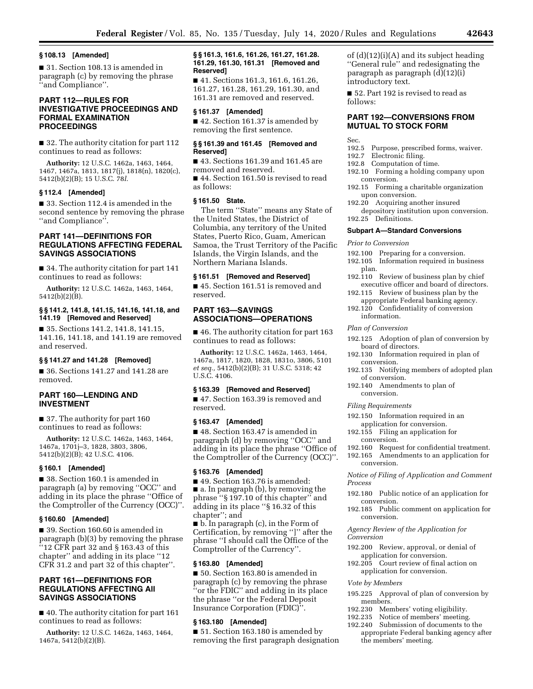#### **§ 108.13 [Amended]**

■ 31. Section 108.13 is amended in paragraph (c) by removing the phrase ''and Compliance''.

# **PART 112—RULES FOR INVESTIGATIVE PROCEEDINGS AND FORMAL EXAMINATION PROCEEDINGS**

■ 32. The authority citation for part 112 continues to read as follows:

**Authority:** 12 U.S.C. 1462a, 1463, 1464, 1467, 1467a, 1813, 1817(j), 1818(n), 1820(c), 5412(b)(2)(B); 15 U.S.C. 78*l*.

# **§ 112.4 [Amended]**

■ 33. Section 112.4 is amended in the second sentence by removing the phrase ''and Compliance''.

# **PART 141—DEFINITIONS FOR REGULATIONS AFFECTING FEDERAL SAVINGS ASSOCIATIONS**

■ 34. The authority citation for part 141 continues to read as follows:

**Authority:** 12 U.S.C. 1462a, 1463, 1464, 5412(b)(2)(B).

# **§ § 141.2, 141.8, 141.15, 141.16, 141.18, and 141.19 [Removed and Reserved]**

■ 35. Sections 141.2, 141.8, 141.15, 141.16, 141.18, and 141.19 are removed and reserved.

# **§ § 141.27 and 141.28 [Removed]**

■ 36. Sections 141.27 and 141.28 are removed.

# **PART 160—LENDING AND INVESTMENT**

■ 37. The authority for part 160 continues to read as follows:

**Authority:** 12 U.S.C. 1462a, 1463, 1464, 1467a, 1701j–3, 1828, 3803, 3806, 5412(b)(2)(B); 42 U.S.C. 4106.

# **§ 160.1 [Amended]**

■ 38. Section 160.1 is amended in paragraph (a) by removing ''OCC'' and adding in its place the phrase ''Office of the Comptroller of the Currency (OCC)''.

#### **§ 160.60 [Amended]**

■ 39. Section 160.60 is amended in paragraph (b)(3) by removing the phrase ''12 CFR part 32 and § 163.43 of this chapter'' and adding in its place ''12 CFR 31.2 and part 32 of this chapter''.

# **PART 161—DEFINITIONS FOR REGULATIONS AFFECTING All SAVINGS ASSOCIATIONS**

■ 40. The authority citation for part 161 continues to read as follows:

**Authority:** 12 U.S.C. 1462a, 1463, 1464, 1467a, 5412(b)(2)(B).

# **§ § 161.3, 161.6, 161.26, 161.27, 161.28. 161.29, 161.30, 161.31 [Removed and Reserved]**

■ 41. Sections 161.3, 161.6, 161.26, 161.27, 161.28, 161.29, 161.30, and 161.31 are removed and reserved.

#### **§ 161.37 [Amended]**

■ 42. Section 161.37 is amended by removing the first sentence.

#### **§ § 161.39 and 161.45 [Removed and Reserved]**

■ 43. Sections 161.39 and 161.45 are removed and reserved. ■ 44. Section 161.50 is revised to read as follows:

# **§ 161.50 State.**

The term ''State'' means any State of the United States, the District of Columbia, any territory of the United States, Puerto Rico, Guam, American Samoa, the Trust Territory of the Pacific Islands, the Virgin Islands, and the Northern Mariana Islands.

# **§ 161.51 [Removed and Reserved]**

■ 45. Section 161.51 is removed and reserved.

# **PART 163—SAVINGS ASSOCIATIONS—OPERATIONS**

■ 46. The authority citation for part 163 continues to read as follows:

**Authority:** 12 U.S.C. 1462a, 1463, 1464, 1467a, 1817, 1820, 1828, 1831o, 3806, 5101 *et seq.,* 5412(b)(2)(B); 31 U.S.C. 5318; 42 U.S.C. 4106.

#### **§ 163.39 [Removed and Reserved]**

■ 47. Section 163.39 is removed and reserved.

#### **§ 163.47 [Amended]**

■ 48. Section 163.47 is amended in paragraph (d) by removing ''OCC'' and adding in its place the phrase ''Office of the Comptroller of the Currency (OCC)''.

# **§ 163.76 [Amended]**

■ 49. Section 163.76 is amended: ■ a. In paragraph (b), by removing the phrase ''§ 197.10 of this chapter'' and adding in its place ''§ 16.32 of this chapter''; and

■ b. In paragraph (c), in the Form of Certification, by removing '']'' after the phrase ''I should call the Office of the Comptroller of the Currency''.

# **§ 163.80 [Amended]**

■ 50. Section 163.80 is amended in paragraph (c) by removing the phrase ''or the FDIC'' and adding in its place the phrase ''or the Federal Deposit Insurance Corporation (FDIC)''.

# **§ 163.180 [Amended]**

■ 51. Section 163.180 is amended by removing the first paragraph designation of (d)(12)(i)(A) and its subject heading ''General rule'' and redesignating the paragraph as paragraph (d)(12)(i) introductory text.

■ 52. Part 192 is revised to read as follows:

# **PART 192—CONVERSIONS FROM MUTUAL TO STOCK FORM**

#### Sec.

- 192.5 Purpose, prescribed forms, waiver.<br>192.7 Electronic filing.
- 192.7 Electronic filing.<br>192.8 Computation of
	- Computation of time.
	- 192.10 Forming a holding company upon conversion.
	- 192.15 Forming a charitable organization upon conversion.
	- 192.20 Acquiring another insured depository institution upon conversion.
	- 192.25 Definitions.

# **Subpart A—Standard Conversions**

*Prior to Conversion* 

- 192.100 Preparing for a conversion.
- 192.105 Information required in business plan.
- 192.110 Review of business plan by chief executive officer and board of directors.
- 192.115 Review of business plan by the appropriate Federal banking agency.
- 192.120 Confidentiality of conversion information.

#### *Plan of Conversion*

- 192.125 Adoption of plan of conversion by board of directors.
- 192.130 Information required in plan of conversion.
- 192.135 Notifying members of adopted plan of conversion.
- 192.140 Amendments to plan of conversion.

#### *Filing Requirements*

- 192.150 Information required in an application for conversion.
- 192.155 Filing an application for conversion.
- 192.160 Request for confidential treatment.
- 192.165 Amendments to an application for conversion.

*Notice of Filing of Application and Comment Process* 

- 192.180 Public notice of an application for conversion.
- 192.185 Public comment on application for conversion.

*Agency Review of the Application for Conversion* 

- 192.200 Review, approval, or denial of application for conversion.
- 192.205 Court review of final action on application for conversion.

#### *Vote by Members*

- 195.225 Approval of plan of conversion by members.
- 192.230 Members' voting eligibility.<br>192.235 Notice of members' meeting
- Notice of members' meeting.
	- 192.240 Submission of documents to the appropriate Federal banking agency after the members' meeting.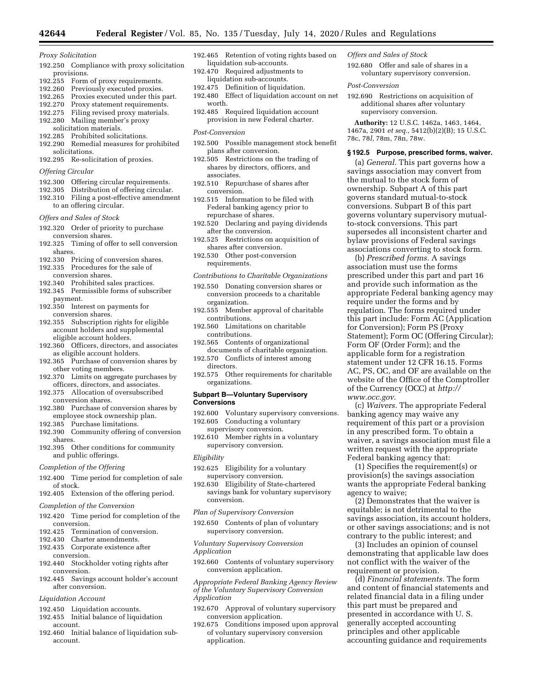*Proxy Solicitation* 

- 192.250 Compliance with proxy solicitation provisions.
- 192.255 Form of proxy requirements.
- 192.260 Previously executed proxies.
- 192.265 Proxies executed under this part.
- 192.270 Proxy statement requirements. 192.275 Filing revised proxy materials.
- 192.280 Mailing member's proxy solicitation materials.
- 192.285 Prohibited solicitations.
- 192.290 Remedial measures for prohibited solicitations.
- 192.295 Re-solicitation of proxies.
- *Offering Circular*
- 192.300 Offering circular requirements.
- 192.305 Distribution of offering circular.
- 192.310 Filing a post-effective amendment to an offering circular.
- *Offers and Sales of Stock*
- 192.320 Order of priority to purchase conversion shares.
- 192.325 Timing of offer to sell conversion shares.
- 192.330 Pricing of conversion shares.
- 192.335 Procedures for the sale of conversion shares.
- 192.340 Prohibited sales practices.
- 192.345 Permissible forms of subscriber payment.
- 192.350 Interest on payments for conversion shares.
- 192.355 Subscription rights for eligible account holders and supplemental eligible account holders.
- 192.360 Officers, directors, and associates as eligible account holders.
- 192.365 Purchase of conversion shares by other voting members.
- 192.370 Limits on aggregate purchases by officers, directors, and associates.
- 192.375 Allocation of oversubscribed conversion shares.
- 192.380 Purchase of conversion shares by employee stock ownership plan.
- 192.385 Purchase limitations.
- 192.390 Community offering of conversion shares.
- 192.395 Other conditions for community and public offerings.
- *Completion of the Offering*
- 192.400 Time period for completion of sale of stock.
- 192.405 Extension of the offering period.
- *Completion of the Conversion*
- 192.420 Time period for completion of the conversion.
- 192.425 Termination of conversion.
- 192.430 Charter amendments.
- 192.435 Corporate existence after conversion.
- 192.440 Stockholder voting rights after conversion.
- 192.445 Savings account holder's account after conversion.

#### *Liquidation Account*

- 192.450 Liquidation accounts.
- 192.455 Initial balance of liquidation account.
- 192.460 Initial balance of liquidation subaccount.
- 192.465 Retention of voting rights based on liquidation sub-accounts.
- 192.470 Required adjustments to liquidation sub-accounts.
- 192.475 Definition of liquidation.
- 192.480 Effect of liquidation account on net worth.
- 192.485 Required liquidation account provision in new Federal charter.

#### *Post-Conversion*

- 192.500 Possible management stock benefit plans after conversion.
- 192.505 Restrictions on the trading of shares by directors, officers, and associates.
- 192.510 Repurchase of shares after conversion.
- 192.515 Information to be filed with Federal banking agency prior to repurchase of shares.
- 192.520 Declaring and paying dividends after the conversion.
- 192.525 Restrictions on acquisition of shares after conversion.
- 192.530 Other post-conversion requirements.
- *Contributions to Charitable Organizations*
- 192.550 Donating conversion shares or conversion proceeds to a charitable organization.
- 192.555 Member approval of charitable contributions.
- 192.560 Limitations on charitable contributions.
- 192.565 Contents of organizational documents of charitable organization.
- 192.570 Conflicts of interest among directors.
- 192.575 Other requirements for charitable organizations.

#### **Subpart B—Voluntary Supervisory Conversions**

- 192.600 Voluntary supervisory conversions. 192.605 Conducting a voluntary
- supervisory conversion.
- 192.610 Member rights in a voluntary supervisory conversion.
- *Eligibility*
- 192.625 Eligibility for a voluntary supervisory conversion.
- 192.630 Eligibility of State-chartered savings bank for voluntary supervisory conversion.

#### *Plan of Supervisory Conversion*

- 192.650 Contents of plan of voluntary supervisory conversion.
- *Voluntary Supervisory Conversion Application*
- 192.660 Contents of voluntary supervisory conversion application.

*Appropriate Federal Banking Agency Review of the Voluntary Supervisory Conversion Application* 

- 192.670 Approval of voluntary supervisory conversion application.
- 192.675 Conditions imposed upon approval of voluntary supervisory conversion application.

#### *Offers and Sales of Stock*

192.680 Offer and sale of shares in a voluntary supervisory conversion.

#### *Post-Conversion*

192.690 Restrictions on acquisition of additional shares after voluntary supervisory conversion.

**Authority:** 12 U.S.C. 1462a, 1463, 1464, 1467a, 2901 *et seq.,* 5412(b)(2)(B); 15 U.S.C. 78c, 78*l*, 78m, 78n, 78w.

# **§ 192.5 Purpose, prescribed forms, waiver.**

(a) *General.* This part governs how a savings association may convert from the mutual to the stock form of ownership. Subpart A of this part governs standard mutual-to-stock conversions. Subpart B of this part governs voluntary supervisory mutualto-stock conversions. This part supersedes all inconsistent charter and bylaw provisions of Federal savings associations converting to stock form.

(b) *Prescribed forms.* A savings association must use the forms prescribed under this part and part 16 and provide such information as the appropriate Federal banking agency may require under the forms and by regulation. The forms required under this part include: Form AC (Application for Conversion); Form PS (Proxy Statement); Form OC (Offering Circular); Form OF (Order Form); and the applicable form for a registration statement under 12 CFR 16.15. Forms AC, PS, OC, and OF are available on the website of the Office of the Comptroller of the Currency (OCC) at *[http://](http://www.occ.gov) [www.occ.gov](http://www.occ.gov)*.

(c) *Waivers.* The appropriate Federal banking agency may waive any requirement of this part or a provision in any prescribed form. To obtain a waiver, a savings association must file a written request with the appropriate Federal banking agency that:

(1) Specifies the requirement(s) or provision(s) the savings association wants the appropriate Federal banking agency to waive;

(2) Demonstrates that the waiver is equitable; is not detrimental to the savings association, its account holders, or other savings associations; and is not contrary to the public interest; and

(3) Includes an opinion of counsel demonstrating that applicable law does not conflict with the waiver of the requirement or provision.

(d) *Financial statements.* The form and content of financial statements and related financial data in a filing under this part must be prepared and presented in accordance with U. S. generally accepted accounting principles and other applicable accounting guidance and requirements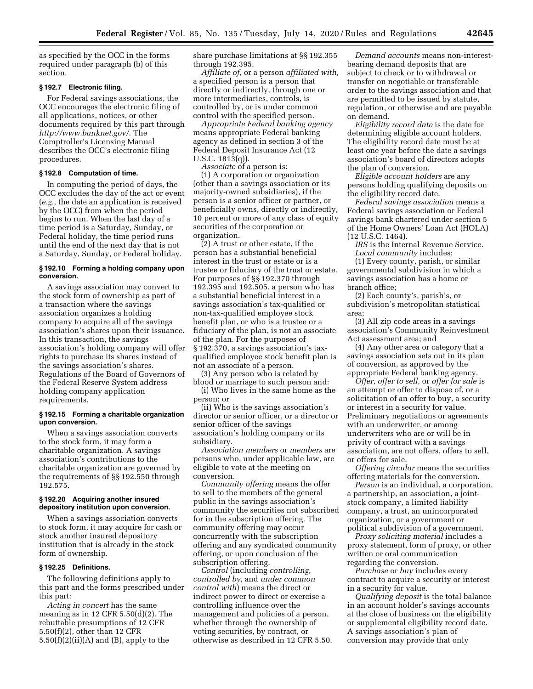as specified by the OCC in the forms required under paragraph (b) of this section.

# **§ 192.7 Electronic filing.**

For Federal savings associations, the OCC encourages the electronic filing of all applications, notices, or other documents required by this part through *<http://www.banknet.gov/>*. The Comptroller's Licensing Manual describes the OCC's electronic filing procedures.

#### **§ 192.8 Computation of time.**

In computing the period of days, the OCC excludes the day of the act or event (*e.g.,* the date an application is received by the OCC) from when the period begins to run. When the last day of a time period is a Saturday, Sunday, or Federal holiday, the time period runs until the end of the next day that is not a Saturday, Sunday, or Federal holiday.

## **§ 192.10 Forming a holding company upon conversion.**

A savings association may convert to the stock form of ownership as part of a transaction where the savings association organizes a holding company to acquire all of the savings association's shares upon their issuance. In this transaction, the savings association's holding company will offer rights to purchase its shares instead of the savings association's shares. Regulations of the Board of Governors of the Federal Reserve System address holding company application requirements.

#### **§ 192.15 Forming a charitable organization upon conversion.**

When a savings association converts to the stock form, it may form a charitable organization. A savings association's contributions to the charitable organization are governed by the requirements of §§ 192.550 through 192.575.

#### **§ 192.20 Acquiring another insured depository institution upon conversion.**

When a savings association converts to stock form, it may acquire for cash or stock another insured depository institution that is already in the stock form of ownership.

#### **§ 192.25 Definitions.**

The following definitions apply to this part and the forms prescribed under this part:

*Acting in concert* has the same meaning as in 12 CFR  $5.50(d)(2)$ . The rebuttable presumptions of 12 CFR 5.50(f)(2), other than 12 CFR  $5.50(f)(2)(ii)(A)$  and  $(B)$ , apply to the

share purchase limitations at §§ 192.355 through 192.395.

*Affiliate of,* or a person *affiliated with,*  a specified person is a person that directly or indirectly, through one or more intermediaries, controls, is controlled by, or is under common control with the specified person.

*Appropriate Federal banking agency*  means appropriate Federal banking agency as defined in section 3 of the Federal Deposit Insurance Act (12 U.S.C. 1813(q)).

*Associate* of a person is:

(1) A corporation or organization (other than a savings association or its majority-owned subsidiaries), if the person is a senior officer or partner, or beneficially owns, directly or indirectly, 10 percent or more of any class of equity securities of the corporation or organization.

(2) A trust or other estate, if the person has a substantial beneficial interest in the trust or estate or is a trustee or fiduciary of the trust or estate. For purposes of §§ 192.370 through 192.395 and 192.505, a person who has a substantial beneficial interest in a savings association's tax-qualified or non-tax-qualified employee stock benefit plan, or who is a trustee or a fiduciary of the plan, is not an associate of the plan. For the purposes of § 192.370, a savings association's taxqualified employee stock benefit plan is not an associate of a person.

(3) Any person who is related by blood or marriage to such person and: (i) Who lives in the same home as the person; or

(ii) Who is the savings association's director or senior officer, or a director or senior officer of the savings association's holding company or its subsidiary.

*Association members* or *members* are persons who, under applicable law, are eligible to vote at the meeting on conversion.

*Community offering* means the offer to sell to the members of the general public in the savings association's community the securities not subscribed for in the subscription offering. The community offering may occur concurrently with the subscription offering and any syndicated community offering, or upon conclusion of the subscription offering.

*Control* (including *controlling, controlled by,* and *under common control with*) means the direct or indirect power to direct or exercise a controlling influence over the management and policies of a person, whether through the ownership of voting securities, by contract, or otherwise as described in 12 CFR 5.50.

*Demand accounts* means non-interestbearing demand deposits that are subject to check or to withdrawal or transfer on negotiable or transferable order to the savings association and that are permitted to be issued by statute, regulation, or otherwise and are payable on demand.

*Eligibility record date* is the date for determining eligible account holders. The eligibility record date must be at least one year before the date a savings association's board of directors adopts the plan of conversion.

*Eligible account holders* are any persons holding qualifying deposits on the eligibility record date.

*Federal savings association* means a Federal savings association or Federal savings bank chartered under section 5 of the Home Owners' Loan Act (HOLA) (12 U.S.C. 1464).

*IRS* is the Internal Revenue Service. *Local community* includes:

(1) Every county, parish, or similar governmental subdivision in which a savings association has a home or branch office;

(2) Each county's, parish's, or subdivision's metropolitan statistical area;

(3) All zip code areas in a savings association's Community Reinvestment Act assessment area; and

(4) Any other area or category that a savings association sets out in its plan of conversion, as approved by the appropriate Federal banking agency.

*Offer, offer to sell,* or *offer for sale* is an attempt or offer to dispose of, or a solicitation of an offer to buy, a security or interest in a security for value. Preliminary negotiations or agreements with an underwriter, or among underwriters who are or will be in privity of contract with a savings association, are not offers, offers to sell, or offers for sale.

*Offering circular* means the securities offering materials for the conversion.

*Person* is an individual, a corporation, a partnership, an association, a jointstock company, a limited liability company, a trust, an unincorporated organization, or a government or political subdivision of a government.

*Proxy soliciting material* includes a proxy statement, form of proxy, or other written or oral communication regarding the conversion.

*Purchase* or *buy* includes every contract to acquire a security or interest in a security for value.

*Qualifying deposit* is the total balance in an account holder's savings accounts at the close of business on the eligibility or supplemental eligibility record date. A savings association's plan of conversion may provide that only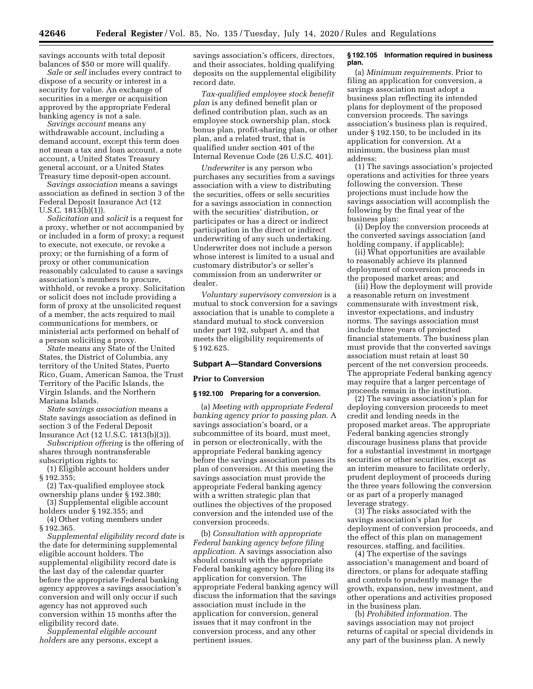savings accounts with total deposit balances of \$50 or more will qualify.

*Sale* or *sell* includes every contract to dispose of a security or interest in a security for value. An exchange of securities in a merger or acquisition approved by the appropriate Federal banking agency is not a sale.

*Savings account* means any withdrawable account, including a demand account, except this term does not mean a tax and loan account, a note account, a United States Treasury general account, or a United States Treasury time deposit-open account.

S*avings association* means a savings association as defined in section 3 of the Federal Deposit Insurance Act (12 U.S.C. 1813(b)(1)).

*Solicitation* and *solicit* is a request for a proxy, whether or not accompanied by or included in a form of proxy; a request to execute, not execute, or revoke a proxy; or the furnishing of a form of proxy or other communication reasonably calculated to cause a savings association's members to procure, withhold, or revoke a proxy. Solicitation or solicit does not include providing a form of proxy at the unsolicited request of a member, the acts required to mail communications for members, or ministerial acts performed on behalf of a person soliciting a proxy.

*State* means any State of the United States, the District of Columbia, any territory of the United States, Puerto Rico, Guam, American Samoa, the Trust Territory of the Pacific Islands, the Virgin Islands, and the Northern Mariana Islands.

*State* s*avings association* means a State savings association as defined in section 3 of the Federal Deposit Insurance Act (12 U.S.C. 1813(b)(3)).

*Subscription offering* is the offering of shares through nontransferable subscription rights to:

(1) Eligible account holders under § 192.355;

(2) Tax-qualified employee stock ownership plans under § 192.380;

(3) Supplemental eligible account holders under § 192.355; and

(4) Other voting members under § 192.365.

*Supplemental eligibility record date* is the date for determining supplemental eligible account holders. The supplemental eligibility record date is the last day of the calendar quarter before the appropriate Federal banking agency approves a savings association's conversion and will only occur if such agency has not approved such conversion within 15 months after the eligibility record date.

*Supplemental eligible account holders* are any persons, except a savings association's officers, directors, and their associates, holding qualifying deposits on the supplemental eligibility record date.

*Tax-qualified employee stock benefit plan* is any defined benefit plan or defined contribution plan, such as an employee stock ownership plan, stock bonus plan, profit-sharing plan, or other plan, and a related trust, that is qualified under section 401 of the Internal Revenue Code (26 U.S.C. 401).

*Underwriter* is any person who purchases any securities from a savings association with a view to distributing the securities, offers or sells securities for a savings association in connection with the securities' distribution, or participates or has a direct or indirect participation in the direct or indirect underwriting of any such undertaking. Underwriter does not include a person whose interest is limited to a usual and customary distributor's or seller's commission from an underwriter or dealer.

*Voluntary supervisory conversion* is a mutual to stock conversion for a savings association that is unable to complete a standard mutual to stock conversion under part 192, subpart A, and that meets the eligibility requirements of § 192.625.

# **Subpart A—Standard Conversions**

# **Prior to Conversion**

#### **§ 192.100 Preparing for a conversion.**

(a) *Meeting with appropriate Federal banking agency prior to passing plan.* A savings association's board, or a subcommittee of its board, must meet, in person or electronically, with the appropriate Federal banking agency before the savings association passes its plan of conversion. At this meeting the savings association must provide the appropriate Federal banking agency with a written strategic plan that outlines the objectives of the proposed conversion and the intended use of the conversion proceeds.

(b) *Consultation with appropriate Federal banking agency before filing application.* A savings association also should consult with the appropriate Federal banking agency before filing its application for conversion. The appropriate Federal banking agency will discuss the information that the savings association must include in the application for conversion, general issues that it may confront in the conversion process, and any other pertinent issues.

#### **§ 192.105 Information required in business plan.**

(a) *Minimum requirements.* Prior to filing an application for conversion, a savings association must adopt a business plan reflecting its intended plans for deployment of the proposed conversion proceeds. The savings association's business plan is required, under § 192.150, to be included in its application for conversion. At a minimum, the business plan must address:

(1) The savings association's projected operations and activities for three years following the conversion. These projections must include how the savings association will accomplish the following by the final year of the business plan:

(i) Deploy the conversion proceeds at the converted savings association (and holding company, if applicable);

(ii) What opportunities are available to reasonably achieve its planned deployment of conversion proceeds in the proposed market areas; and

(iii) How the deployment will provide a reasonable return on investment commensurate with investment risk, investor expectations, and industry norms. The savings association must include three years of projected financial statements. The business plan must provide that the converted savings association must retain at least 50 percent of the net conversion proceeds. The appropriate Federal banking agency may require that a larger percentage of proceeds remain in the institution.

(2) The savings association's plan for deploying conversion proceeds to meet credit and lending needs in the proposed market areas. The appropriate Federal banking agencies strongly discourage business plans that provide for a substantial investment in mortgage securities or other securities, except as an interim measure to facilitate orderly, prudent deployment of proceeds during the three years following the conversion or as part of a properly managed leverage strategy.

(3) The risks associated with the savings association's plan for deployment of conversion proceeds, and the effect of this plan on management resources, staffing, and facilities.

(4) The expertise of the savings association's management and board of directors, or plans for adequate staffing and controls to prudently manage the growth, expansion, new investment, and other operations and activities proposed in the business plan.

(b) *Prohibited information.* The savings association may not project returns of capital or special dividends in any part of the business plan. A newly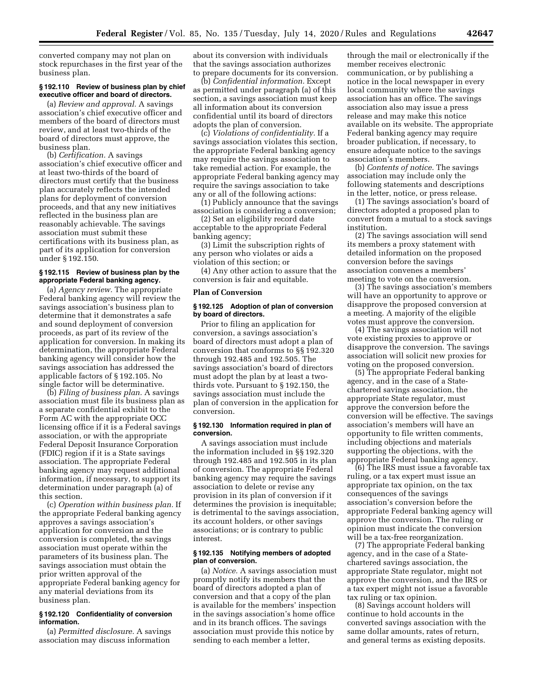converted company may not plan on stock repurchases in the first year of the business plan.

# **§ 192.110 Review of business plan by chief executive officer and board of directors.**

(a) *Review and approval.* A savings association's chief executive officer and members of the board of directors must review, and at least two-thirds of the board of directors must approve, the business plan.

(b) *Certification.* A savings association's chief executive officer and at least two-thirds of the board of directors must certify that the business plan accurately reflects the intended plans for deployment of conversion proceeds, and that any new initiatives reflected in the business plan are reasonably achievable. The savings association must submit these certifications with its business plan, as part of its application for conversion under § 192.150.

# **§ 192.115 Review of business plan by the appropriate Federal banking agency.**

(a) *Agency review.* The appropriate Federal banking agency will review the savings association's business plan to determine that it demonstrates a safe and sound deployment of conversion proceeds, as part of its review of the application for conversion. In making its determination, the appropriate Federal banking agency will consider how the savings association has addressed the applicable factors of § 192.105. No single factor will be determinative.

(b) *Filing of business plan.* A savings association must file its business plan as a separate confidential exhibit to the Form AC with the appropriate OCC licensing office if it is a Federal savings association, or with the appropriate Federal Deposit Insurance Corporation (FDIC) region if it is a State savings association. The appropriate Federal banking agency may request additional information, if necessary, to support its determination under paragraph (a) of this section.

(c) *Operation within business plan.* If the appropriate Federal banking agency approves a savings association's application for conversion and the conversion is completed, the savings association must operate within the parameters of its business plan. The savings association must obtain the prior written approval of the appropriate Federal banking agency for any material deviations from its business plan.

#### **§ 192.120 Confidentiality of conversion information.**

(a) *Permitted disclosure.* A savings association may discuss information

about its conversion with individuals that the savings association authorizes to prepare documents for its conversion.

(b) *Confidential information.* Except as permitted under paragraph (a) of this section, a savings association must keep all information about its conversion confidential until its board of directors adopts the plan of conversion.

(c) *Violations of confidentiality.* If a savings association violates this section, the appropriate Federal banking agency may require the savings association to take remedial action. For example, the appropriate Federal banking agency may require the savings association to take any or all of the following actions:

(1) Publicly announce that the savings association is considering a conversion;

(2) Set an eligibility record date acceptable to the appropriate Federal banking agency;

(3) Limit the subscription rights of any person who violates or aids a violation of this section; or

(4) Any other action to assure that the conversion is fair and equitable.

## **Plan of Conversion**

## **§ 192.125 Adoption of plan of conversion by board of directors.**

Prior to filing an application for conversion, a savings association's board of directors must adopt a plan of conversion that conforms to §§ 192.320 through 192.485 and 192.505. The savings association's board of directors must adopt the plan by at least a twothirds vote. Pursuant to § 192.150, the savings association must include the plan of conversion in the application for conversion.

# **§ 192.130 Information required in plan of conversion.**

A savings association must include the information included in §§ 192.320 through 192.485 and 192.505 in its plan of conversion. The appropriate Federal banking agency may require the savings association to delete or revise any provision in its plan of conversion if it determines the provision is inequitable; is detrimental to the savings association, its account holders, or other savings associations; or is contrary to public interest.

#### **§ 192.135 Notifying members of adopted plan of conversion.**

(a) *Notice.* A savings association must promptly notify its members that the board of directors adopted a plan of conversion and that a copy of the plan is available for the members' inspection in the savings association's home office and in its branch offices. The savings association must provide this notice by sending to each member a letter,

through the mail or electronically if the member receives electronic communication, or by publishing a notice in the local newspaper in every local community where the savings association has an office. The savings association also may issue a press release and may make this notice available on its website. The appropriate Federal banking agency may require broader publication, if necessary, to ensure adequate notice to the savings association's members.

(b) *Contents of notice.* The savings association may include only the following statements and descriptions in the letter, notice, or press release.

(1) The savings association's board of directors adopted a proposed plan to convert from a mutual to a stock savings institution.

(2) The savings association will send its members a proxy statement with detailed information on the proposed conversion before the savings association convenes a members' meeting to vote on the conversion.

(3) The savings association's members will have an opportunity to approve or disapprove the proposed conversion at a meeting. A majority of the eligible votes must approve the conversion.

(4) The savings association will not vote existing proxies to approve or disapprove the conversion. The savings association will solicit new proxies for voting on the proposed conversion.

(5) The appropriate Federal banking agency, and in the case of a Statechartered savings association, the appropriate State regulator, must approve the conversion before the conversion will be effective. The savings association's members will have an opportunity to file written comments, including objections and materials supporting the objections, with the appropriate Federal banking agency.

(6) The IRS must issue a favorable tax ruling, or a tax expert must issue an appropriate tax opinion, on the tax consequences of the savings association's conversion before the appropriate Federal banking agency will approve the conversion. The ruling or opinion must indicate the conversion will be a tax-free reorganization.

(7) The appropriate Federal banking agency, and in the case of a Statechartered savings association, the appropriate State regulator, might not approve the conversion, and the IRS or a tax expert might not issue a favorable tax ruling or tax opinion.

(8) Savings account holders will continue to hold accounts in the converted savings association with the same dollar amounts, rates of return, and general terms as existing deposits.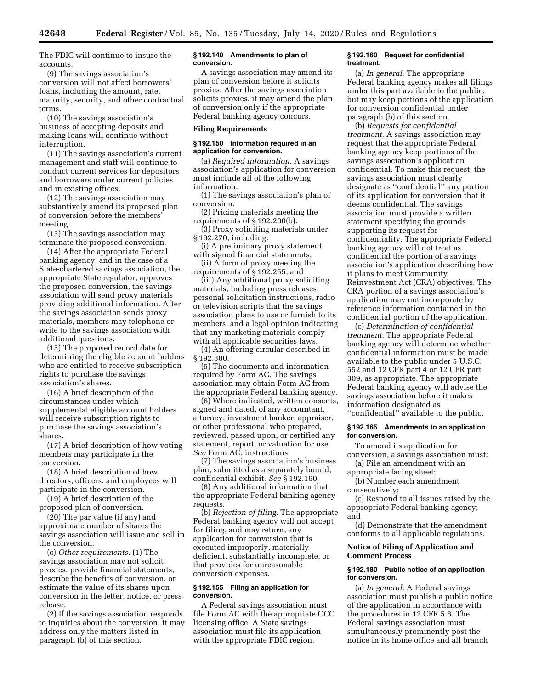The FDIC will continue to insure the accounts.

(9) The savings association's conversion will not affect borrowers' loans, including the amount, rate, maturity, security, and other contractual terms.

(10) The savings association's business of accepting deposits and making loans will continue without interruption.

(11) The savings association's current management and staff will continue to conduct current services for depositors and borrowers under current policies and in existing offices.

(12) The savings association may substantively amend its proposed plan of conversion before the members' meeting.

(13) The savings association may terminate the proposed conversion.

(14) After the appropriate Federal banking agency, and in the case of a State-chartered savings association, the appropriate State regulator, approves the proposed conversion, the savings association will send proxy materials providing additional information. After the savings association sends proxy materials, members may telephone or write to the savings association with additional questions.

(15) The proposed record date for determining the eligible account holders who are entitled to receive subscription rights to purchase the savings association's shares.

(16) A brief description of the circumstances under which supplemental eligible account holders will receive subscription rights to purchase the savings association's shares.

(17) A brief description of how voting members may participate in the conversion.

(18) A brief description of how directors, officers, and employees will participate in the conversion.

(19) A brief description of the proposed plan of conversion.

(20) The par value (if any) and approximate number of shares the savings association will issue and sell in the conversion.

(c) *Other requirements.* (1) The savings association may not solicit proxies, provide financial statements, describe the benefits of conversion, or estimate the value of its shares upon conversion in the letter, notice, or press release.

(2) If the savings association responds to inquiries about the conversion, it may address only the matters listed in paragraph (b) of this section.

## **§ 192.140 Amendments to plan of conversion.**

A savings association may amend its plan of conversion before it solicits proxies. After the savings association solicits proxies, it may amend the plan of conversion only if the appropriate Federal banking agency concurs.

#### **Filing Requirements**

#### **§ 192.150 Information required in an application for conversion.**

(a) *Required information.* A savings association's application for conversion must include all of the following information.

(1) The savings association's plan of conversion.

(2) Pricing materials meeting the requirements of § 192.200(b).

(3) Proxy soliciting materials under § 192.270, including:

(i) A preliminary proxy statement with signed financial statements;

(ii) A form of proxy meeting the requirements of § 192.255; and

(iii) Any additional proxy soliciting materials, including press releases, personal solicitation instructions, radio or television scripts that the savings association plans to use or furnish to its members, and a legal opinion indicating that any marketing materials comply with all applicable securities laws.

(4) An offering circular described in § 192.300.

(5) The documents and information required by Form AC. The savings association may obtain Form AC from the appropriate Federal banking agency.

(6) Where indicated, written consents, signed and dated, of any accountant, attorney, investment banker, appraiser, or other professional who prepared, reviewed, passed upon, or certified any statement, report, or valuation for use. *See* Form AC, instructions.

(7) The savings association's business plan, submitted as a separately bound, confidential exhibit. *See* § 192.160.

(8) Any additional information that the appropriate Federal banking agency requests.

(b) *Rejection of filing.* The appropriate Federal banking agency will not accept for filing, and may return, any application for conversion that is executed improperly, materially deficient, substantially incomplete, or that provides for unreasonable conversion expenses.

#### **§ 192.155 Filing an application for conversion.**

A Federal savings association must file Form AC with the appropriate OCC licensing office. A State savings association must file its application with the appropriate FDIC region.

#### **§ 192.160 Request for confidential treatment.**

(a) *In general.* The appropriate Federal banking agency makes all filings under this part available to the public, but may keep portions of the application for conversion confidential under paragraph (b) of this section.

(b) *Requests for confidential treatment.* A savings association may request that the appropriate Federal banking agency keep portions of the savings association's application confidential. To make this request, the savings association must clearly designate as ''confidential'' any portion of its application for conversion that it deems confidential. The savings association must provide a written statement specifying the grounds supporting its request for confidentiality. The appropriate Federal banking agency will not treat as confidential the portion of a savings association's application describing how it plans to meet Community Reinvestment Act (CRA) objectives. The CRA portion of a savings association's application may not incorporate by reference information contained in the confidential portion of the application.

(c) *Determination of confidential treatment.* The appropriate Federal banking agency will determine whether confidential information must be made available to the public under 5 U.S.C. 552 and 12 CFR part 4 or 12 CFR part 309, as appropriate. The appropriate Federal banking agency will advise the savings association before it makes information designated as ''confidential'' available to the public.

## **§ 192.165 Amendments to an application for conversion.**

To amend its application for conversion, a savings association must:

(a) File an amendment with an appropriate facing sheet;

(b) Number each amendment consecutively;

(c) Respond to all issues raised by the appropriate Federal banking agency; and

(d) Demonstrate that the amendment conforms to all applicable regulations.

# **Notice of Filing of Application and Comment Process**

#### **§ 192.180 Public notice of an application for conversion.**

(a) *In general.* A Federal savings association must publish a public notice of the application in accordance with the procedures in 12 CFR 5.8. The Federal savings association must simultaneously prominently post the notice in its home office and all branch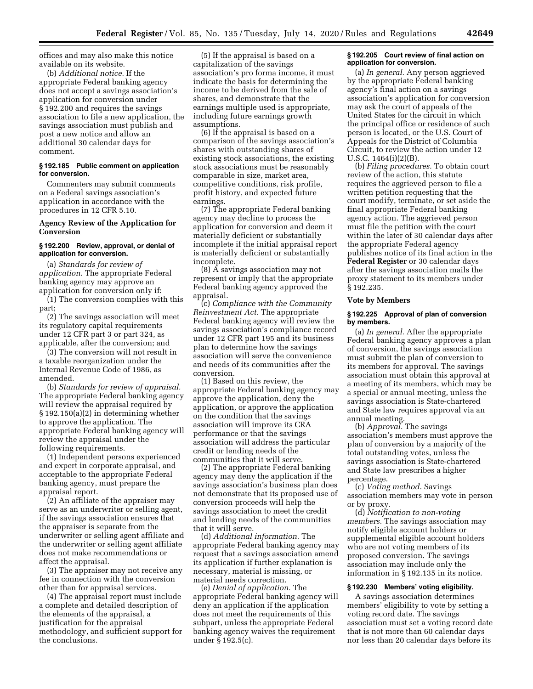offices and may also make this notice available on its website.

(b) *Additional notice.* If the appropriate Federal banking agency does not accept a savings association's application for conversion under § 192.200 and requires the savings association to file a new application, the savings association must publish and post a new notice and allow an additional 30 calendar days for comment.

# **§ 192.185 Public comment on application for conversion.**

Commenters may submit comments on a Federal savings association's application in accordance with the procedures in 12 CFR 5.10.

# **Agency Review of the Application for Conversion**

# **§ 192.200 Review, approval, or denial of application for conversion.**

(a) *Standards for review of application.* The appropriate Federal banking agency may approve an application for conversion only if:

(1) The conversion complies with this part;

(2) The savings association will meet its regulatory capital requirements under 12 CFR part 3 or part 324, as applicable, after the conversion; and

(3) The conversion will not result in a taxable reorganization under the Internal Revenue Code of 1986, as amended.

(b) *Standards for review of appraisal.*  The appropriate Federal banking agency will review the appraisal required by § 192.150(a)(2) in determining whether to approve the application. The appropriate Federal banking agency will review the appraisal under the following requirements.

(1) Independent persons experienced and expert in corporate appraisal, and acceptable to the appropriate Federal banking agency, must prepare the appraisal report.

(2) An affiliate of the appraiser may serve as an underwriter or selling agent, if the savings association ensures that the appraiser is separate from the underwriter or selling agent affiliate and the underwriter or selling agent affiliate does not make recommendations or affect the appraisal.

(3) The appraiser may not receive any fee in connection with the conversion other than for appraisal services.

(4) The appraisal report must include a complete and detailed description of the elements of the appraisal, a justification for the appraisal methodology, and sufficient support for the conclusions.

(5) If the appraisal is based on a capitalization of the savings association's pro forma income, it must indicate the basis for determining the income to be derived from the sale of shares, and demonstrate that the earnings multiple used is appropriate, including future earnings growth assumptions.

(6) If the appraisal is based on a comparison of the savings association's shares with outstanding shares of existing stock associations, the existing stock associations must be reasonably comparable in size, market area, competitive conditions, risk profile, profit history, and expected future earnings.

(7) The appropriate Federal banking agency may decline to process the application for conversion and deem it materially deficient or substantially incomplete if the initial appraisal report is materially deficient or substantially incomplete.

(8) A savings association may not represent or imply that the appropriate Federal banking agency approved the appraisal.

(c) *Compliance with the Community Reinvestment Act.* The appropriate Federal banking agency will review the savings association's compliance record under 12 CFR part 195 and its business plan to determine how the savings association will serve the convenience and needs of its communities after the conversion.

(1) Based on this review, the appropriate Federal banking agency may approve the application, deny the application, or approve the application on the condition that the savings association will improve its CRA performance or that the savings association will address the particular credit or lending needs of the communities that it will serve.

(2) The appropriate Federal banking agency may deny the application if the savings association's business plan does not demonstrate that its proposed use of conversion proceeds will help the savings association to meet the credit and lending needs of the communities that it will serve.

(d) *Additional information.* The appropriate Federal banking agency may request that a savings association amend its application if further explanation is necessary, material is missing, or material needs correction.

(e) *Denial of application.* The appropriate Federal banking agency will deny an application if the application does not meet the requirements of this subpart, unless the appropriate Federal banking agency waives the requirement under § 192.5(c).

#### **§ 192.205 Court review of final action on application for conversion.**

(a) *In general.* Any person aggrieved by the appropriate Federal banking agency's final action on a savings association's application for conversion may ask the court of appeals of the United States for the circuit in which the principal office or residence of such person is located, or the U.S. Court of Appeals for the District of Columbia Circuit, to review the action under 12 U.S.C. 1464(i)(2)(B).

(b) *Filing procedures.* To obtain court review of the action, this statute requires the aggrieved person to file a written petition requesting that the court modify, terminate, or set aside the final appropriate Federal banking agency action. The aggrieved person must file the petition with the court within the later of 30 calendar days after the appropriate Federal agency publishes notice of its final action in the **Federal Register** or 30 calendar days after the savings association mails the proxy statement to its members under § 192.235.

#### **Vote by Members**

#### **§ 192.225 Approval of plan of conversion by members.**

(a) *In general.* After the appropriate Federal banking agency approves a plan of conversion, the savings association must submit the plan of conversion to its members for approval. The savings association must obtain this approval at a meeting of its members, which may be a special or annual meeting, unless the savings association is State-chartered and State law requires approval via an annual meeting.

(b) *Approval.* The savings association's members must approve the plan of conversion by a majority of the total outstanding votes, unless the savings association is State-chartered and State law prescribes a higher percentage.

(c) *Voting method.* Savings association members may vote in person or by proxy.

(d) *Notification to non-voting members.* The savings association may notify eligible account holders or supplemental eligible account holders who are not voting members of its proposed conversion. The savings association may include only the information in § 192.135 in its notice.

# **§ 192.230 Members' voting eligibility.**

A savings association determines members' eligibility to vote by setting a voting record date. The savings association must set a voting record date that is not more than 60 calendar days nor less than 20 calendar days before its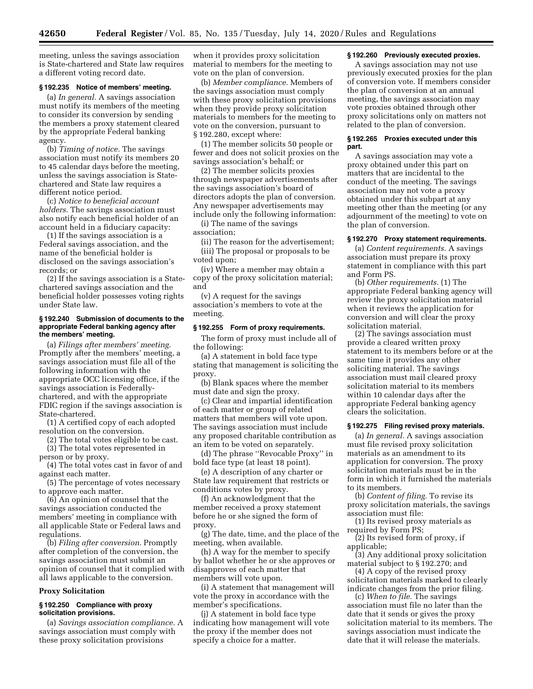meeting, unless the savings association is State-chartered and State law requires a different voting record date.

# **§ 192.235 Notice of members' meeting.**

(a) *In general.* A savings association must notify its members of the meeting to consider its conversion by sending the members a proxy statement cleared by the appropriate Federal banking agency.

(b) *Timing of notice.* The savings association must notify its members 20 to 45 calendar days before the meeting, unless the savings association is Statechartered and State law requires a different notice period.

(c) *Notice to beneficial account holders.* The savings association must also notify each beneficial holder of an account held in a fiduciary capacity:

(1) If the savings association is a Federal savings association, and the name of the beneficial holder is disclosed on the savings association's records; or

(2) If the savings association is a Statechartered savings association and the beneficial holder possesses voting rights under State law.

## **§ 192.240 Submission of documents to the appropriate Federal banking agency after the members' meeting.**

(a) *Filings after members' meeting.*  Promptly after the members' meeting, a savings association must file all of the following information with the appropriate OCC licensing office, if the savings association is Federallychartered, and with the appropriate FDIC region if the savings association is State-chartered.

(1) A certified copy of each adopted resolution on the conversion.

(2) The total votes eligible to be cast. (3) The total votes represented in

person or by proxy. (4) The total votes cast in favor of and

against each matter.

(5) The percentage of votes necessary to approve each matter.

(6) An opinion of counsel that the savings association conducted the members' meeting in compliance with all applicable State or Federal laws and regulations.

(b) *Filing after conversion.* Promptly after completion of the conversion, the savings association must submit an opinion of counsel that it complied with all laws applicable to the conversion.

#### **Proxy Solicitation**

## **§ 192.250 Compliance with proxy solicitation provisions.**

(a) *Savings association compliance.* A savings association must comply with these proxy solicitation provisions

when it provides proxy solicitation material to members for the meeting to vote on the plan of conversion.

(b) *Member compliance.* Members of the savings association must comply with these proxy solicitation provisions when they provide proxy solicitation materials to members for the meeting to vote on the conversion, pursuant to § 192.280, except where:

(1) The member solicits 50 people or fewer and does not solicit proxies on the savings association's behalf; or

(2) The member solicits proxies through newspaper advertisements after the savings association's board of directors adopts the plan of conversion. Any newspaper advertisements may include only the following information:

(i) The name of the savings association;

(ii) The reason for the advertisement; (iii) The proposal or proposals to be voted upon;

(iv) Where a member may obtain a copy of the proxy solicitation material; and

(v) A request for the savings association's members to vote at the meeting.

#### **§ 192.255 Form of proxy requirements.**

The form of proxy must include all of the following:

(a) A statement in bold face type stating that management is soliciting the proxy.

(b) Blank spaces where the member must date and sign the proxy.

(c) Clear and impartial identification of each matter or group of related matters that members will vote upon. The savings association must include any proposed charitable contribution as an item to be voted on separately.

(d) The phrase ''Revocable Proxy'' in bold face type (at least 18 point).

(e) A description of any charter or State law requirement that restricts or conditions votes by proxy.

(f) An acknowledgment that the member received a proxy statement before he or she signed the form of proxy.

(g) The date, time, and the place of the meeting, when available.

(h) A way for the member to specify by ballot whether he or she approves or disapproves of each matter that members will vote upon.

(i) A statement that management will vote the proxy in accordance with the member's specifications.

(j) A statement in bold face type indicating how management will vote the proxy if the member does not specify a choice for a matter.

## **§ 192.260 Previously executed proxies.**

A savings association may not use previously executed proxies for the plan of conversion vote. If members consider the plan of conversion at an annual meeting, the savings association may vote proxies obtained through other proxy solicitations only on matters not related to the plan of conversion.

## **§ 192.265 Proxies executed under this part.**

A savings association may vote a proxy obtained under this part on matters that are incidental to the conduct of the meeting. The savings association may not vote a proxy obtained under this subpart at any meeting other than the meeting (or any adjournment of the meeting) to vote on the plan of conversion.

#### **§ 192.270 Proxy statement requirements.**

(a) *Content requirements.* A savings association must prepare its proxy statement in compliance with this part and Form PS.

(b) *Other requirements.* (1) The appropriate Federal banking agency will review the proxy solicitation material when it reviews the application for conversion and will clear the proxy solicitation material.

(2) The savings association must provide a cleared written proxy statement to its members before or at the same time it provides any other soliciting material. The savings association must mail cleared proxy solicitation material to its members within 10 calendar days after the appropriate Federal banking agency clears the solicitation.

#### **§ 192.275 Filing revised proxy materials.**

(a) *In general.* A savings association must file revised proxy solicitation materials as an amendment to its application for conversion. The proxy solicitation materials must be in the form in which it furnished the materials to its members.

(b) *Content of filing.* To revise its proxy solicitation materials, the savings association must file:

(1) Its revised proxy materials as required by Form PS;

(2) Its revised form of proxy, if applicable;

(3) Any additional proxy solicitation material subject to § 192.270; and

(4) A copy of the revised proxy solicitation materials marked to clearly indicate changes from the prior filing.

(c) *When to file.* The savings association must file no later than the date that it sends or gives the proxy solicitation material to its members. The savings association must indicate the date that it will release the materials.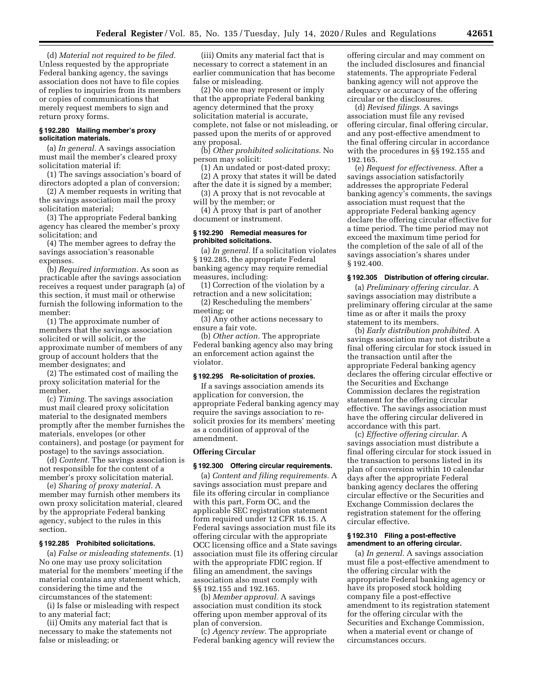(d) *Material not required to be filed.*  Unless requested by the appropriate Federal banking agency, the savings association does not have to file copies of replies to inquiries from its members or copies of communications that merely request members to sign and return proxy forms.

## **§ 192.280 Mailing member's proxy solicitation materials.**

(a) *In general.* A savings association must mail the member's cleared proxy solicitation material if:

(1) The savings association's board of directors adopted a plan of conversion;

(2) A member requests in writing that the savings association mail the proxy solicitation material;

(3) The appropriate Federal banking agency has cleared the member's proxy solicitation; and

(4) The member agrees to defray the savings association's reasonable expenses.

(b) *Required information.* As soon as practicable after the savings association receives a request under paragraph (a) of this section, it must mail or otherwise furnish the following information to the member:

(1) The approximate number of members that the savings association solicited or will solicit, or the approximate number of members of any group of account holders that the member designates; and

(2) The estimated cost of mailing the proxy solicitation material for the member.

(c) *Timing.* The savings association must mail cleared proxy solicitation material to the designated members promptly after the member furnishes the materials, envelopes (or other containers), and postage (or payment for postage) to the savings association.

(d) *Content.* The savings association is not responsible for the content of a member's proxy solicitation material.

(e) *Sharing of proxy material.* A member may furnish other members its own proxy solicitation material, cleared by the appropriate Federal banking agency, subject to the rules in this section.

## **§ 192.285 Prohibited solicitations.**

(a) *False or misleading statements.* (1) No one may use proxy solicitation material for the members' meeting if the material contains any statement which, considering the time and the circumstances of the statement:

(i) Is false or misleading with respect to any material fact;

(ii) Omits any material fact that is necessary to make the statements not false or misleading; or

(iii) Omits any material fact that is necessary to correct a statement in an earlier communication that has become false or misleading.

(2) No one may represent or imply that the appropriate Federal banking agency determined that the proxy solicitation material is accurate, complete, not false or not misleading, or passed upon the merits of or approved any proposal.

(b) *Other prohibited solicitations.* No person may solicit:

(1) An undated or post-dated proxy; (2) A proxy that states it will be dated after the date it is signed by a member;

(3) A proxy that is not revocable at will by the member; or

(4) A proxy that is part of another document or instrument.

#### **§ 192.290 Remedial measures for prohibited solicitations.**

(a) *In general.* If a solicitation violates § 192.285, the appropriate Federal banking agency may require remedial measures, including:

(1) Correction of the violation by a retraction and a new solicitation;

(2) Rescheduling the members' meeting; or

(3) Any other actions necessary to ensure a fair vote.

(b) *Other action.* The appropriate Federal banking agency also may bring an enforcement action against the violator.

#### **§ 192.295 Re-solicitation of proxies.**

If a savings association amends its application for conversion, the appropriate Federal banking agency may require the savings association to resolicit proxies for its members' meeting as a condition of approval of the amendment.

#### **Offering Circular**

## **§ 192.300 Offering circular requirements.**

(a) *Content and filing requirements.* A savings association must prepare and file its offering circular in compliance with this part, Form OC, and the applicable SEC registration statement form required under 12 CFR 16.15. A Federal savings association must file its offering circular with the appropriate OCC licensing office and a State savings association must file its offering circular with the appropriate FDIC region. If filing an amendment, the savings association also must comply with §§ 192.155 and 192.165.

(b) *Member approval.* A savings association must condition its stock offering upon member approval of its plan of conversion.

(c) *Agency review.* The appropriate Federal banking agency will review the

offering circular and may comment on the included disclosures and financial statements. The appropriate Federal banking agency will not approve the adequacy or accuracy of the offering circular or the disclosures.

(d) *Revised filings.* A savings association must file any revised offering circular, final offering circular, and any post-effective amendment to the final offering circular in accordance with the procedures in §§ 192.155 and 192.165.

(e) *Request for effectiveness.* After a savings association satisfactorily addresses the appropriate Federal banking agency's comments, the savings association must request that the appropriate Federal banking agency declare the offering circular effective for a time period. The time period may not exceed the maximum time period for the completion of the sale of all of the savings association's shares under § 192.400.

#### **§ 192.305 Distribution of offering circular.**

(a) *Preliminary offering circular.* A savings association may distribute a preliminary offering circular at the same time as or after it mails the proxy statement to its members.

(b) *Early distribution prohibited.* A savings association may not distribute a final offering circular for stock issued in the transaction until after the appropriate Federal banking agency declares the offering circular effective or the Securities and Exchange Commission declares the registration statement for the offering circular effective. The savings association must have the offering circular delivered in accordance with this part.

(c) *Effective offering circular.* A savings association must distribute a final offering circular for stock issued in the transaction to persons listed in its plan of conversion within 10 calendar days after the appropriate Federal banking agency declares the offering circular effective or the Securities and Exchange Commission declares the registration statement for the offering circular effective.

# **§ 192.310 Filing a post-effective amendment to an offering circular.**

(a) *In general.* A savings association must file a post-effective amendment to the offering circular with the appropriate Federal banking agency or have its proposed stock holding company file a post-effective amendment to its registration statement for the offering circular with the Securities and Exchange Commission, when a material event or change of circumstances occurs.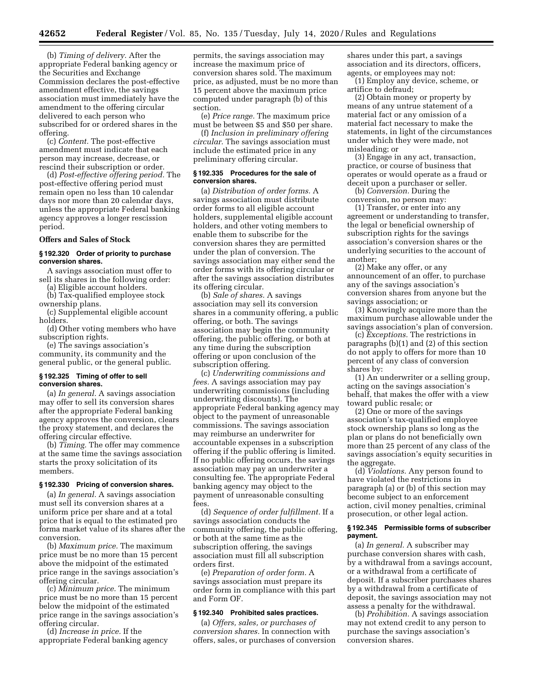(b) *Timing of delivery.* After the appropriate Federal banking agency or the Securities and Exchange Commission declares the post-effective amendment effective, the savings association must immediately have the amendment to the offering circular delivered to each person who subscribed for or ordered shares in the offering.

(c) *Content.* The post-effective amendment must indicate that each person may increase, decrease, or rescind their subscription or order.

(d) *Post-effective offering period.* The post-effective offering period must remain open no less than 10 calendar days nor more than 20 calendar days, unless the appropriate Federal banking agency approves a longer rescission period.

#### **Offers and Sales of Stock**

# **§ 192.320 Order of priority to purchase conversion shares.**

A savings association must offer to sell its shares in the following order:

(a) Eligible account holders.

(b) Tax-qualified employee stock

ownership plans. (c) Supplemental eligible account

holders. (d) Other voting members who have

subscription rights. (e) The savings association's community, its community and the general public, or the general public.

#### **§ 192.325 Timing of offer to sell conversion shares.**

(a) *In general.* A savings association may offer to sell its conversion shares after the appropriate Federal banking agency approves the conversion, clears the proxy statement, and declares the offering circular effective.

(b) *Timing.* The offer may commence at the same time the savings association starts the proxy solicitation of its members.

#### **§ 192.330 Pricing of conversion shares.**

(a) *In general.* A savings association must sell its conversion shares at a uniform price per share and at a total price that is equal to the estimated pro forma market value of its shares after the conversion.

(b) *Maximum price.* The maximum price must be no more than 15 percent above the midpoint of the estimated price range in the savings association's offering circular.

(c) *Minimum price.* The minimum price must be no more than 15 percent below the midpoint of the estimated price range in the savings association's offering circular.

(d) *Increase in price.* If the appropriate Federal banking agency permits, the savings association may increase the maximum price of conversion shares sold. The maximum price, as adjusted, must be no more than 15 percent above the maximum price computed under paragraph (b) of this section.

(e) *Price range.* The maximum price must be between \$5 and \$50 per share.

(f) *Inclusion in preliminary offering circular.* The savings association must include the estimated price in any preliminary offering circular.

#### **§ 192.335 Procedures for the sale of conversion shares.**

(a) *Distribution of order forms.* A savings association must distribute order forms to all eligible account holders, supplemental eligible account holders, and other voting members to enable them to subscribe for the conversion shares they are permitted under the plan of conversion. The savings association may either send the order forms with its offering circular or after the savings association distributes its offering circular.

(b) *Sale of shares.* A savings association may sell its conversion shares in a community offering, a public offering, or both. The savings association may begin the community offering, the public offering, or both at any time during the subscription offering or upon conclusion of the subscription offering.

(c) *Underwriting commissions and fees.* A savings association may pay underwriting commissions (including underwriting discounts). The appropriate Federal banking agency may object to the payment of unreasonable commissions. The savings association may reimburse an underwriter for accountable expenses in a subscription offering if the public offering is limited. If no public offering occurs, the savings association may pay an underwriter a consulting fee. The appropriate Federal banking agency may object to the payment of unreasonable consulting fees.

(d) *Sequence of order fulfillment.* If a savings association conducts the community offering, the public offering, or both at the same time as the subscription offering, the savings association must fill all subscription orders first.

(e) *Preparation of order form.* A savings association must prepare its order form in compliance with this part and Form OF.

#### **§ 192.340 Prohibited sales practices.**

(a) *Offers, sales, or purchases of conversion shares.* In connection with offers, sales, or purchases of conversion shares under this part, a savings association and its directors, officers, agents, or employees may not:

(1) Employ any device, scheme, or artifice to defraud;

(2) Obtain money or property by means of any untrue statement of a material fact or any omission of a material fact necessary to make the statements, in light of the circumstances under which they were made, not misleading; or

(3) Engage in any act, transaction, practice, or course of business that operates or would operate as a fraud or deceit upon a purchaser or seller.

(b) *Conversion.* During the conversion, no person may:

(1) Transfer, or enter into any agreement or understanding to transfer, the legal or beneficial ownership of subscription rights for the savings association's conversion shares or the underlying securities to the account of another;

(2) Make any offer, or any announcement of an offer, to purchase any of the savings association's conversion shares from anyone but the savings association; or

(3) Knowingly acquire more than the maximum purchase allowable under the savings association's plan of conversion.

(c) *Exceptions.* The restrictions in paragraphs (b)(1) and (2) of this section do not apply to offers for more than 10 percent of any class of conversion shares by:

(1) An underwriter or a selling group, acting on the savings association's behalf, that makes the offer with a view toward public resale; or

(2) One or more of the savings association's tax-qualified employee stock ownership plans so long as the plan or plans do not beneficially own more than 25 percent of any class of the savings association's equity securities in the aggregate.

(d) *Violations.* Any person found to have violated the restrictions in paragraph (a) or (b) of this section may become subject to an enforcement action, civil money penalties, criminal prosecution, or other legal action.

#### **§ 192.345 Permissible forms of subscriber payment.**

(a) *In general.* A subscriber may purchase conversion shares with cash, by a withdrawal from a savings account, or a withdrawal from a certificate of deposit. If a subscriber purchases shares by a withdrawal from a certificate of deposit, the savings association may not assess a penalty for the withdrawal.

(b) *Prohibition.* A savings association may not extend credit to any person to purchase the savings association's conversion shares.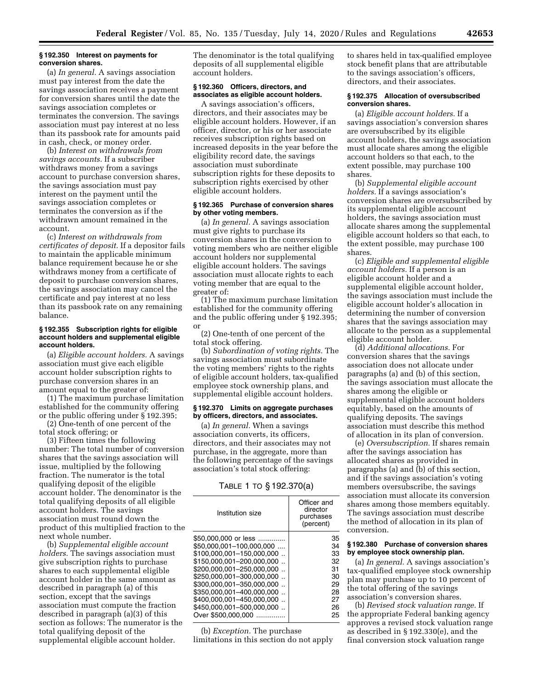#### **§ 192.350 Interest on payments for conversion shares.**

(a) *In general.* A savings association must pay interest from the date the savings association receives a payment for conversion shares until the date the savings association completes or terminates the conversion. The savings association must pay interest at no less than its passbook rate for amounts paid in cash, check, or money order.

(b) *Interest on withdrawals from savings accounts.* If a subscriber withdraws money from a savings account to purchase conversion shares, the savings association must pay interest on the payment until the savings association completes or terminates the conversion as if the withdrawn amount remained in the account.

(c) *Interest on withdrawals from certificates of deposit.* If a depositor fails to maintain the applicable minimum balance requirement because he or she withdraws money from a certificate of deposit to purchase conversion shares, the savings association may cancel the certificate and pay interest at no less than its passbook rate on any remaining balance.

### **§ 192.355 Subscription rights for eligible account holders and supplemental eligible account holders.**

(a) *Eligible account holders.* A savings association must give each eligible account holder subscription rights to purchase conversion shares in an amount equal to the greater of:

(1) The maximum purchase limitation established for the community offering or the public offering under § 192.395;

(2) One-tenth of one percent of the total stock offering; or

(3) Fifteen times the following number: The total number of conversion shares that the savings association will issue, multiplied by the following fraction. The numerator is the total qualifying deposit of the eligible account holder. The denominator is the total qualifying deposits of all eligible account holders. The savings association must round down the product of this multiplied fraction to the next whole number.

(b) *Supplemental eligible account holders.* The savings association must give subscription rights to purchase shares to each supplemental eligible account holder in the same amount as described in paragraph (a) of this section, except that the savings association must compute the fraction described in paragraph (a)(3) of this section as follows: The numerator is the total qualifying deposit of the supplemental eligible account holder.

The denominator is the total qualifying deposits of all supplemental eligible account holders.

# **§ 192.360 Officers, directors, and associates as eligible account holders.**

A savings association's officers, directors, and their associates may be eligible account holders. However, if an officer, director, or his or her associate receives subscription rights based on increased deposits in the year before the eligibility record date, the savings association must subordinate subscription rights for these deposits to subscription rights exercised by other eligible account holders.

# **§ 192.365 Purchase of conversion shares by other voting members.**

(a) *In general.* A savings association must give rights to purchase its conversion shares in the conversion to voting members who are neither eligible account holders nor supplemental eligible account holders. The savings association must allocate rights to each voting member that are equal to the greater of:

(1) The maximum purchase limitation established for the community offering and the public offering under § 192.395; or

(2) One-tenth of one percent of the total stock offering.

(b) *Subordination of voting rights.* The savings association must subordinate the voting members' rights to the rights of eligible account holders, tax-qualified employee stock ownership plans, and supplemental eligible account holders.

#### **§ 192.370 Limits on aggregate purchases by officers, directors, and associates.**

(a) *In general.* When a savings association converts, its officers, directors, and their associates may not purchase, in the aggregate, more than the following percentage of the savings association's total stock offering:

# TABLE 1 TO § 192.370(a)

| Institution size          | Officer and<br>director<br>purchases<br>(percent) |
|---------------------------|---------------------------------------------------|
| \$50.000,000 or less      | 35                                                |
| \$50.000.001-100.000.000  | 34                                                |
| \$100,000,001-150,000,000 | 33                                                |
| \$150.000.001-200.000.000 | 32                                                |
| \$200.000,001-250,000,000 | 31                                                |
| \$250.000.001-300.000.000 | 30                                                |
| \$300.000.001-350.000.000 | 29                                                |
| \$350.000.001-400.000.000 | 28                                                |
| \$400,000,001-450,000,000 | 27                                                |
| \$450.000.001-500.000.000 | 26                                                |
| Over \$500,000,000        | 25                                                |

(b) *Exception.* The purchase limitations in this section do not apply to shares held in tax-qualified employee stock benefit plans that are attributable to the savings association's officers, directors, and their associates.

## **§ 192.375 Allocation of oversubscribed conversion shares.**

(a) *Eligible account holders.* If a savings association's conversion shares are oversubscribed by its eligible account holders, the savings association must allocate shares among the eligible account holders so that each, to the extent possible, may purchase 100 shares.

(b) *Supplemental eligible account holders.* If a savings association's conversion shares are oversubscribed by its supplemental eligible account holders, the savings association must allocate shares among the supplemental eligible account holders so that each, to the extent possible, may purchase 100 shares.

(c) *Eligible and supplemental eligible account holders.* If a person is an eligible account holder and a supplemental eligible account holder, the savings association must include the eligible account holder's allocation in determining the number of conversion shares that the savings association may allocate to the person as a supplemental eligible account holder.

(d) *Additional allocations.* For conversion shares that the savings association does not allocate under paragraphs (a) and (b) of this section, the savings association must allocate the shares among the eligible or supplemental eligible account holders equitably, based on the amounts of qualifying deposits. The savings association must describe this method of allocation in its plan of conversion.

(e) *Oversubscription.* If shares remain after the savings association has allocated shares as provided in paragraphs (a) and (b) of this section, and if the savings association's voting members oversubscribe, the savings association must allocate its conversion shares among those members equitably. The savings association must describe the method of allocation in its plan of conversion.

# **§ 192.380 Purchase of conversion shares by employee stock ownership plan.**

(a) *In general.* A savings association's tax-qualified employee stock ownership plan may purchase up to 10 percent of the total offering of the savings association's conversion shares.

(b) *Revised stock valuation range.* If the appropriate Federal banking agency approves a revised stock valuation range as described in § 192.330(e), and the final conversion stock valuation range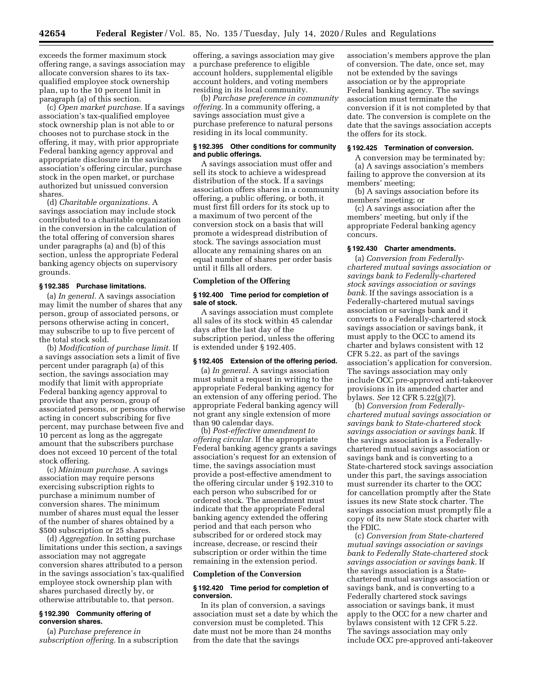exceeds the former maximum stock offering range, a savings association may allocate conversion shares to its taxqualified employee stock ownership plan, up to the 10 percent limit in paragraph (a) of this section.

(c) *Open market purchase.* If a savings association's tax-qualified employee stock ownership plan is not able to or chooses not to purchase stock in the offering, it may, with prior appropriate Federal banking agency approval and appropriate disclosure in the savings association's offering circular, purchase stock in the open market, or purchase authorized but unissued conversion shares.

(d) *Charitable organizations.* A savings association may include stock contributed to a charitable organization in the conversion in the calculation of the total offering of conversion shares under paragraphs (a) and (b) of this section, unless the appropriate Federal banking agency objects on supervisory grounds.

#### **§ 192.385 Purchase limitations.**

(a) *In general.* A savings association may limit the number of shares that any person, group of associated persons, or persons otherwise acting in concert, may subscribe to up to five percent of the total stock sold.

(b) *Modification of purchase limit.* If a savings association sets a limit of five percent under paragraph (a) of this section, the savings association may modify that limit with appropriate Federal banking agency approval to provide that any person, group of associated persons, or persons otherwise acting in concert subscribing for five percent, may purchase between five and 10 percent as long as the aggregate amount that the subscribers purchase does not exceed 10 percent of the total stock offering.

(c) *Minimum purchase.* A savings association may require persons exercising subscription rights to purchase a minimum number of conversion shares. The minimum number of shares must equal the lesser of the number of shares obtained by a \$500 subscription or 25 shares.

(d) *Aggregation.* In setting purchase limitations under this section, a savings association may not aggregate conversion shares attributed to a person in the savings association's tax-qualified employee stock ownership plan with shares purchased directly by, or otherwise attributable to, that person.

# **§ 192.390 Community offering of conversion shares.**

(a) *Purchase preference in subscription offering.* In a subscription

offering, a savings association may give a purchase preference to eligible account holders, supplemental eligible account holders, and voting members residing in its local community.

(b) *Purchase preference in community offering.* In a community offering, a savings association must give a purchase preference to natural persons residing in its local community.

#### **§ 192.395 Other conditions for community and public offerings.**

A savings association must offer and sell its stock to achieve a widespread distribution of the stock. If a savings association offers shares in a community offering, a public offering, or both, it must first fill orders for its stock up to a maximum of two percent of the conversion stock on a basis that will promote a widespread distribution of stock. The savings association must allocate any remaining shares on an equal number of shares per order basis until it fills all orders.

# **Completion of the Offering**

# **§ 192.400 Time period for completion of sale of stock.**

A savings association must complete all sales of its stock within 45 calendar days after the last day of the subscription period, unless the offering is extended under § 192.405.

#### **§ 192.405 Extension of the offering period.**

(a) *In general.* A savings association must submit a request in writing to the appropriate Federal banking agency for an extension of any offering period. The appropriate Federal banking agency will not grant any single extension of more than 90 calendar days.

(b) *Post-effective amendment to offering circular.* If the appropriate Federal banking agency grants a savings association's request for an extension of time, the savings association must provide a post-effective amendment to the offering circular under § 192.310 to each person who subscribed for or ordered stock. The amendment must indicate that the appropriate Federal banking agency extended the offering period and that each person who subscribed for or ordered stock may increase, decrease, or rescind their subscription or order within the time remaining in the extension period.

#### **Completion of the Conversion**

#### **§ 192.420 Time period for completion of conversion.**

In its plan of conversion, a savings association must set a date by which the conversion must be completed. This date must not be more than 24 months from the date that the savings

association's members approve the plan of conversion. The date, once set, may not be extended by the savings association or by the appropriate Federal banking agency. The savings association must terminate the conversion if it is not completed by that date. The conversion is complete on the date that the savings association accepts the offers for its stock.

#### **§ 192.425 Termination of conversion.**

A conversion may be terminated by: (a) A savings association's members failing to approve the conversion at its members' meeting;

(b) A savings association before its members' meeting; or

(c) A savings association after the members' meeting, but only if the appropriate Federal banking agency concurs.

# **§ 192.430 Charter amendments.**

(a) *Conversion from Federallychartered mutual savings association or savings bank to Federally-chartered stock savings association or savings bank.* If the savings association is a Federally-chartered mutual savings association or savings bank and it converts to a Federally-chartered stock savings association or savings bank, it must apply to the OCC to amend its charter and bylaws consistent with 12 CFR 5.22, as part of the savings association's application for conversion. The savings association may only include OCC pre-approved anti-takeover provisions in its amended charter and bylaws. *See* 12 CFR 5.22(g)(7).

(b) *Conversion from Federallychartered mutual savings association or savings bank to State-chartered stock savings association or savings bank.* If the savings association is a Federallychartered mutual savings association or savings bank and is converting to a State-chartered stock savings association under this part, the savings association must surrender its charter to the OCC for cancellation promptly after the State issues its new State stock charter. The savings association must promptly file a copy of its new State stock charter with the FDIC.

(c) *Conversion from State-chartered mutual savings association or savings bank to Federally State-chartered stock savings association or savings bank.* If the savings association is a Statechartered mutual savings association or savings bank, and is converting to a Federally chartered stock savings association or savings bank, it must apply to the OCC for a new charter and bylaws consistent with 12 CFR 5.22. The savings association may only include OCC pre-approved anti-takeover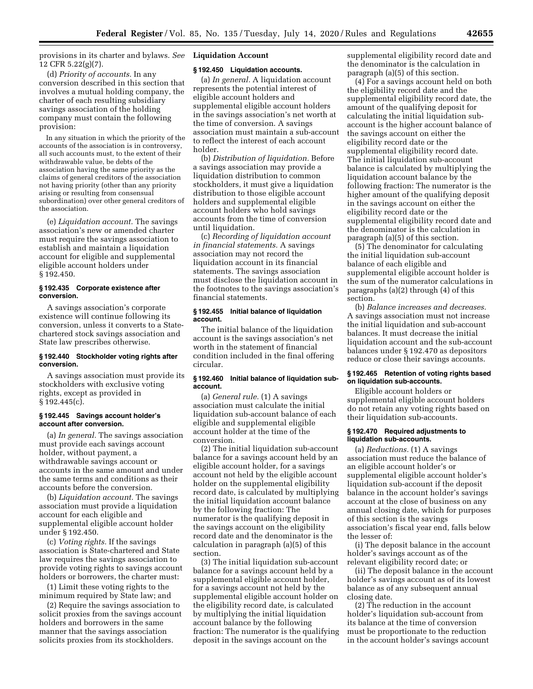provisions in its charter and bylaws. *See*  **Liquidation Account**  12 CFR 5.22(g)(7).

(d) *Priority of accounts.* In any conversion described in this section that involves a mutual holding company, the charter of each resulting subsidiary savings association of the holding company must contain the following provision:

In any situation in which the priority of the accounts of the association is in controversy, all such accounts must, to the extent of their withdrawable value, be debts of the association having the same priority as the claims of general creditors of the association not having priority (other than any priority arising or resulting from consensual subordination) over other general creditors of the association.

(e) *Liquidation account.* The savings association's new or amended charter must require the savings association to establish and maintain a liquidation account for eligible and supplemental eligible account holders under § 192.450.

# **§ 192.435 Corporate existence after conversion.**

A savings association's corporate existence will continue following its conversion, unless it converts to a Statechartered stock savings association and State law prescribes otherwise.

# **§ 192.440 Stockholder voting rights after conversion.**

A savings association must provide its stockholders with exclusive voting rights, except as provided in § 192.445(c).

#### **§ 192.445 Savings account holder's account after conversion.**

(a) *In general.* The savings association must provide each savings account holder, without payment, a withdrawable savings account or accounts in the same amount and under the same terms and conditions as their accounts before the conversion.

(b) *Liquidation account.* The savings association must provide a liquidation account for each eligible and supplemental eligible account holder under § 192.450.

(c) *Voting rights.* If the savings association is State-chartered and State law requires the savings association to provide voting rights to savings account holders or borrowers, the charter must:

(1) Limit these voting rights to the minimum required by State law; and

(2) Require the savings association to solicit proxies from the savings account holders and borrowers in the same manner that the savings association solicits proxies from its stockholders.

#### **§ 192.450 Liquidation accounts.**

(a) *In general.* A liquidation account represents the potential interest of eligible account holders and supplemental eligible account holders in the savings association's net worth at the time of conversion. A savings association must maintain a sub-account to reflect the interest of each account holder.

(b) *Distribution of liquidation.* Before a savings association may provide a liquidation distribution to common stockholders, it must give a liquidation distribution to those eligible account holders and supplemental eligible account holders who hold savings accounts from the time of conversion until liquidation.

(c) *Recording of liquidation account in financial statements.* A savings association may not record the liquidation account in its financial statements. The savings association must disclose the liquidation account in the footnotes to the savings association's financial statements.

#### **§ 192.455 Initial balance of liquidation account.**

The initial balance of the liquidation account is the savings association's net worth in the statement of financial condition included in the final offering circular.

## **§ 192.460 Initial balance of liquidation subaccount.**

(a) *General rule.* (1) A savings association must calculate the initial liquidation sub-account balance of each eligible and supplemental eligible account holder at the time of the conversion.

(2) The initial liquidation sub-account balance for a savings account held by an eligible account holder, for a savings account not held by the eligible account holder on the supplemental eligibility record date, is calculated by multiplying the initial liquidation account balance by the following fraction: The numerator is the qualifying deposit in the savings account on the eligibility record date and the denominator is the calculation in paragraph (a)(5) of this section.

(3) The initial liquidation sub-account balance for a savings account held by a supplemental eligible account holder, for a savings account not held by the supplemental eligible account holder on the eligibility record date, is calculated by multiplying the initial liquidation account balance by the following fraction: The numerator is the qualifying deposit in the savings account on the

supplemental eligibility record date and the denominator is the calculation in paragraph (a)(5) of this section.

(4) For a savings account held on both the eligibility record date and the supplemental eligibility record date, the amount of the qualifying deposit for calculating the initial liquidation subaccount is the higher account balance of the savings account on either the eligibility record date or the supplemental eligibility record date. The initial liquidation sub-account balance is calculated by multiplying the liquidation account balance by the following fraction: The numerator is the higher amount of the qualifying deposit in the savings account on either the eligibility record date or the supplemental eligibility record date and the denominator is the calculation in paragraph (a)(5) of this section.

(5) The denominator for calculating the initial liquidation sub-account balance of each eligible and supplemental eligible account holder is the sum of the numerator calculations in paragraphs (a)(2) through (4) of this section.

(b) *Balance increases and decreases.*  A savings association must not increase the initial liquidation and sub-account balances. It must decrease the initial liquidation account and the sub-account balances under § 192.470 as depositors reduce or close their savings accounts.

#### **§ 192.465 Retention of voting rights based on liquidation sub-accounts.**

Eligible account holders or supplemental eligible account holders do not retain any voting rights based on their liquidation sub-accounts.

## **§ 192.470 Required adjustments to liquidation sub-accounts.**

(a) *Reductions.* (1) A savings association must reduce the balance of an eligible account holder's or supplemental eligible account holder's liquidation sub-account if the deposit balance in the account holder's savings account at the close of business on any annual closing date, which for purposes of this section is the savings association's fiscal year end, falls below the lesser of:

(i) The deposit balance in the account holder's savings account as of the relevant eligibility record date; or

(ii) The deposit balance in the account holder's savings account as of its lowest balance as of any subsequent annual closing date.

(2) The reduction in the account holder's liquidation sub-account from its balance at the time of conversion must be proportionate to the reduction in the account holder's savings account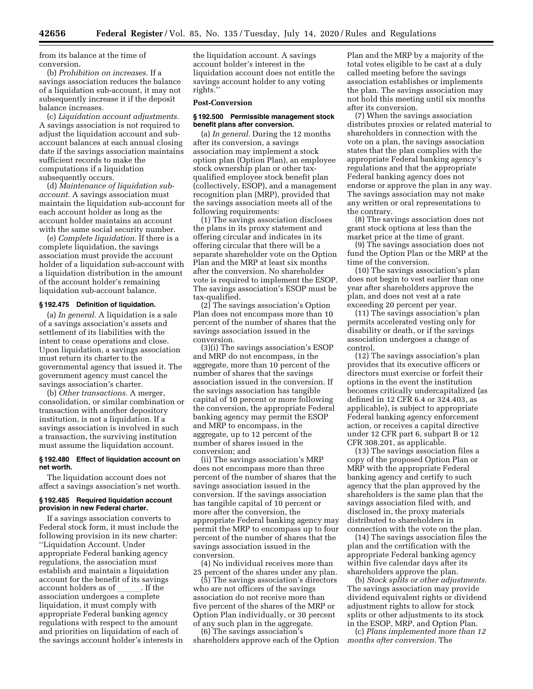from its balance at the time of conversion.

(b) *Prohibition on increases.* If a savings association reduces the balance of a liquidation sub-account, it may not subsequently increase it if the deposit balance increases.

(c) *Liquidation account adjustments.*  A savings association is not required to adjust the liquidation account and subaccount balances at each annual closing date if the savings association maintains sufficient records to make the computations if a liquidation subsequently occurs.

(d) *Maintenance of liquidation subaccount.* A savings association must maintain the liquidation sub-account for each account holder as long as the account holder maintains an account with the same social security number.

(e) *Complete liquidation.* If there is a complete liquidation, the savings association must provide the account holder of a liquidation sub-account with a liquidation distribution in the amount of the account holder's remaining liquidation sub-account balance.

# **§ 192.475 Definition of liquidation.**

(a) *In general.* A liquidation is a sale of a savings association's assets and settlement of its liabilities with the intent to cease operations and close. Upon liquidation, a savings association must return its charter to the governmental agency that issued it. The government agency must cancel the savings association's charter.

(b) *Other transactions.* A merger, consolidation, or similar combination or transaction with another depository institution, is not a liquidation. If a savings association is involved in such a transaction, the surviving institution must assume the liquidation account.

## **§ 192.480 Effect of liquidation account on net worth.**

The liquidation account does not affect a savings association's net worth.

#### **§ 192.485 Required liquidation account provision in new Federal charter.**

If a savings association converts to Federal stock form, it must include the following provision in its new charter: ''Liquidation Account. Under appropriate Federal banking agency regulations, the association must establish and maintain a liquidation account for the benefit of its savings<br>account holders as of Fig. 1. If the account holders as of \_\_\_\_\_\_. If the<br>association undergoes a complete liquidation, it must comply with appropriate Federal banking agency regulations with respect to the amount and priorities on liquidation of each of the savings account holder's interests in

the liquidation account. A savings account holder's interest in the liquidation account does not entitle the savings account holder to any voting rights.''

#### **Post-Conversion**

# **§ 192.500 Permissible management stock benefit plans after conversion.**

(a) *In general.* During the 12 months after its conversion, a savings association may implement a stock option plan (Option Plan), an employee stock ownership plan or other taxqualified employee stock benefit plan (collectively, ESOP), and a management recognition plan (MRP), provided that the savings association meets all of the following requirements:

(1) The savings association discloses the plans in its proxy statement and offering circular and indicates in its offering circular that there will be a separate shareholder vote on the Option Plan and the MRP at least six months after the conversion. No shareholder vote is required to implement the ESOP. The savings association's ESOP must be tax-qualified.

(2) The savings association's Option Plan does not encompass more than 10 percent of the number of shares that the savings association issued in the conversion.

(3)(i) The savings association's ESOP and MRP do not encompass, in the aggregate, more than 10 percent of the number of shares that the savings association issued in the conversion. If the savings association has tangible capital of 10 percent or more following the conversion, the appropriate Federal banking agency may permit the ESOP and MRP to encompass, in the aggregate, up to 12 percent of the number of shares issued in the conversion; and

(ii) The savings association's MRP does not encompass more than three percent of the number of shares that the savings association issued in the conversion. If the savings association has tangible capital of 10 percent or more after the conversion, the appropriate Federal banking agency may permit the MRP to encompass up to four percent of the number of shares that the savings association issued in the conversion.

(4) No individual receives more than 25 percent of the shares under any plan.

(5) The savings association's directors who are not officers of the savings association do not receive more than five percent of the shares of the MRP or Option Plan individually, or 30 percent of any such plan in the aggregate.

(6) The savings association's shareholders approve each of the Option Plan and the MRP by a majority of the total votes eligible to be cast at a duly called meeting before the savings association establishes or implements the plan. The savings association may not hold this meeting until six months after its conversion.

(7) When the savings association distributes proxies or related material to shareholders in connection with the vote on a plan, the savings association states that the plan complies with the appropriate Federal banking agency's regulations and that the appropriate Federal banking agency does not endorse or approve the plan in any way. The savings association may not make any written or oral representations to the contrary.

(8) The savings association does not grant stock options at less than the market price at the time of grant.

(9) The savings association does not fund the Option Plan or the MRP at the time of the conversion.

(10) The savings association's plan does not begin to vest earlier than one year after shareholders approve the plan, and does not vest at a rate exceeding 20 percent per year.

(11) The savings association's plan permits accelerated vesting only for disability or death, or if the savings association undergoes a change of control.

(12) The savings association's plan provides that its executive officers or directors must exercise or forfeit their options in the event the institution becomes critically undercapitalized (as defined in 12 CFR 6.4 or 324.403, as applicable), is subject to appropriate Federal banking agency enforcement action, or receives a capital directive under 12 CFR part 6, subpart B or 12 CFR 308.201, as applicable.

(13) The savings association files a copy of the proposed Option Plan or MRP with the appropriate Federal banking agency and certify to such agency that the plan approved by the shareholders is the same plan that the savings association filed with, and disclosed in, the proxy materials distributed to shareholders in connection with the vote on the plan.

(14) The savings association files the plan and the certification with the appropriate Federal banking agency within five calendar days after its shareholders approve the plan.

(b) *Stock splits or other adjustments.*  The savings association may provide dividend equivalent rights or dividend adjustment rights to allow for stock splits or other adjustments to its stock in the ESOP, MRP, and Option Plan.

(c) *Plans implemented more than 12 months after conversion.* The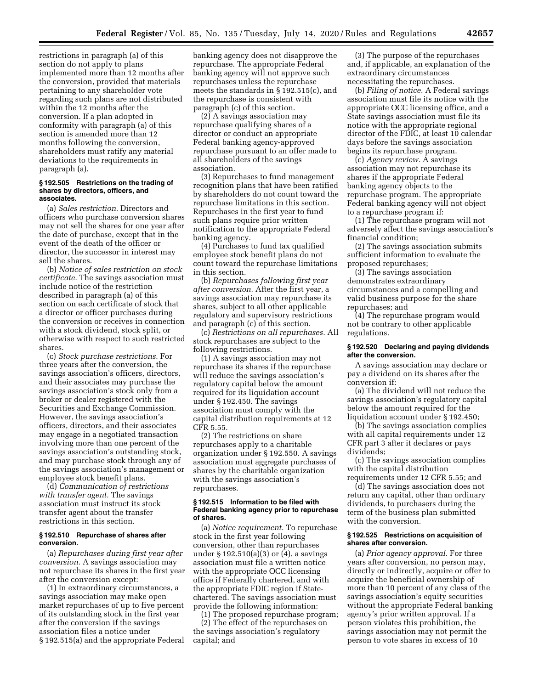restrictions in paragraph (a) of this section do not apply to plans implemented more than 12 months after the conversion, provided that materials pertaining to any shareholder vote regarding such plans are not distributed within the 12 months after the conversion. If a plan adopted in conformity with paragraph (a) of this section is amended more than 12 months following the conversion, shareholders must ratify any material deviations to the requirements in paragraph (a).

#### **§ 192.505 Restrictions on the trading of shares by directors, officers, and associates.**

(a) *Sales restriction.* Directors and officers who purchase conversion shares may not sell the shares for one year after the date of purchase, except that in the event of the death of the officer or director, the successor in interest may sell the shares.

(b) *Notice of sales restriction on stock certificate.* The savings association must include notice of the restriction described in paragraph (a) of this section on each certificate of stock that a director or officer purchases during the conversion or receives in connection with a stock dividend, stock split, or otherwise with respect to such restricted shares.

(c) *Stock purchase restrictions.* For three years after the conversion, the savings association's officers, directors, and their associates may purchase the savings association's stock only from a broker or dealer registered with the Securities and Exchange Commission. However, the savings association's officers, directors, and their associates may engage in a negotiated transaction involving more than one percent of the savings association's outstanding stock, and may purchase stock through any of the savings association's management or employee stock benefit plans.

(d) *Communication of restrictions with transfer agent.* The savings association must instruct its stock transfer agent about the transfer restrictions in this section.

#### **§ 192.510 Repurchase of shares after conversion.**

(a) *Repurchases during first year after conversion.* A savings association may not repurchase its shares in the first year after the conversion except:

(1) In extraordinary circumstances, a savings association may make open market repurchases of up to five percent of its outstanding stock in the first year after the conversion if the savings association files a notice under § 192.515(a) and the appropriate Federal

banking agency does not disapprove the repurchase. The appropriate Federal banking agency will not approve such repurchases unless the repurchase meets the standards in § 192.515(c), and the repurchase is consistent with paragraph (c) of this section.

(2) A savings association may repurchase qualifying shares of a director or conduct an appropriate Federal banking agency-approved repurchase pursuant to an offer made to all shareholders of the savings association.

(3) Repurchases to fund management recognition plans that have been ratified by shareholders do not count toward the repurchase limitations in this section. Repurchases in the first year to fund such plans require prior written notification to the appropriate Federal banking agency.

(4) Purchases to fund tax qualified employee stock benefit plans do not count toward the repurchase limitations in this section.

(b) *Repurchases following first year after conversion.* After the first year, a savings association may repurchase its shares, subject to all other applicable regulatory and supervisory restrictions and paragraph (c) of this section.

(c) *Restrictions on all repurchases.* All stock repurchases are subject to the following restrictions.

(1) A savings association may not repurchase its shares if the repurchase will reduce the savings association's regulatory capital below the amount required for its liquidation account under § 192.450. The savings association must comply with the capital distribution requirements at 12 CFR 5.55.

(2) The restrictions on share repurchases apply to a charitable organization under § 192.550. A savings association must aggregate purchases of shares by the charitable organization with the savings association's repurchases.

#### **§ 192.515 Information to be filed with Federal banking agency prior to repurchase of shares.**

(a) *Notice requirement.* To repurchase stock in the first year following conversion, other than repurchases under § 192.510(a)(3) or (4), a savings association must file a written notice with the appropriate OCC licensing office if Federally chartered, and with the appropriate FDIC region if Statechartered. The savings association must provide the following information:

(1) The proposed repurchase program; (2) The effect of the repurchases on the savings association's regulatory capital; and

(3) The purpose of the repurchases and, if applicable, an explanation of the extraordinary circumstances necessitating the repurchases.

(b) *Filing of notice.* A Federal savings association must file its notice with the appropriate OCC licensing office, and a State savings association must file its notice with the appropriate regional director of the FDIC, at least 10 calendar days before the savings association begins its repurchase program.

(c) *Agency review.* A savings association may not repurchase its shares if the appropriate Federal banking agency objects to the repurchase program. The appropriate Federal banking agency will not object to a repurchase program if:

(1) The repurchase program will not adversely affect the savings association's financial condition;

(2) The savings association submits sufficient information to evaluate the proposed repurchases;

(3) The savings association demonstrates extraordinary circumstances and a compelling and valid business purpose for the share repurchases; and

(4) The repurchase program would not be contrary to other applicable regulations.

#### **§ 192.520 Declaring and paying dividends after the conversion.**

A savings association may declare or pay a dividend on its shares after the conversion if:

(a) The dividend will not reduce the savings association's regulatory capital below the amount required for the liquidation account under § 192.450;

(b) The savings association complies with all capital requirements under 12 CFR part 3 after it declares or pays dividends;

(c) The savings association complies with the capital distribution requirements under 12 CFR 5.55; and

(d) The savings association does not return any capital, other than ordinary dividends, to purchasers during the term of the business plan submitted with the conversion.

#### **§ 192.525 Restrictions on acquisition of shares after conversion.**

(a) *Prior agency approval.* For three years after conversion, no person may, directly or indirectly, acquire or offer to acquire the beneficial ownership of more than 10 percent of any class of the savings association's equity securities without the appropriate Federal banking agency's prior written approval. If a person violates this prohibition, the savings association may not permit the person to vote shares in excess of 10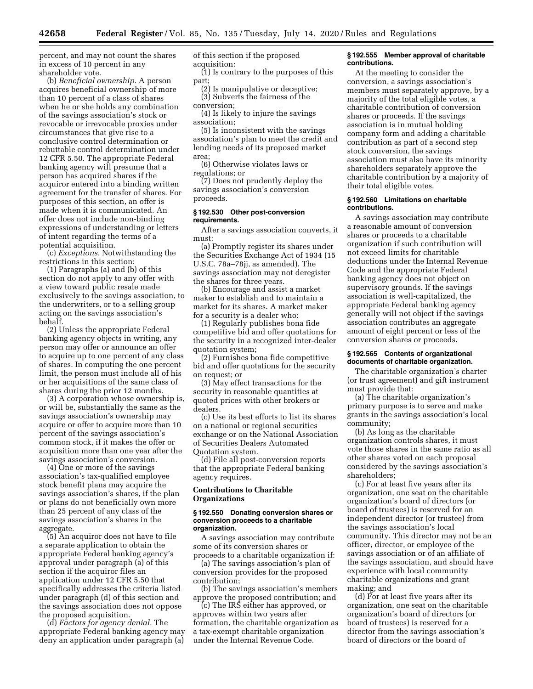percent, and may not count the shares in excess of 10 percent in any shareholder vote.

(b) *Beneficial ownership.* A person acquires beneficial ownership of more than 10 percent of a class of shares when he or she holds any combination of the savings association's stock or revocable or irrevocable proxies under circumstances that give rise to a conclusive control determination or rebuttable control determination under 12 CFR 5.50. The appropriate Federal banking agency will presume that a person has acquired shares if the acquiror entered into a binding written agreement for the transfer of shares. For purposes of this section, an offer is made when it is communicated. An offer does not include non-binding expressions of understanding or letters of intent regarding the terms of a potential acquisition.

(c) *Exceptions.* Notwithstanding the restrictions in this section:

(1) Paragraphs (a) and (b) of this section do not apply to any offer with a view toward public resale made exclusively to the savings association, to the underwriters, or to a selling group acting on the savings association's behalf.

(2) Unless the appropriate Federal banking agency objects in writing, any person may offer or announce an offer to acquire up to one percent of any class of shares. In computing the one percent limit, the person must include all of his or her acquisitions of the same class of shares during the prior 12 months.

(3) A corporation whose ownership is, or will be, substantially the same as the savings association's ownership may acquire or offer to acquire more than 10 percent of the savings association's common stock, if it makes the offer or acquisition more than one year after the savings association's conversion.

(4) One or more of the savings association's tax-qualified employee stock benefit plans may acquire the savings association's shares, if the plan or plans do not beneficially own more than 25 percent of any class of the savings association's shares in the aggregate.

(5) An acquiror does not have to file a separate application to obtain the appropriate Federal banking agency's approval under paragraph (a) of this section if the acquiror files an application under 12 CFR 5.50 that specifically addresses the criteria listed under paragraph (d) of this section and the savings association does not oppose the proposed acquisition.

(d) *Factors for agency denial.* The appropriate Federal banking agency may deny an application under paragraph (a)

of this section if the proposed acquisition:

(1) Is contrary to the purposes of this part;

(2) Is manipulative or deceptive; (3) Subverts the fairness of the conversion;

(4) Is likely to injure the savings association;

(5) Is inconsistent with the savings association's plan to meet the credit and lending needs of its proposed market area;

(6) Otherwise violates laws or regulations; or

(7) Does not prudently deploy the savings association's conversion proceeds.

# **§ 192.530 Other post-conversion requirements.**

After a savings association converts, it must:

(a) Promptly register its shares under the Securities Exchange Act of 1934 (15 U.S.C. 78a–78jj, as amended). The savings association may not deregister the shares for three years.

(b) Encourage and assist a market maker to establish and to maintain a market for its shares. A market maker for a security is a dealer who:

(1) Regularly publishes bona fide competitive bid and offer quotations for the security in a recognized inter-dealer quotation system;

(2) Furnishes bona fide competitive bid and offer quotations for the security on request; or

(3) May effect transactions for the security in reasonable quantities at quoted prices with other brokers or dealers.

(c) Use its best efforts to list its shares on a national or regional securities exchange or on the National Association of Securities Dealers Automated Quotation system.

(d) File all post-conversion reports that the appropriate Federal banking agency requires.

# **Contributions to Charitable Organizations**

#### **§ 192.550 Donating conversion shares or conversion proceeds to a charitable organization.**

A savings association may contribute some of its conversion shares or proceeds to a charitable organization if:

(a) The savings association's plan of conversion provides for the proposed contribution;

(b) The savings association's members approve the proposed contribution; and

(c) The IRS either has approved, or approves within two years after formation, the charitable organization as a tax-exempt charitable organization under the Internal Revenue Code.

#### **§ 192.555 Member approval of charitable contributions.**

At the meeting to consider the conversion, a savings association's members must separately approve, by a majority of the total eligible votes, a charitable contribution of conversion shares or proceeds. If the savings association is in mutual holding company form and adding a charitable contribution as part of a second step stock conversion, the savings association must also have its minority shareholders separately approve the charitable contribution by a majority of their total eligible votes.

#### **§ 192.560 Limitations on charitable contributions.**

A savings association may contribute a reasonable amount of conversion shares or proceeds to a charitable organization if such contribution will not exceed limits for charitable deductions under the Internal Revenue Code and the appropriate Federal banking agency does not object on supervisory grounds. If the savings association is well-capitalized, the appropriate Federal banking agency generally will not object if the savings association contributes an aggregate amount of eight percent or less of the conversion shares or proceeds.

#### **§ 192.565 Contents of organizational documents of charitable organization.**

The charitable organization's charter (or trust agreement) and gift instrument must provide that:

(a) The charitable organization's primary purpose is to serve and make grants in the savings association's local community;

(b) As long as the charitable organization controls shares, it must vote those shares in the same ratio as all other shares voted on each proposal considered by the savings association's shareholders;

(c) For at least five years after its organization, one seat on the charitable organization's board of directors (or board of trustees) is reserved for an independent director (or trustee) from the savings association's local community. This director may not be an officer, director, or employee of the savings association or of an affiliate of the savings association, and should have experience with local community charitable organizations and grant making; and

(d) For at least five years after its organization, one seat on the charitable organization's board of directors (or board of trustees) is reserved for a director from the savings association's board of directors or the board of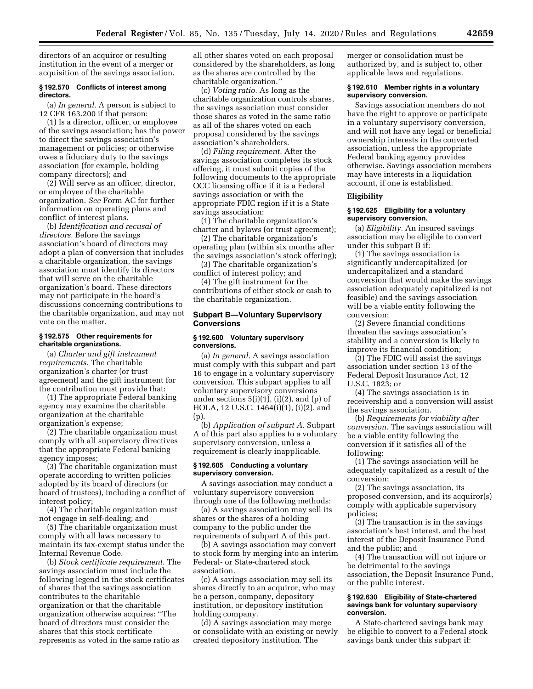directors of an acquiror or resulting institution in the event of a merger or acquisition of the savings association.

## **§ 192.570 Conflicts of interest among directors.**

(a) *In general.* A person is subject to 12 CFR 163.200 if that person:

(1) Is a director, officer, or employee of the savings association; has the power to direct the savings association's management or policies; or otherwise owes a fiduciary duty to the savings association (for example, holding company directors); and

(2) Will serve as an officer, director, or employee of the charitable organization. *See* Form AC for further information on operating plans and conflict of interest plans.

(b) *Identification and recusal of directors.* Before the savings association's board of directors may adopt a plan of conversion that includes a charitable organization, the savings association must identify its directors that will serve on the charitable organization's board. These directors may not participate in the board's discussions concerning contributions to the charitable organization, and may not vote on the matter.

# **§ 192.575 Other requirements for charitable organizations.**

(a) *Charter and gift instrument requirements.* The charitable organization's charter (or trust agreement) and the gift instrument for the contribution must provide that:

(1) The appropriate Federal banking agency may examine the charitable organization at the charitable organization's expense;

(2) The charitable organization must comply with all supervisory directives that the appropriate Federal banking agency imposes;

(3) The charitable organization must operate according to written policies adopted by its board of directors (or board of trustees), including a conflict of interest policy;

(4) The charitable organization must not engage in self-dealing; and

(5) The charitable organization must comply with all laws necessary to maintain its tax-exempt status under the Internal Revenue Code.

(b) *Stock certificate requirement.* The savings association must include the following legend in the stock certificates of shares that the savings association contributes to the charitable organization or that the charitable organization otherwise acquires: ''The board of directors must consider the shares that this stock certificate represents as voted in the same ratio as

all other shares voted on each proposal considered by the shareholders, as long as the shares are controlled by the charitable organization.''

(c) *Voting ratio.* As long as the charitable organization controls shares, the savings association must consider those shares as voted in the same ratio as all of the shares voted on each proposal considered by the savings association's shareholders.

(d) *Filing requirement.* After the savings association completes its stock offering, it must submit copies of the following documents to the appropriate OCC licensing office if it is a Federal savings association or with the appropriate FDIC region if it is a State savings association:

(1) The charitable organization's charter and bylaws (or trust agreement);

(2) The charitable organization's operating plan (within six months after the savings association's stock offering);

(3) The charitable organization's conflict of interest policy; and

(4) The gift instrument for the contributions of either stock or cash to the charitable organization.

# **Subpart B—Voluntary Supervisory Conversions**

#### **§ 192.600 Voluntary supervisory conversions.**

(a) *In general.* A savings association must comply with this subpart and part 16 to engage in a voluntary supervisory conversion. This subpart applies to all voluntary supervisory conversions under sections  $5(i)(1)$ ,  $(i)(2)$ , and  $(p)$  of HOLA, 12 U.S.C. 1464(i)(1), (i)(2), and  $(p)$ 

(b) *Application of subpart A.* Subpart A of this part also applies to a voluntary supervisory conversion, unless a requirement is clearly inapplicable.

#### **§ 192.605 Conducting a voluntary supervisory conversion.**

A savings association may conduct a voluntary supervisory conversion through one of the following methods:

(a) A savings association may sell its shares or the shares of a holding company to the public under the requirements of subpart A of this part.

(b) A savings association may convert to stock form by merging into an interim Federal- or State-chartered stock association.

(c) A savings association may sell its shares directly to an acquiror, who may be a person, company, depository institution, or depository institution holding company.

(d) A savings association may merge or consolidate with an existing or newly created depository institution. The

merger or consolidation must be authorized by, and is subject to, other applicable laws and regulations.

#### **§ 192.610 Member rights in a voluntary supervisory conversion.**

Savings association members do not have the right to approve or participate in a voluntary supervisory conversion, and will not have any legal or beneficial ownership interests in the converted association, unless the appropriate Federal banking agency provides otherwise. Savings association members may have interests in a liquidation account, if one is established.

# **Eligibility**

## **§ 192.625 Eligibility for a voluntary supervisory conversion.**

(a) *Eligibility.* An insured savings association may be eligible to convert under this subpart B if:

(1) The savings association is significantly undercapitalized (or undercapitalized and a standard conversion that would make the savings association adequately capitalized is not feasible) and the savings association will be a viable entity following the conversion;

(2) Severe financial conditions threaten the savings association's stability and a conversion is likely to improve its financial condition;

(3) The FDIC will assist the savings association under section 13 of the Federal Deposit Insurance Act, 12 U.S.C. 1823; or

(4) The savings association is in receivership and a conversion will assist the savings association.

(b) *Requirements for viability after conversion.* The savings association will be a viable entity following the conversion if it satisfies all of the following:

(1) The savings association will be adequately capitalized as a result of the conversion;

(2) The savings association, its proposed conversion, and its acquiror(s) comply with applicable supervisory policies;

(3) The transaction is in the savings association's best interest, and the best interest of the Deposit Insurance Fund and the public; and

(4) The transaction will not injure or be detrimental to the savings association, the Deposit Insurance Fund, or the public interest.

### **§ 192.630 Eligibility of State-chartered savings bank for voluntary supervisory conversion.**

A State-chartered savings bank may be eligible to convert to a Federal stock savings bank under this subpart if: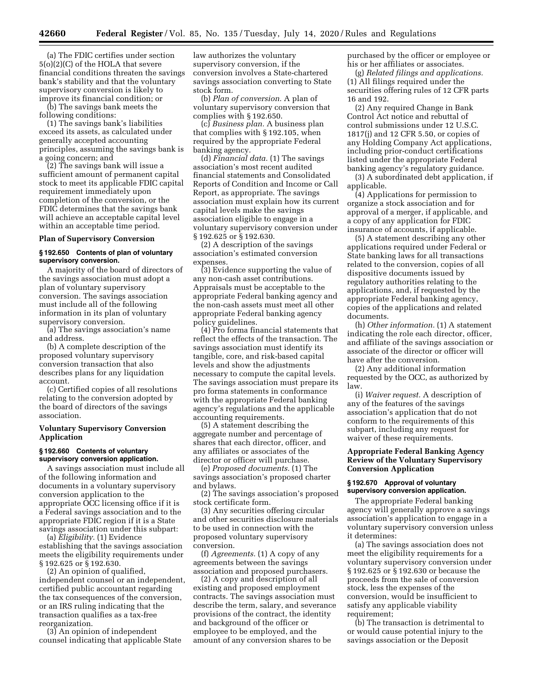(a) The FDIC certifies under section 5(o)(2)(C) of the HOLA that severe financial conditions threaten the savings bank's stability and that the voluntary supervisory conversion is likely to improve its financial condition; or

(b) The savings bank meets the following conditions:

(1) The savings bank's liabilities exceed its assets, as calculated under generally accepted accounting principles, assuming the savings bank is a going concern; and

(2) The savings bank will issue a sufficient amount of permanent capital stock to meet its applicable FDIC capital requirement immediately upon completion of the conversion, or the FDIC determines that the savings bank will achieve an acceptable capital level within an acceptable time period.

#### **Plan of Supervisory Conversion**

## **§ 192.650 Contents of plan of voluntary supervisory conversion.**

A majority of the board of directors of the savings association must adopt a plan of voluntary supervisory conversion. The savings association must include all of the following information in its plan of voluntary supervisory conversion.

(a) The savings association's name and address.

(b) A complete description of the proposed voluntary supervisory conversion transaction that also describes plans for any liquidation account.

(c) Certified copies of all resolutions relating to the conversion adopted by the board of directors of the savings association.

# **Voluntary Supervisory Conversion Application**

#### **§ 192.660 Contents of voluntary supervisory conversion application.**

A savings association must include all of the following information and documents in a voluntary supervisory conversion application to the appropriate OCC licensing office if it is a Federal savings association and to the appropriate FDIC region if it is a State savings association under this subpart:

(a) *Eligibility.* (1) Evidence establishing that the savings association meets the eligibility requirements under § 192.625 or § 192.630.

(2) An opinion of qualified, independent counsel or an independent, certified public accountant regarding the tax consequences of the conversion, or an IRS ruling indicating that the transaction qualifies as a tax-free reorganization.

(3) An opinion of independent counsel indicating that applicable State law authorizes the voluntary supervisory conversion, if the conversion involves a State-chartered savings association converting to State stock form.

(b) *Plan of conversion.* A plan of voluntary supervisory conversion that complies with § 192.650.

(c) *Business plan.* A business plan that complies with § 192.105, when required by the appropriate Federal banking agency.

(d) *Financial data.* (1) The savings association's most recent audited financial statements and Consolidated Reports of Condition and Income or Call Report, as appropriate. The savings association must explain how its current capital levels make the savings association eligible to engage in a voluntary supervisory conversion under § 192.625 or § 192.630.

(2) A description of the savings association's estimated conversion expenses.

(3) Evidence supporting the value of any non-cash asset contributions. Appraisals must be acceptable to the appropriate Federal banking agency and the non-cash assets must meet all other appropriate Federal banking agency policy guidelines.

(4) Pro forma financial statements that reflect the effects of the transaction. The savings association must identify its tangible, core, and risk-based capital levels and show the adjustments necessary to compute the capital levels. The savings association must prepare its pro forma statements in conformance with the appropriate Federal banking agency's regulations and the applicable accounting requirements.

(5) A statement describing the aggregate number and percentage of shares that each director, officer, and any affiliates or associates of the director or officer will purchase.

(e) *Proposed documents.* (1) The savings association's proposed charter and bylaws.

(2) The savings association's proposed stock certificate form.

(3) Any securities offering circular and other securities disclosure materials to be used in connection with the proposed voluntary supervisory conversion.

(f) *Agreements.* (1) A copy of any agreements between the savings association and proposed purchasers.

(2) A copy and description of all existing and proposed employment contracts. The savings association must describe the term, salary, and severance provisions of the contract, the identity and background of the officer or employee to be employed, and the amount of any conversion shares to be

purchased by the officer or employee or his or her affiliates or associates.

(g) *Related filings and applications.*  (1) All filings required under the securities offering rules of 12 CFR parts 16 and 192.

(2) Any required Change in Bank Control Act notice and rebuttal of control submissions under 12 U.S.C. 1817(j) and 12 CFR 5.50, or copies of any Holding Company Act applications, including prior-conduct certifications listed under the appropriate Federal banking agency's regulatory guidance.

(3) A subordinated debt application, if applicable.

(4) Applications for permission to organize a stock association and for approval of a merger, if applicable, and a copy of any application for FDIC insurance of accounts, if applicable.

(5) A statement describing any other applications required under Federal or State banking laws for all transactions related to the conversion, copies of all dispositive documents issued by regulatory authorities relating to the applications, and, if requested by the appropriate Federal banking agency, copies of the applications and related documents.

(h) *Other information.* (1) A statement indicating the role each director, officer, and affiliate of the savings association or associate of the director or officer will have after the conversion.

(2) Any additional information requested by the OCC, as authorized by law.

(i) *Waiver request.* A description of any of the features of the savings association's application that do not conform to the requirements of this subpart, including any request for waiver of these requirements.

# **Appropriate Federal Banking Agency Review of the Voluntary Supervisory Conversion Application**

# **§ 192.670 Approval of voluntary supervisory conversion application.**

The appropriate Federal banking agency will generally approve a savings association's application to engage in a voluntary supervisory conversion unless it determines:

(a) The savings association does not meet the eligibility requirements for a voluntary supervisory conversion under § 192.625 or § 192.630 or because the proceeds from the sale of conversion stock, less the expenses of the conversion, would be insufficient to satisfy any applicable viability requirement;

(b) The transaction is detrimental to or would cause potential injury to the savings association or the Deposit